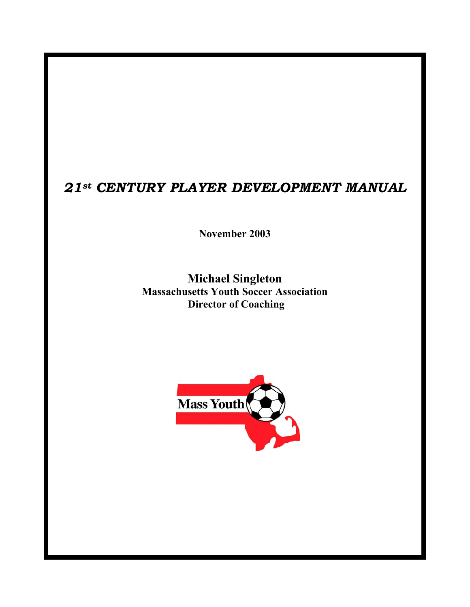### *21st CENTURY PLAYER DEVELOPMENT MANUAL*

**November 2003** 

**Michael Singleton Massachusetts Youth Soccer Association Director of Coaching** 

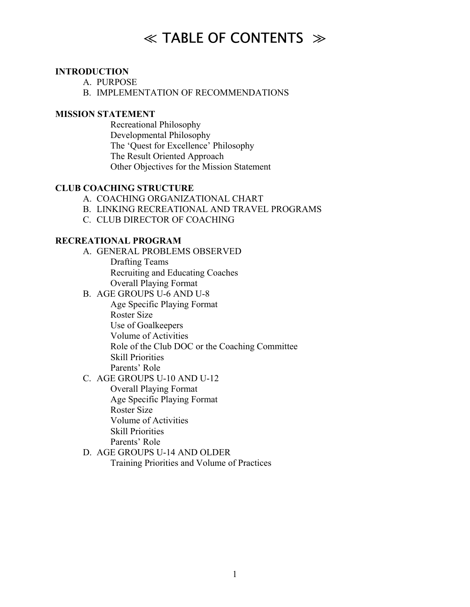# $\ll$  TABLE OF CONTENTS  $\gg$

#### **INTRODUCTION**

- A. PURPOSE
- B. IMPLEMENTATION OF RECOMMENDATIONS

#### **MISSION STATEMENT**

 Recreational Philosophy Developmental Philosophy The 'Quest for Excellence' Philosophy The Result Oriented Approach Other Objectives for the Mission Statement

#### **CLUB COACHING STRUCTURE**

- A. COACHING ORGANIZATIONAL CHART
- B. LINKING RECREATIONAL AND TRAVEL PROGRAMS
- C. CLUB DIRECTOR OF COACHING

#### **RECREATIONAL PROGRAM**

- A. GENERAL PROBLEMS OBSERVED Drafting Teams Recruiting and Educating Coaches Overall Playing Format
- B. AGE GROUPS U-6 AND U-8

Age Specific Playing Format Roster Size

- Use of Goalkeepers
- Volume of Activities
- Role of the Club DOC or the Coaching Committee
- Skill Priorities
- Parents' Role
- C. AGE GROUPS U-10 AND U-12

Overall Playing Format Age Specific Playing Format Roster Size Volume of Activities Skill Priorities Parents<sup>'</sup> Role

D. AGE GROUPS U-14 AND OLDER Training Priorities and Volume of Practices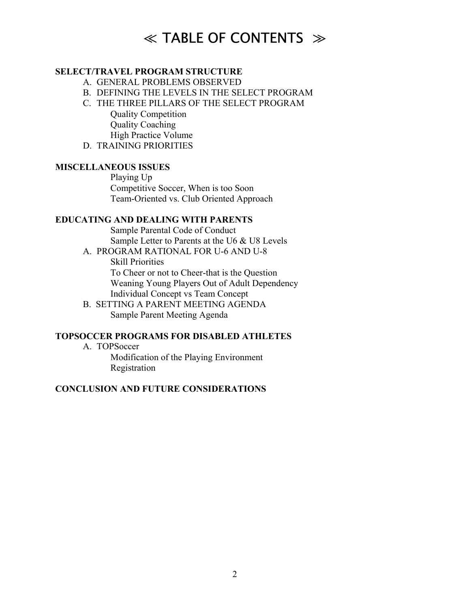# $\ll$  TABLE OF CONTENTS  $\gg$

#### **SELECT/TRAVEL PROGRAM STRUCTURE**

- A. GENERAL PROBLEMS OBSERVED
- B. DEFINING THE LEVELS IN THE SELECT PROGRAM
- C. THE THREE PILLARS OF THE SELECT PROGRAM

Quality Competition Quality Coaching High Practice Volume

D. TRAINING PRIORITIES

#### **MISCELLANEOUS ISSUES**

 Playing Up Competitive Soccer, When is too Soon Team-Oriented vs. Club Oriented Approach

#### **EDUCATING AND DEALING WITH PARENTS**

 Sample Parental Code of Conduct Sample Letter to Parents at the U6 & U8 Levels

- A. PROGRAM RATIONAL FOR U-6 AND U-8 Skill Priorities To Cheer or not to Cheer-that is the Question Weaning Young Players Out of Adult Dependency Individual Concept vs Team Concept
- B. SETTING A PARENT MEETING AGENDA Sample Parent Meeting Agenda

#### **TOPSOCCER PROGRAMS FOR DISABLED ATHLETES**

A. TOPSoccer Modification of the Playing Environment Registration

#### **CONCLUSION AND FUTURE CONSIDERATIONS**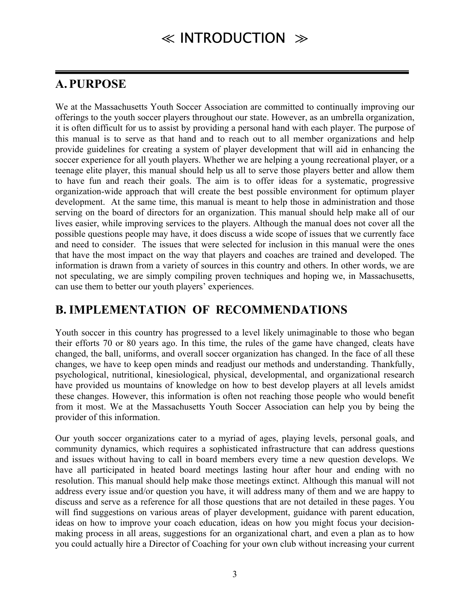### **A.PURPOSE**

We at the Massachusetts Youth Soccer Association are committed to continually improving our offerings to the youth soccer players throughout our state. However, as an umbrella organization, it is often difficult for us to assist by providing a personal hand with each player. The purpose of this manual is to serve as that hand and to reach out to all member organizations and help provide guidelines for creating a system of player development that will aid in enhancing the soccer experience for all youth players. Whether we are helping a young recreational player, or a teenage elite player, this manual should help us all to serve those players better and allow them to have fun and reach their goals. The aim is to offer ideas for a systematic, progressive organization-wide approach that will create the best possible environment for optimum player development. At the same time, this manual is meant to help those in administration and those serving on the board of directors for an organization. This manual should help make all of our lives easier, while improving services to the players. Although the manual does not cover all the possible questions people may have, it does discuss a wide scope of issues that we currently face and need to consider. The issues that were selected for inclusion in this manual were the ones that have the most impact on the way that players and coaches are trained and developed. The information is drawn from a variety of sources in this country and others. In other words, we are not speculating, we are simply compiling proven techniques and hoping we, in Massachusetts, can use them to better our youth players' experiences.

### **B. IMPLEMENTATION OF RECOMMENDATIONS**

Youth soccer in this country has progressed to a level likely unimaginable to those who began their efforts 70 or 80 years ago. In this time, the rules of the game have changed, cleats have changed, the ball, uniforms, and overall soccer organization has changed. In the face of all these changes, we have to keep open minds and readjust our methods and understanding. Thankfully, psychological, nutritional, kinesiological, physical, developmental, and organizational research have provided us mountains of knowledge on how to best develop players at all levels amidst these changes. However, this information is often not reaching those people who would benefit from it most. We at the Massachusetts Youth Soccer Association can help you by being the provider of this information.

Our youth soccer organizations cater to a myriad of ages, playing levels, personal goals, and community dynamics, which requires a sophisticated infrastructure that can address questions and issues without having to call in board members every time a new question develops. We have all participated in heated board meetings lasting hour after hour and ending with no resolution. This manual should help make those meetings extinct. Although this manual will not address every issue and/or question you have, it will address many of them and we are happy to discuss and serve as a reference for all those questions that are not detailed in these pages. You will find suggestions on various areas of player development, guidance with parent education, ideas on how to improve your coach education, ideas on how you might focus your decisionmaking process in all areas, suggestions for an organizational chart, and even a plan as to how you could actually hire a Director of Coaching for your own club without increasing your current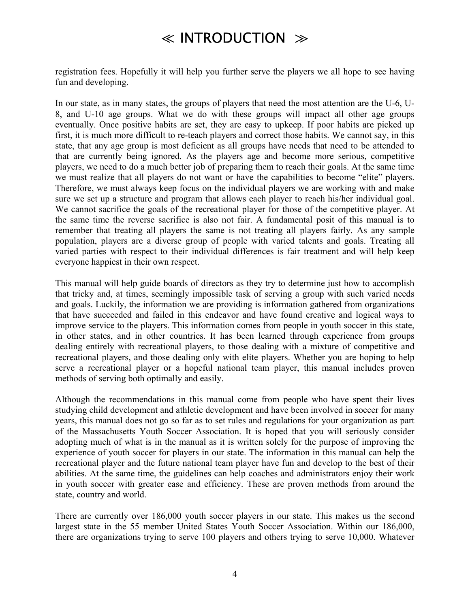## ≪ INTRODUCTION ≫

registration fees. Hopefully it will help you further serve the players we all hope to see having fun and developing.

In our state, as in many states, the groups of players that need the most attention are the U-6, U-8, and U-10 age groups. What we do with these groups will impact all other age groups eventually. Once positive habits are set, they are easy to upkeep. If poor habits are picked up first, it is much more difficult to re-teach players and correct those habits. We cannot say, in this state, that any age group is most deficient as all groups have needs that need to be attended to that are currently being ignored. As the players age and become more serious, competitive players, we need to do a much better job of preparing them to reach their goals. At the same time we must realize that all players do not want or have the capabilities to become "elite" players. Therefore, we must always keep focus on the individual players we are working with and make sure we set up a structure and program that allows each player to reach his/her individual goal. We cannot sacrifice the goals of the recreational player for those of the competitive player. At the same time the reverse sacrifice is also not fair. A fundamental posit of this manual is to remember that treating all players the same is not treating all players fairly. As any sample population, players are a diverse group of people with varied talents and goals. Treating all varied parties with respect to their individual differences is fair treatment and will help keep everyone happiest in their own respect.

This manual will help guide boards of directors as they try to determine just how to accomplish that tricky and, at times, seemingly impossible task of serving a group with such varied needs and goals. Luckily, the information we are providing is information gathered from organizations that have succeeded and failed in this endeavor and have found creative and logical ways to improve service to the players. This information comes from people in youth soccer in this state, in other states, and in other countries. It has been learned through experience from groups dealing entirely with recreational players, to those dealing with a mixture of competitive and recreational players, and those dealing only with elite players. Whether you are hoping to help serve a recreational player or a hopeful national team player, this manual includes proven methods of serving both optimally and easily.

Although the recommendations in this manual come from people who have spent their lives studying child development and athletic development and have been involved in soccer for many years, this manual does not go so far as to set rules and regulations for your organization as part of the Massachusetts Youth Soccer Association. It is hoped that you will seriously consider adopting much of what is in the manual as it is written solely for the purpose of improving the experience of youth soccer for players in our state. The information in this manual can help the recreational player and the future national team player have fun and develop to the best of their abilities. At the same time, the guidelines can help coaches and administrators enjoy their work in youth soccer with greater ease and efficiency. These are proven methods from around the state, country and world.

There are currently over 186,000 youth soccer players in our state. This makes us the second largest state in the 55 member United States Youth Soccer Association. Within our 186,000, there are organizations trying to serve 100 players and others trying to serve 10,000. Whatever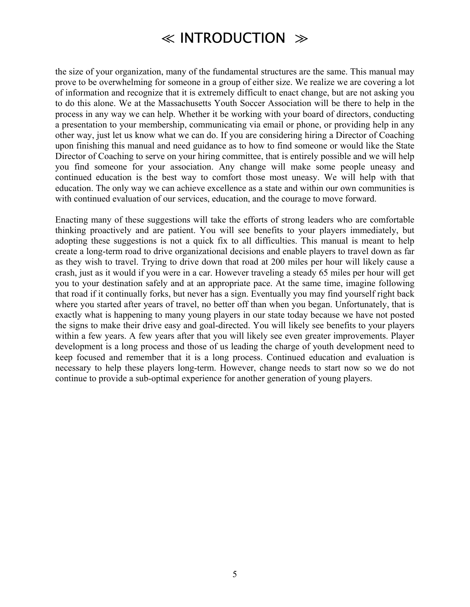## ≪ INTRODUCTION ≫

the size of your organization, many of the fundamental structures are the same. This manual may prove to be overwhelming for someone in a group of either size. We realize we are covering a lot of information and recognize that it is extremely difficult to enact change, but are not asking you to do this alone. We at the Massachusetts Youth Soccer Association will be there to help in the process in any way we can help. Whether it be working with your board of directors, conducting a presentation to your membership, communicating via email or phone, or providing help in any other way, just let us know what we can do. If you are considering hiring a Director of Coaching upon finishing this manual and need guidance as to how to find someone or would like the State Director of Coaching to serve on your hiring committee, that is entirely possible and we will help you find someone for your association. Any change will make some people uneasy and continued education is the best way to comfort those most uneasy. We will help with that education. The only way we can achieve excellence as a state and within our own communities is with continued evaluation of our services, education, and the courage to move forward.

Enacting many of these suggestions will take the efforts of strong leaders who are comfortable thinking proactively and are patient. You will see benefits to your players immediately, but adopting these suggestions is not a quick fix to all difficulties. This manual is meant to help create a long-term road to drive organizational decisions and enable players to travel down as far as they wish to travel. Trying to drive down that road at 200 miles per hour will likely cause a crash, just as it would if you were in a car. However traveling a steady 65 miles per hour will get you to your destination safely and at an appropriate pace. At the same time, imagine following that road if it continually forks, but never has a sign. Eventually you may find yourself right back where you started after years of travel, no better off than when you began. Unfortunately, that is exactly what is happening to many young players in our state today because we have not posted the signs to make their drive easy and goal-directed. You will likely see benefits to your players within a few years. A few years after that you will likely see even greater improvements. Player development is a long process and those of us leading the charge of youth development need to keep focused and remember that it is a long process. Continued education and evaluation is necessary to help these players long-term. However, change needs to start now so we do not continue to provide a sub-optimal experience for another generation of young players.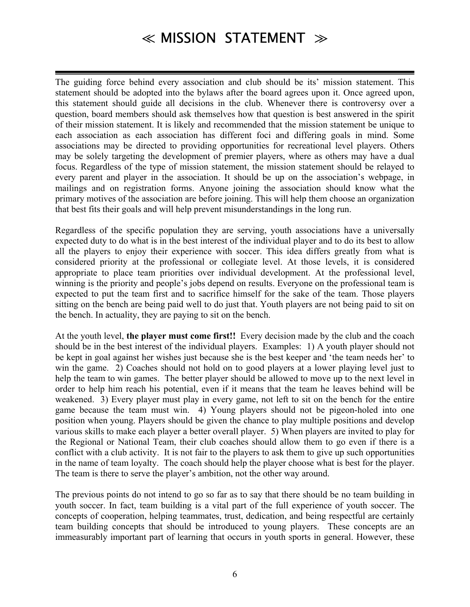The guiding force behind every association and club should be its' mission statement. This statement should be adopted into the bylaws after the board agrees upon it. Once agreed upon, this statement should guide all decisions in the club. Whenever there is controversy over a question, board members should ask themselves how that question is best answered in the spirit of their mission statement. It is likely and recommended that the mission statement be unique to each association as each association has different foci and differing goals in mind. Some associations may be directed to providing opportunities for recreational level players. Others may be solely targeting the development of premier players, where as others may have a dual focus. Regardless of the type of mission statement, the mission statement should be relayed to every parent and player in the association. It should be up on the association's webpage, in mailings and on registration forms. Anyone joining the association should know what the primary motives of the association are before joining. This will help them choose an organization that best fits their goals and will help prevent misunderstandings in the long run.

Regardless of the specific population they are serving, youth associations have a universally expected duty to do what is in the best interest of the individual player and to do its best to allow all the players to enjoy their experience with soccer. This idea differs greatly from what is considered priority at the professional or collegiate level. At those levels, it is considered appropriate to place team priorities over individual development. At the professional level, winning is the priority and people's jobs depend on results. Everyone on the professional team is expected to put the team first and to sacrifice himself for the sake of the team. Those players sitting on the bench are being paid well to do just that. Youth players are not being paid to sit on the bench. In actuality, they are paying to sit on the bench.

At the youth level, **the player must come first!!** Every decision made by the club and the coach should be in the best interest of the individual players. Examples: 1) A youth player should not be kept in goal against her wishes just because she is the best keeper and 'the team needs her' to win the game. 2) Coaches should not hold on to good players at a lower playing level just to help the team to win games. The better player should be allowed to move up to the next level in order to help him reach his potential, even if it means that the team he leaves behind will be weakened. 3) Every player must play in every game, not left to sit on the bench for the entire game because the team must win. 4) Young players should not be pigeon-holed into one position when young. Players should be given the chance to play multiple positions and develop various skills to make each player a better overall player. 5) When players are invited to play for the Regional or National Team, their club coaches should allow them to go even if there is a conflict with a club activity. It is not fair to the players to ask them to give up such opportunities in the name of team loyalty. The coach should help the player choose what is best for the player. The team is there to serve the player's ambition, not the other way around.

The previous points do not intend to go so far as to say that there should be no team building in youth soccer. In fact, team building is a vital part of the full experience of youth soccer. The concepts of cooperation, helping teammates, trust, dedication, and being respectful are certainly team building concepts that should be introduced to young players. These concepts are an immeasurably important part of learning that occurs in youth sports in general. However, these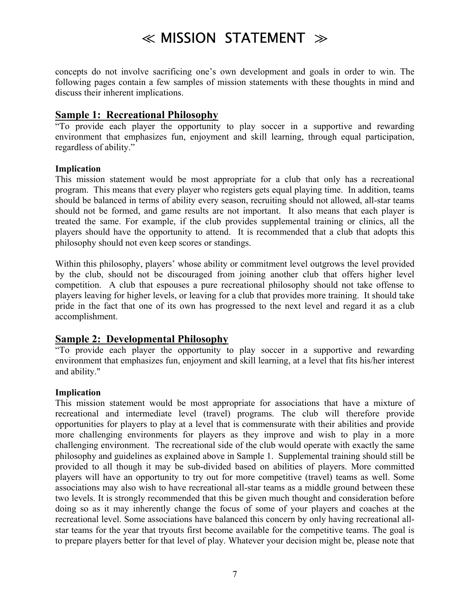concepts do not involve sacrificing one's own development and goals in order to win. The following pages contain a few samples of mission statements with these thoughts in mind and discuss their inherent implications.

#### **Sample 1: Recreational Philosophy**

ìTo provide each player the opportunity to play soccer in a supportive and rewarding environment that emphasizes fun, enjoyment and skill learning, through equal participation, regardless of ability."

#### **Implication**

This mission statement would be most appropriate for a club that only has a recreational program. This means that every player who registers gets equal playing time. In addition, teams should be balanced in terms of ability every season, recruiting should not allowed, all-star teams should not be formed, and game results are not important. It also means that each player is treated the same. For example, if the club provides supplemental training or clinics, all the players should have the opportunity to attend. It is recommended that a club that adopts this philosophy should not even keep scores or standings.

Within this philosophy, players' whose ability or commitment level outgrows the level provided by the club, should not be discouraged from joining another club that offers higher level competition. A club that espouses a pure recreational philosophy should not take offense to players leaving for higher levels, or leaving for a club that provides more training. It should take pride in the fact that one of its own has progressed to the next level and regard it as a club accomplishment.

#### **Sample 2: Developmental Philosophy**

ìTo provide each player the opportunity to play soccer in a supportive and rewarding environment that emphasizes fun, enjoyment and skill learning, at a level that fits his/her interest and ability."

#### **Implication**

This mission statement would be most appropriate for associations that have a mixture of recreational and intermediate level (travel) programs. The club will therefore provide opportunities for players to play at a level that is commensurate with their abilities and provide more challenging environments for players as they improve and wish to play in a more challenging environment. The recreational side of the club would operate with exactly the same philosophy and guidelines as explained above in Sample 1. Supplemental training should still be provided to all though it may be sub-divided based on abilities of players. More committed players will have an opportunity to try out for more competitive (travel) teams as well. Some associations may also wish to have recreational all-star teams as a middle ground between these two levels. It is strongly recommended that this be given much thought and consideration before doing so as it may inherently change the focus of some of your players and coaches at the recreational level. Some associations have balanced this concern by only having recreational allstar teams for the year that tryouts first become available for the competitive teams. The goal is to prepare players better for that level of play. Whatever your decision might be, please note that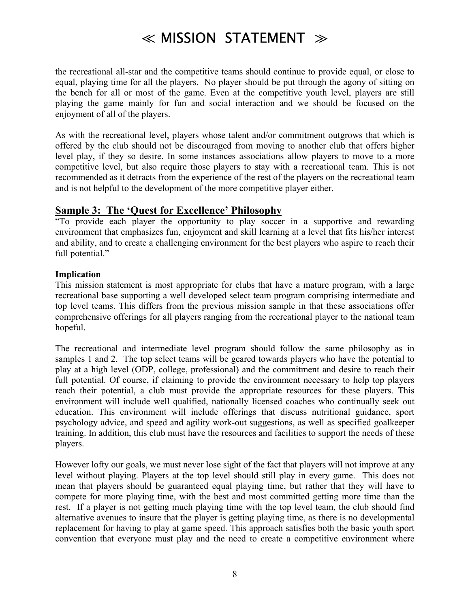the recreational all-star and the competitive teams should continue to provide equal, or close to equal, playing time for all the players. No player should be put through the agony of sitting on the bench for all or most of the game. Even at the competitive youth level, players are still playing the game mainly for fun and social interaction and we should be focused on the enjoyment of all of the players.

As with the recreational level, players whose talent and/or commitment outgrows that which is offered by the club should not be discouraged from moving to another club that offers higher level play, if they so desire. In some instances associations allow players to move to a more competitive level, but also require those players to stay with a recreational team. This is not recommended as it detracts from the experience of the rest of the players on the recreational team and is not helpful to the development of the more competitive player either.

#### **<u>Sample 3: The 'Quest for Excellence' Philosophy</u>**

ìTo provide each player the opportunity to play soccer in a supportive and rewarding environment that emphasizes fun, enjoyment and skill learning at a level that fits his/her interest and ability, and to create a challenging environment for the best players who aspire to reach their full potential."

#### **Implication**

This mission statement is most appropriate for clubs that have a mature program, with a large recreational base supporting a well developed select team program comprising intermediate and top level teams. This differs from the previous mission sample in that these associations offer comprehensive offerings for all players ranging from the recreational player to the national team hopeful.

The recreational and intermediate level program should follow the same philosophy as in samples 1 and 2. The top select teams will be geared towards players who have the potential to play at a high level (ODP, college, professional) and the commitment and desire to reach their full potential. Of course, if claiming to provide the environment necessary to help top players reach their potential, a club must provide the appropriate resources for these players. This environment will include well qualified, nationally licensed coaches who continually seek out education. This environment will include offerings that discuss nutritional guidance, sport psychology advice, and speed and agility work-out suggestions, as well as specified goalkeeper training. In addition, this club must have the resources and facilities to support the needs of these players.

However lofty our goals, we must never lose sight of the fact that players will not improve at any level without playing. Players at the top level should still play in every game. This does not mean that players should be guaranteed equal playing time, but rather that they will have to compete for more playing time, with the best and most committed getting more time than the rest. If a player is not getting much playing time with the top level team, the club should find alternative avenues to insure that the player is getting playing time, as there is no developmental replacement for having to play at game speed. This approach satisfies both the basic youth sport convention that everyone must play and the need to create a competitive environment where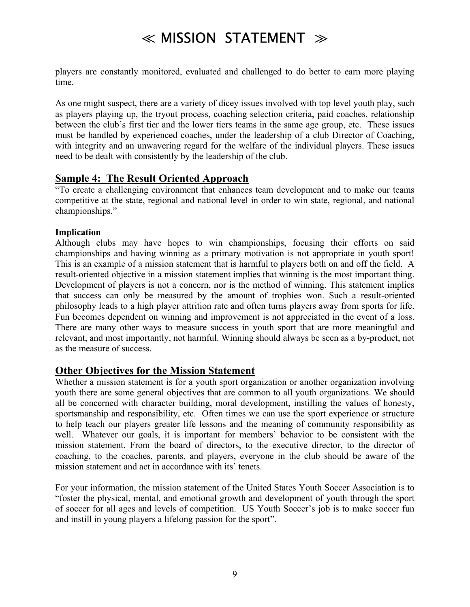players are constantly monitored, evaluated and challenged to do better to earn more playing time.

As one might suspect, there are a variety of dicey issues involved with top level youth play, such as players playing up, the tryout process, coaching selection criteria, paid coaches, relationship between the club's first tier and the lower tiers teams in the same age group, etc. These issues must be handled by experienced coaches, under the leadership of a club Director of Coaching, with integrity and an unwavering regard for the welfare of the individual players. These issues need to be dealt with consistently by the leadership of the club.

#### **Sample 4: The Result Oriented Approach**

ìTo create a challenging environment that enhances team development and to make our teams competitive at the state, regional and national level in order to win state, regional, and national championships."

#### **Implication**

Although clubs may have hopes to win championships, focusing their efforts on said championships and having winning as a primary motivation is not appropriate in youth sport! This is an example of a mission statement that is harmful to players both on and off the field. A result-oriented objective in a mission statement implies that winning is the most important thing. Development of players is not a concern, nor is the method of winning. This statement implies that success can only be measured by the amount of trophies won. Such a result-oriented philosophy leads to a high player attrition rate and often turns players away from sports for life. Fun becomes dependent on winning and improvement is not appreciated in the event of a loss. There are many other ways to measure success in youth sport that are more meaningful and relevant, and most importantly, not harmful. Winning should always be seen as a by-product, not as the measure of success.

#### **Other Objectives for the Mission Statement**

Whether a mission statement is for a youth sport organization or another organization involving youth there are some general objectives that are common to all youth organizations. We should all be concerned with character building, moral development, instilling the values of honesty, sportsmanship and responsibility, etc. Often times we can use the sport experience or structure to help teach our players greater life lessons and the meaning of community responsibility as well. Whatever our goals, it is important for members' behavior to be consistent with the mission statement. From the board of directors, to the executive director, to the director of coaching, to the coaches, parents, and players, everyone in the club should be aware of the mission statement and act in accordance with its' tenets.

For your information, the mission statement of the United States Youth Soccer Association is to ìfoster the physical, mental, and emotional growth and development of youth through the sport of soccer for all ages and levels of competition. US Youth Soccer's job is to make soccer fun and instill in young players a lifelong passion for the sport".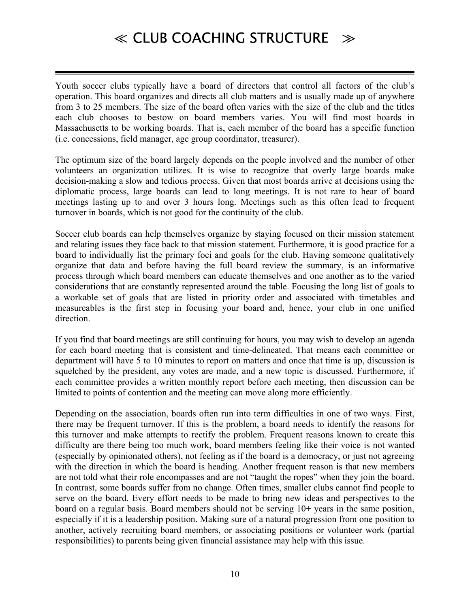Youth soccer clubs typically have a board of directors that control all factors of the club's operation. This board organizes and directs all club matters and is usually made up of anywhere from 3 to 25 members. The size of the board often varies with the size of the club and the titles each club chooses to bestow on board members varies. You will find most boards in Massachusetts to be working boards. That is, each member of the board has a specific function (i.e. concessions, field manager, age group coordinator, treasurer).

The optimum size of the board largely depends on the people involved and the number of other volunteers an organization utilizes. It is wise to recognize that overly large boards make decision-making a slow and tedious process. Given that most boards arrive at decisions using the diplomatic process, large boards can lead to long meetings. It is not rare to hear of board meetings lasting up to and over 3 hours long. Meetings such as this often lead to frequent turnover in boards, which is not good for the continuity of the club.

Soccer club boards can help themselves organize by staying focused on their mission statement and relating issues they face back to that mission statement. Furthermore, it is good practice for a board to individually list the primary foci and goals for the club. Having someone qualitatively organize that data and before having the full board review the summary, is an informative process through which board members can educate themselves and one another as to the varied considerations that are constantly represented around the table. Focusing the long list of goals to a workable set of goals that are listed in priority order and associated with timetables and measureables is the first step in focusing your board and, hence, your club in one unified direction.

If you find that board meetings are still continuing for hours, you may wish to develop an agenda for each board meeting that is consistent and time-delineated. That means each committee or department will have 5 to 10 minutes to report on matters and once that time is up, discussion is squelched by the president, any votes are made, and a new topic is discussed. Furthermore, if each committee provides a written monthly report before each meeting, then discussion can be limited to points of contention and the meeting can move along more efficiently.

Depending on the association, boards often run into term difficulties in one of two ways. First, there may be frequent turnover. If this is the problem, a board needs to identify the reasons for this turnover and make attempts to rectify the problem. Frequent reasons known to create this difficulty are there being too much work, board members feeling like their voice is not wanted (especially by opinionated others), not feeling as if the board is a democracy, or just not agreeing with the direction in which the board is heading. Another frequent reason is that new members are not told what their role encompasses and are not "taught the ropes" when they join the board. In contrast, some boards suffer from no change. Often times, smaller clubs cannot find people to serve on the board. Every effort needs to be made to bring new ideas and perspectives to the board on a regular basis. Board members should not be serving 10+ years in the same position, especially if it is a leadership position. Making sure of a natural progression from one position to another, actively recruiting board members, or associating positions or volunteer work (partial responsibilities) to parents being given financial assistance may help with this issue.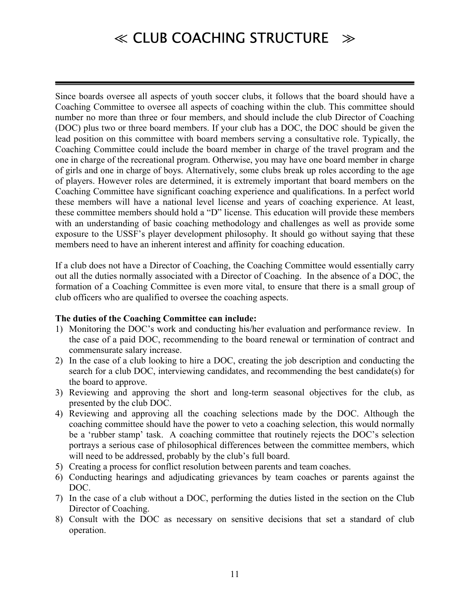Since boards oversee all aspects of youth soccer clubs, it follows that the board should have a Coaching Committee to oversee all aspects of coaching within the club. This committee should number no more than three or four members, and should include the club Director of Coaching (DOC) plus two or three board members. If your club has a DOC, the DOC should be given the lead position on this committee with board members serving a consultative role. Typically, the Coaching Committee could include the board member in charge of the travel program and the one in charge of the recreational program. Otherwise, you may have one board member in charge of girls and one in charge of boys. Alternatively, some clubs break up roles according to the age of players. However roles are determined, it is extremely important that board members on the Coaching Committee have significant coaching experience and qualifications. In a perfect world these members will have a national level license and years of coaching experience. At least, these committee members should hold a "D" license. This education will provide these members with an understanding of basic coaching methodology and challenges as well as provide some exposure to the USSF's player development philosophy. It should go without saying that these members need to have an inherent interest and affinity for coaching education.

If a club does not have a Director of Coaching, the Coaching Committee would essentially carry out all the duties normally associated with a Director of Coaching. In the absence of a DOC, the formation of a Coaching Committee is even more vital, to ensure that there is a small group of club officers who are qualified to oversee the coaching aspects.

#### **The duties of the Coaching Committee can include:**

- 1) Monitoring the DOC's work and conducting his/her evaluation and performance review. In the case of a paid DOC, recommending to the board renewal or termination of contract and commensurate salary increase.
- 2) In the case of a club looking to hire a DOC, creating the job description and conducting the search for a club DOC, interviewing candidates, and recommending the best candidate(s) for the board to approve.
- 3) Reviewing and approving the short and long-term seasonal objectives for the club, as presented by the club DOC.
- 4) Reviewing and approving all the coaching selections made by the DOC. Although the coaching committee should have the power to veto a coaching selection, this would normally be a 'rubber stamp' task. A coaching committee that routinely rejects the DOC's selection portrays a serious case of philosophical differences between the committee members, which will need to be addressed, probably by the club's full board.
- 5) Creating a process for conflict resolution between parents and team coaches.
- 6) Conducting hearings and adjudicating grievances by team coaches or parents against the DOC.
- 7) In the case of a club without a DOC, performing the duties listed in the section on the Club Director of Coaching.
- 8) Consult with the DOC as necessary on sensitive decisions that set a standard of club operation.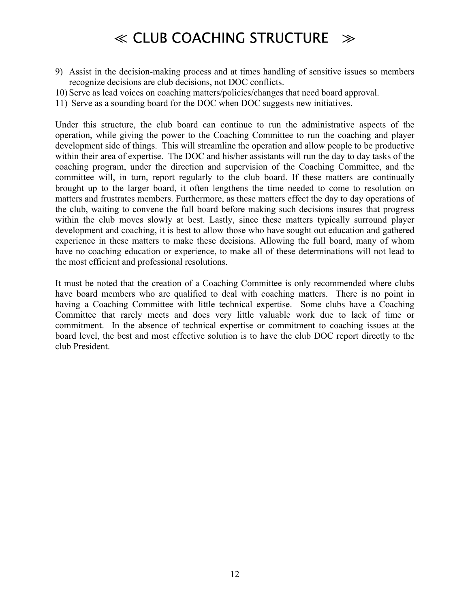- 9) Assist in the decision-making process and at times handling of sensitive issues so members recognize decisions are club decisions, not DOC conflicts.
- 10) Serve as lead voices on coaching matters/policies/changes that need board approval.
- 11) Serve as a sounding board for the DOC when DOC suggests new initiatives.

Under this structure, the club board can continue to run the administrative aspects of the operation, while giving the power to the Coaching Committee to run the coaching and player development side of things. This will streamline the operation and allow people to be productive within their area of expertise. The DOC and his/her assistants will run the day to day tasks of the coaching program, under the direction and supervision of the Coaching Committee, and the committee will, in turn, report regularly to the club board. If these matters are continually brought up to the larger board, it often lengthens the time needed to come to resolution on matters and frustrates members. Furthermore, as these matters effect the day to day operations of the club, waiting to convene the full board before making such decisions insures that progress within the club moves slowly at best. Lastly, since these matters typically surround player development and coaching, it is best to allow those who have sought out education and gathered experience in these matters to make these decisions. Allowing the full board, many of whom have no coaching education or experience, to make all of these determinations will not lead to the most efficient and professional resolutions.

It must be noted that the creation of a Coaching Committee is only recommended where clubs have board members who are qualified to deal with coaching matters. There is no point in having a Coaching Committee with little technical expertise. Some clubs have a Coaching Committee that rarely meets and does very little valuable work due to lack of time or commitment. In the absence of technical expertise or commitment to coaching issues at the board level, the best and most effective solution is to have the club DOC report directly to the club President.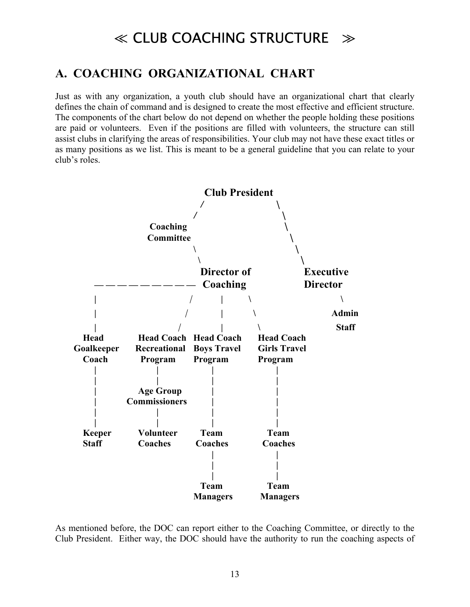### **A. COACHING ORGANIZATIONAL CHART**

Just as with any organization, a youth club should have an organizational chart that clearly defines the chain of command and is designed to create the most effective and efficient structure. The components of the chart below do not depend on whether the people holding these positions are paid or volunteers. Even if the positions are filled with volunteers, the structure can still assist clubs in clarifying the areas of responsibilities. Your club may not have these exact titles or as many positions as we list. This is meant to be a general guideline that you can relate to your club's roles.



As mentioned before, the DOC can report either to the Coaching Committee, or directly to the Club President. Either way, the DOC should have the authority to run the coaching aspects of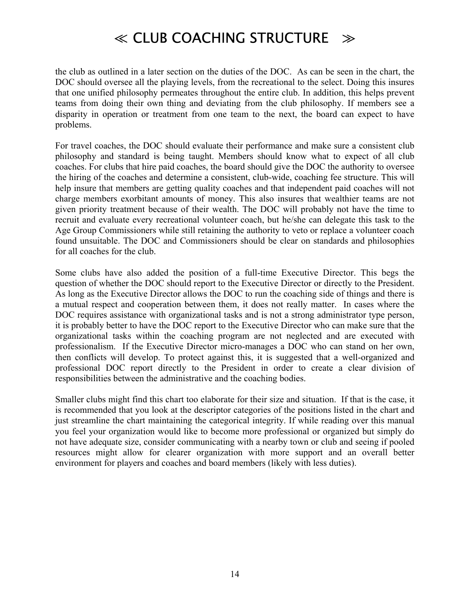the club as outlined in a later section on the duties of the DOC. As can be seen in the chart, the DOC should oversee all the playing levels, from the recreational to the select. Doing this insures that one unified philosophy permeates throughout the entire club. In addition, this helps prevent teams from doing their own thing and deviating from the club philosophy. If members see a disparity in operation or treatment from one team to the next, the board can expect to have problems.

For travel coaches, the DOC should evaluate their performance and make sure a consistent club philosophy and standard is being taught. Members should know what to expect of all club coaches. For clubs that hire paid coaches, the board should give the DOC the authority to oversee the hiring of the coaches and determine a consistent, club-wide, coaching fee structure. This will help insure that members are getting quality coaches and that independent paid coaches will not charge members exorbitant amounts of money. This also insures that wealthier teams are not given priority treatment because of their wealth. The DOC will probably not have the time to recruit and evaluate every recreational volunteer coach, but he/she can delegate this task to the Age Group Commissioners while still retaining the authority to veto or replace a volunteer coach found unsuitable. The DOC and Commissioners should be clear on standards and philosophies for all coaches for the club.

Some clubs have also added the position of a full-time Executive Director. This begs the question of whether the DOC should report to the Executive Director or directly to the President. As long as the Executive Director allows the DOC to run the coaching side of things and there is a mutual respect and cooperation between them, it does not really matter. In cases where the DOC requires assistance with organizational tasks and is not a strong administrator type person, it is probably better to have the DOC report to the Executive Director who can make sure that the organizational tasks within the coaching program are not neglected and are executed with professionalism. If the Executive Director micro-manages a DOC who can stand on her own, then conflicts will develop. To protect against this, it is suggested that a well-organized and professional DOC report directly to the President in order to create a clear division of responsibilities between the administrative and the coaching bodies.

Smaller clubs might find this chart too elaborate for their size and situation. If that is the case, it is recommended that you look at the descriptor categories of the positions listed in the chart and just streamline the chart maintaining the categorical integrity. If while reading over this manual you feel your organization would like to become more professional or organized but simply do not have adequate size, consider communicating with a nearby town or club and seeing if pooled resources might allow for clearer organization with more support and an overall better environment for players and coaches and board members (likely with less duties).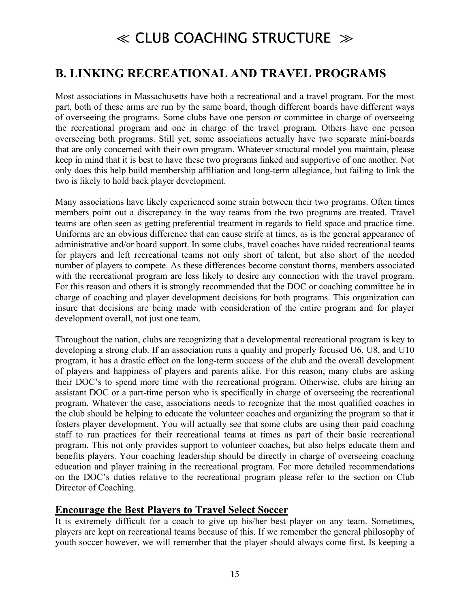### **B. LINKING RECREATIONAL AND TRAVEL PROGRAMS**

Most associations in Massachusetts have both a recreational and a travel program. For the most part, both of these arms are run by the same board, though different boards have different ways of overseeing the programs. Some clubs have one person or committee in charge of overseeing the recreational program and one in charge of the travel program. Others have one person overseeing both programs. Still yet, some associations actually have two separate mini-boards that are only concerned with their own program. Whatever structural model you maintain, please keep in mind that it is best to have these two programs linked and supportive of one another. Not only does this help build membership affiliation and long-term allegiance, but failing to link the two is likely to hold back player development.

Many associations have likely experienced some strain between their two programs. Often times members point out a discrepancy in the way teams from the two programs are treated. Travel teams are often seen as getting preferential treatment in regards to field space and practice time. Uniforms are an obvious difference that can cause strife at times, as is the general appearance of administrative and/or board support. In some clubs, travel coaches have raided recreational teams for players and left recreational teams not only short of talent, but also short of the needed number of players to compete. As these differences become constant thorns, members associated with the recreational program are less likely to desire any connection with the travel program. For this reason and others it is strongly recommended that the DOC or coaching committee be in charge of coaching and player development decisions for both programs. This organization can insure that decisions are being made with consideration of the entire program and for player development overall, not just one team.

Throughout the nation, clubs are recognizing that a developmental recreational program is key to developing a strong club. If an association runs a quality and properly focused U6, U8, and U10 program, it has a drastic effect on the long-term success of the club and the overall development of players and happiness of players and parents alike. For this reason, many clubs are asking their DOC's to spend more time with the recreational program. Otherwise, clubs are hiring an assistant DOC or a part-time person who is specifically in charge of overseeing the recreational program. Whatever the case, associations needs to recognize that the most qualified coaches in the club should be helping to educate the volunteer coaches and organizing the program so that it fosters player development. You will actually see that some clubs are using their paid coaching staff to run practices for their recreational teams at times as part of their basic recreational program. This not only provides support to volunteer coaches, but also helps educate them and benefits players. Your coaching leadership should be directly in charge of overseeing coaching education and player training in the recreational program. For more detailed recommendations on the DOC's duties relative to the recreational program please refer to the section on Club Director of Coaching.

#### **Encourage the Best Players to Travel Select Soccer**

It is extremely difficult for a coach to give up his/her best player on any team. Sometimes, players are kept on recreational teams because of this. If we remember the general philosophy of youth soccer however, we will remember that the player should always come first. Is keeping a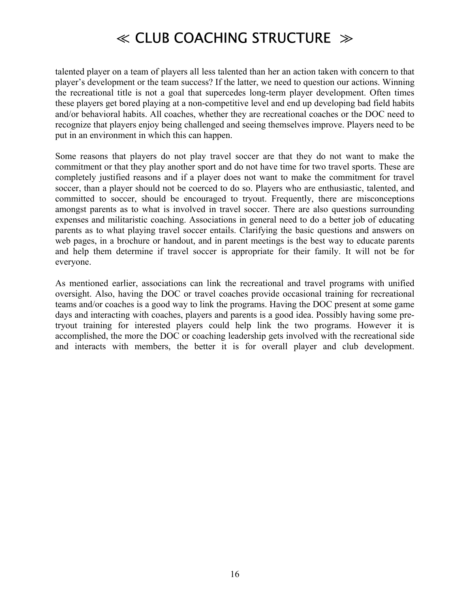talented player on a team of players all less talented than her an action taken with concern to that player's development or the team success? If the latter, we need to question our actions. Winning the recreational title is not a goal that supercedes long-term player development. Often times these players get bored playing at a non-competitive level and end up developing bad field habits and/or behavioral habits. All coaches, whether they are recreational coaches or the DOC need to recognize that players enjoy being challenged and seeing themselves improve. Players need to be put in an environment in which this can happen.

Some reasons that players do not play travel soccer are that they do not want to make the commitment or that they play another sport and do not have time for two travel sports. These are completely justified reasons and if a player does not want to make the commitment for travel soccer, than a player should not be coerced to do so. Players who are enthusiastic, talented, and committed to soccer, should be encouraged to tryout. Frequently, there are misconceptions amongst parents as to what is involved in travel soccer. There are also questions surrounding expenses and militaristic coaching. Associations in general need to do a better job of educating parents as to what playing travel soccer entails. Clarifying the basic questions and answers on web pages, in a brochure or handout, and in parent meetings is the best way to educate parents and help them determine if travel soccer is appropriate for their family. It will not be for everyone.

As mentioned earlier, associations can link the recreational and travel programs with unified oversight. Also, having the DOC or travel coaches provide occasional training for recreational teams and/or coaches is a good way to link the programs. Having the DOC present at some game days and interacting with coaches, players and parents is a good idea. Possibly having some pretryout training for interested players could help link the two programs. However it is accomplished, the more the DOC or coaching leadership gets involved with the recreational side and interacts with members, the better it is for overall player and club development.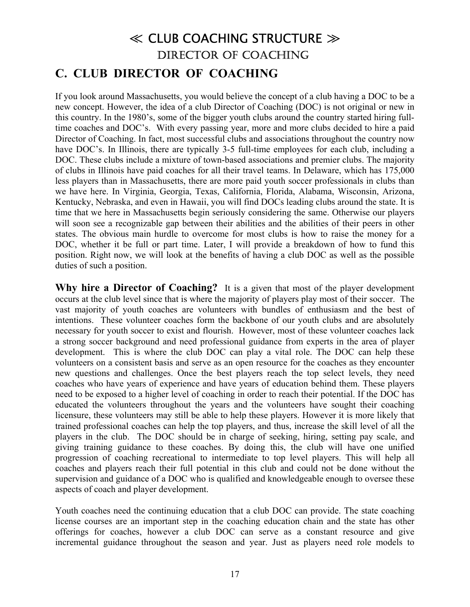### ≪ CLUB COACHING STRUCTURE ≫ DIRECTOR OF COACHING **C. CLUB DIRECTOR OF COACHING**

If you look around Massachusetts, you would believe the concept of a club having a DOC to be a new concept. However, the idea of a club Director of Coaching (DOC) is not original or new in this country. In the 1980's, some of the bigger youth clubs around the country started hiring fulltime coaches and DOC's. With every passing year, more and more clubs decided to hire a paid Director of Coaching. In fact, most successful clubs and associations throughout the country now have DOC's. In Illinois, there are typically 3-5 full-time employees for each club, including a DOC. These clubs include a mixture of town-based associations and premier clubs. The majority of clubs in Illinois have paid coaches for all their travel teams. In Delaware, which has 175,000 less players than in Massachusetts, there are more paid youth soccer professionals in clubs than we have here. In Virginia, Georgia, Texas, California, Florida, Alabama, Wisconsin, Arizona, Kentucky, Nebraska, and even in Hawaii, you will find DOCs leading clubs around the state. It is time that we here in Massachusetts begin seriously considering the same. Otherwise our players will soon see a recognizable gap between their abilities and the abilities of their peers in other states. The obvious main hurdle to overcome for most clubs is how to raise the money for a DOC, whether it be full or part time. Later, I will provide a breakdown of how to fund this position. Right now, we will look at the benefits of having a club DOC as well as the possible duties of such a position.

**Why hire a Director of Coaching?** It is a given that most of the player development occurs at the club level since that is where the majority of players play most of their soccer. The vast majority of youth coaches are volunteers with bundles of enthusiasm and the best of intentions. These volunteer coaches form the backbone of our youth clubs and are absolutely necessary for youth soccer to exist and flourish. However, most of these volunteer coaches lack a strong soccer background and need professional guidance from experts in the area of player development. This is where the club DOC can play a vital role. The DOC can help these volunteers on a consistent basis and serve as an open resource for the coaches as they encounter new questions and challenges. Once the best players reach the top select levels, they need coaches who have years of experience and have years of education behind them. These players need to be exposed to a higher level of coaching in order to reach their potential. If the DOC has educated the volunteers throughout the years and the volunteers have sought their coaching licensure, these volunteers may still be able to help these players. However it is more likely that trained professional coaches can help the top players, and thus, increase the skill level of all the players in the club. The DOC should be in charge of seeking, hiring, setting pay scale, and giving training guidance to these coaches. By doing this, the club will have one unified progression of coaching recreational to intermediate to top level players. This will help all coaches and players reach their full potential in this club and could not be done without the supervision and guidance of a DOC who is qualified and knowledgeable enough to oversee these aspects of coach and player development.

Youth coaches need the continuing education that a club DOC can provide. The state coaching license courses are an important step in the coaching education chain and the state has other offerings for coaches, however a club DOC can serve as a constant resource and give incremental guidance throughout the season and year. Just as players need role models to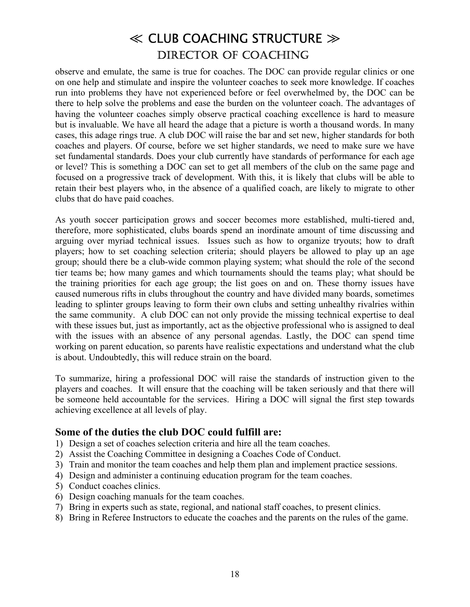observe and emulate, the same is true for coaches. The DOC can provide regular clinics or one on one help and stimulate and inspire the volunteer coaches to seek more knowledge. If coaches run into problems they have not experienced before or feel overwhelmed by, the DOC can be there to help solve the problems and ease the burden on the volunteer coach. The advantages of having the volunteer coaches simply observe practical coaching excellence is hard to measure but is invaluable. We have all heard the adage that a picture is worth a thousand words. In many cases, this adage rings true. A club DOC will raise the bar and set new, higher standards for both coaches and players. Of course, before we set higher standards, we need to make sure we have set fundamental standards. Does your club currently have standards of performance for each age or level? This is something a DOC can set to get all members of the club on the same page and focused on a progressive track of development. With this, it is likely that clubs will be able to retain their best players who, in the absence of a qualified coach, are likely to migrate to other clubs that do have paid coaches.

As youth soccer participation grows and soccer becomes more established, multi-tiered and, therefore, more sophisticated, clubs boards spend an inordinate amount of time discussing and arguing over myriad technical issues. Issues such as how to organize tryouts; how to draft players; how to set coaching selection criteria; should players be allowed to play up an age group; should there be a club-wide common playing system; what should the role of the second tier teams be; how many games and which tournaments should the teams play; what should be the training priorities for each age group; the list goes on and on. These thorny issues have caused numerous rifts in clubs throughout the country and have divided many boards, sometimes leading to splinter groups leaving to form their own clubs and setting unhealthy rivalries within the same community. A club DOC can not only provide the missing technical expertise to deal with these issues but, just as importantly, act as the objective professional who is assigned to deal with the issues with an absence of any personal agendas. Lastly, the DOC can spend time working on parent education, so parents have realistic expectations and understand what the club is about. Undoubtedly, this will reduce strain on the board.

To summarize, hiring a professional DOC will raise the standards of instruction given to the players and coaches. It will ensure that the coaching will be taken seriously and that there will be someone held accountable for the services. Hiring a DOC will signal the first step towards achieving excellence at all levels of play.

#### **Some of the duties the club DOC could fulfill are:**

- 1) Design a set of coaches selection criteria and hire all the team coaches.
- 2) Assist the Coaching Committee in designing a Coaches Code of Conduct.
- 3) Train and monitor the team coaches and help them plan and implement practice sessions.
- 4) Design and administer a continuing education program for the team coaches.
- 5) Conduct coaches clinics.
- 6) Design coaching manuals for the team coaches.
- 7) Bring in experts such as state, regional, and national staff coaches, to present clinics.
- 8) Bring in Referee Instructors to educate the coaches and the parents on the rules of the game.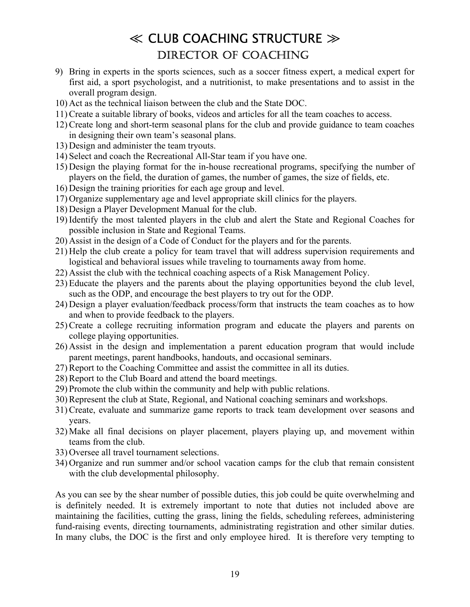- 9) Bring in experts in the sports sciences, such as a soccer fitness expert, a medical expert for first aid, a sport psychologist, and a nutritionist, to make presentations and to assist in the overall program design.
- 10) Act as the technical liaison between the club and the State DOC.
- 11) Create a suitable library of books, videos and articles for all the team coaches to access.
- 12) Create long and short-term seasonal plans for the club and provide guidance to team coaches in designing their own team's seasonal plans.
- 13) Design and administer the team tryouts.
- 14) Select and coach the Recreational All-Star team if you have one.
- 15) Design the playing format for the in-house recreational programs, specifying the number of players on the field, the duration of games, the number of games, the size of fields, etc.
- 16) Design the training priorities for each age group and level.
- 17) Organize supplementary age and level appropriate skill clinics for the players.
- 18) Design a Player Development Manual for the club.
- 19) Identify the most talented players in the club and alert the State and Regional Coaches for possible inclusion in State and Regional Teams.
- 20) Assist in the design of a Code of Conduct for the players and for the parents.
- 21) Help the club create a policy for team travel that will address supervision requirements and logistical and behavioral issues while traveling to tournaments away from home.
- 22) Assist the club with the technical coaching aspects of a Risk Management Policy.
- 23) Educate the players and the parents about the playing opportunities beyond the club level, such as the ODP, and encourage the best players to try out for the ODP.
- 24) Design a player evaluation/feedback process/form that instructs the team coaches as to how and when to provide feedback to the players.
- 25) Create a college recruiting information program and educate the players and parents on college playing opportunities.
- 26) Assist in the design and implementation a parent education program that would include parent meetings, parent handbooks, handouts, and occasional seminars.
- 27) Report to the Coaching Committee and assist the committee in all its duties.
- 28) Report to the Club Board and attend the board meetings.
- 29) Promote the club within the community and help with public relations.
- 30) Represent the club at State, Regional, and National coaching seminars and workshops.
- 31) Create, evaluate and summarize game reports to track team development over seasons and years.
- 32) Make all final decisions on player placement, players playing up, and movement within teams from the club.
- 33) Oversee all travel tournament selections.
- 34) Organize and run summer and/or school vacation camps for the club that remain consistent with the club developmental philosophy.

As you can see by the shear number of possible duties, this job could be quite overwhelming and is definitely needed. It is extremely important to note that duties not included above are maintaining the facilities, cutting the grass, lining the fields, scheduling referees, administering fund-raising events, directing tournaments, administrating registration and other similar duties. In many clubs, the DOC is the first and only employee hired. It is therefore very tempting to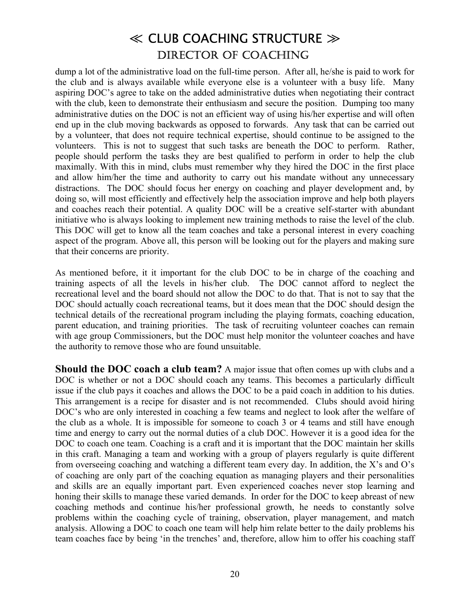dump a lot of the administrative load on the full-time person. After all, he/she is paid to work for the club and is always available while everyone else is a volunteer with a busy life. Many aspiring DOC's agree to take on the added administrative duties when negotiating their contract with the club, keen to demonstrate their enthusiasm and secure the position. Dumping too many administrative duties on the DOC is not an efficient way of using his/her expertise and will often end up in the club moving backwards as opposed to forwards. Any task that can be carried out by a volunteer, that does not require technical expertise, should continue to be assigned to the volunteers. This is not to suggest that such tasks are beneath the DOC to perform. Rather, people should perform the tasks they are best qualified to perform in order to help the club maximally. With this in mind, clubs must remember why they hired the DOC in the first place and allow him/her the time and authority to carry out his mandate without any unnecessary distractions. The DOC should focus her energy on coaching and player development and, by doing so, will most efficiently and effectively help the association improve and help both players and coaches reach their potential. A quality DOC will be a creative self-starter with abundant initiative who is always looking to implement new training methods to raise the level of the club. This DOC will get to know all the team coaches and take a personal interest in every coaching aspect of the program. Above all, this person will be looking out for the players and making sure that their concerns are priority.

As mentioned before, it it important for the club DOC to be in charge of the coaching and training aspects of all the levels in his/her club. The DOC cannot afford to neglect the recreational level and the board should not allow the DOC to do that. That is not to say that the DOC should actually coach recreational teams, but it does mean that the DOC should design the technical details of the recreational program including the playing formats, coaching education, parent education, and training priorities. The task of recruiting volunteer coaches can remain with age group Commissioners, but the DOC must help monitor the volunteer coaches and have the authority to remove those who are found unsuitable.

**Should the DOC coach a club team?** A major issue that often comes up with clubs and a DOC is whether or not a DOC should coach any teams. This becomes a particularly difficult issue if the club pays it coaches and allows the DOC to be a paid coach in addition to his duties. This arrangement is a recipe for disaster and is not recommended. Clubs should avoid hiring DOC's who are only interested in coaching a few teams and neglect to look after the welfare of the club as a whole. It is impossible for someone to coach 3 or 4 teams and still have enough time and energy to carry out the normal duties of a club DOC. However it is a good idea for the DOC to coach one team. Coaching is a craft and it is important that the DOC maintain her skills in this craft. Managing a team and working with a group of players regularly is quite different from overseeing coaching and watching a different team every day. In addition, the X's and  $O$ 's of coaching are only part of the coaching equation as managing players and their personalities and skills are an equally important part. Even experienced coaches never stop learning and honing their skills to manage these varied demands. In order for the DOC to keep abreast of new coaching methods and continue his/her professional growth, he needs to constantly solve problems within the coaching cycle of training, observation, player management, and match analysis. Allowing a DOC to coach one team will help him relate better to the daily problems his team coaches face by being 'in the trenches' and, therefore, allow him to offer his coaching staff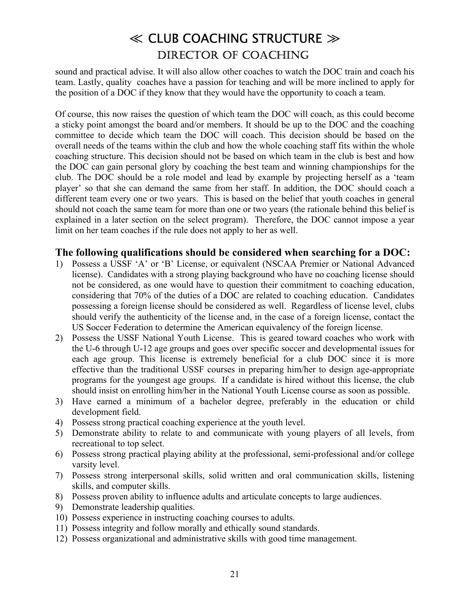sound and practical advise. It will also allow other coaches to watch the DOC train and coach his team. Lastly, quality coaches have a passion for teaching and will be more inclined to apply for the position of a DOC if they know that they would have the opportunity to coach a team.

Of course, this now raises the question of which team the DOC will coach, as this could become a sticky point amongst the board and/or members. It should be up to the DOC and the coaching committee to decide which team the DOC will coach. This decision should be based on the overall needs of the teams within the club and how the whole coaching staff fits within the whole coaching structure. This decision should not be based on which team in the club is best and how the DOC can gain personal glory by coaching the best team and winning championships for the club. The DOC should be a role model and lead by example by projecting herself as a 'team player' so that she can demand the same from her staff. In addition, the DOC should coach a different team every one or two years. This is based on the belief that youth coaches in general should not coach the same team for more than one or two years (the rationale behind this belief is explained in a later section on the select program). Therefore, the DOC cannot impose a year limit on her team coaches if the rule does not apply to her as well.

#### **The following qualifications should be considered when searching for a DOC:**

- 1) Possess a USSF 'A' or 'B' License, or equivalent (NSCAA Premier or National Advanced license). Candidates with a strong playing background who have no coaching license should not be considered, as one would have to question their commitment to coaching education, considering that 70% of the duties of a DOC are related to coaching education. Candidates possessing a foreign license should be considered as well. Regardless of license level, clubs should verify the authenticity of the license and, in the case of a foreign license, contact the US Soccer Federation to determine the American equivalency of the foreign license.
- 2) Possess the USSF National Youth License. This is geared toward coaches who work with the U-6 through U-12 age groups and goes over specific soccer and developmental issues for each age group. This license is extremely beneficial for a club DOC since it is more effective than the traditional USSF courses in preparing him/her to design age-appropriate programs for the youngest age groups. If a candidate is hired without this license, the club should insist on enrolling him/her in the National Youth License course as soon as possible.
- 3) Have earned a minimum of a bachelor degree, preferably in the education or child development field.
- 4) Possess strong practical coaching experience at the youth level.
- 5) Demonstrate ability to relate to and communicate with young players of all levels, from recreational to top select.
- 6) Possess strong practical playing ability at the professional, semi-professional and/or college varsity level.
- 7) Possess strong interpersonal skills, solid written and oral communication skills, listening skills, and computer skills.
- 8) Possess proven ability to influence adults and articulate concepts to large audiences.
- 9) Demonstrate leadership qualities.
- 10) Possess experience in instructing coaching courses to adults.
- 11) Possess integrity and follow morally and ethically sound standards.
- 12) Possess organizational and administrative skills with good time management.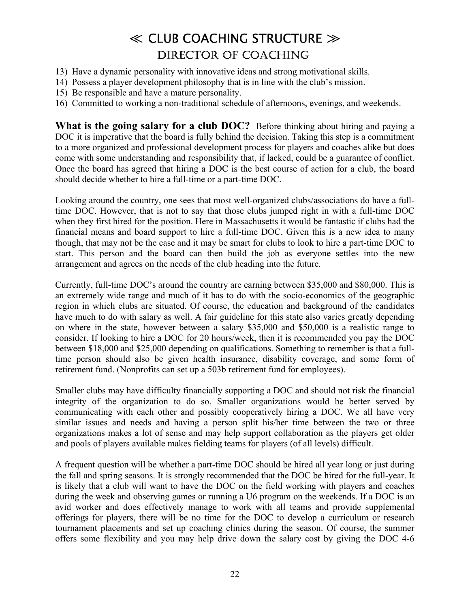- 13) Have a dynamic personality with innovative ideas and strong motivational skills.
- 14) Possess a player development philosophy that is in line with the club's mission.
- 15) Be responsible and have a mature personality.
- 16) Committed to working a non-traditional schedule of afternoons, evenings, and weekends.

**What is the going salary for a club DOC?** Before thinking about hiring and paying a DOC it is imperative that the board is fully behind the decision. Taking this step is a commitment to a more organized and professional development process for players and coaches alike but does come with some understanding and responsibility that, if lacked, could be a guarantee of conflict. Once the board has agreed that hiring a DOC is the best course of action for a club, the board should decide whether to hire a full-time or a part-time DOC.

Looking around the country, one sees that most well-organized clubs/associations do have a fulltime DOC. However, that is not to say that those clubs jumped right in with a full-time DOC when they first hired for the position. Here in Massachusetts it would be fantastic if clubs had the financial means and board support to hire a full-time DOC. Given this is a new idea to many though, that may not be the case and it may be smart for clubs to look to hire a part-time DOC to start. This person and the board can then build the job as everyone settles into the new arrangement and agrees on the needs of the club heading into the future.

Currently, full-time DOC's around the country are earning between \$35,000 and \$80,000. This is an extremely wide range and much of it has to do with the socio-economics of the geographic region in which clubs are situated. Of course, the education and background of the candidates have much to do with salary as well. A fair guideline for this state also varies greatly depending on where in the state, however between a salary \$35,000 and \$50,000 is a realistic range to consider. If looking to hire a DOC for 20 hours/week, then it is recommended you pay the DOC between \$18,000 and \$25,000 depending on qualifications. Something to remember is that a fulltime person should also be given health insurance, disability coverage, and some form of retirement fund. (Nonprofits can set up a 503b retirement fund for employees).

Smaller clubs may have difficulty financially supporting a DOC and should not risk the financial integrity of the organization to do so. Smaller organizations would be better served by communicating with each other and possibly cooperatively hiring a DOC. We all have very similar issues and needs and having a person split his/her time between the two or three organizations makes a lot of sense and may help support collaboration as the players get older and pools of players available makes fielding teams for players (of all levels) difficult.

A frequent question will be whether a part-time DOC should be hired all year long or just during the fall and spring seasons. It is strongly recommended that the DOC be hired for the full-year. It is likely that a club will want to have the DOC on the field working with players and coaches during the week and observing games or running a U6 program on the weekends. If a DOC is an avid worker and does effectively manage to work with all teams and provide supplemental offerings for players, there will be no time for the DOC to develop a curriculum or research tournament placements and set up coaching clinics during the season. Of course, the summer offers some flexibility and you may help drive down the salary cost by giving the DOC 4-6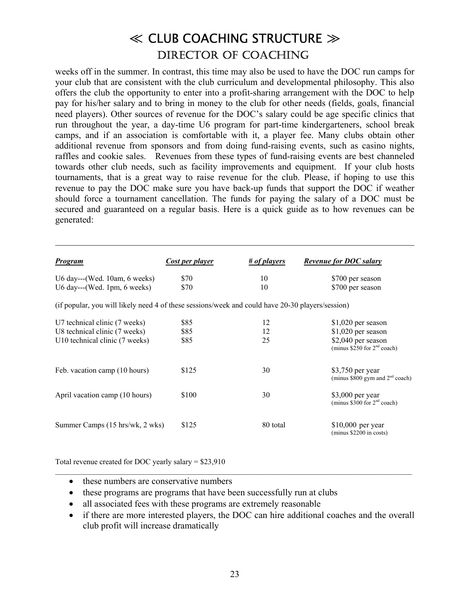weeks off in the summer. In contrast, this time may also be used to have the DOC run camps for your club that are consistent with the club curriculum and developmental philosophy. This also offers the club the opportunity to enter into a profit-sharing arrangement with the DOC to help pay for his/her salary and to bring in money to the club for other needs (fields, goals, financial need players). Other sources of revenue for the DOC's salary could be age specific clinics that run throughout the year, a day-time U6 program for part-time kindergarteners, school break camps, and if an association is comfortable with it, a player fee. Many clubs obtain other additional revenue from sponsors and from doing fund-raising events, such as casino nights, raffles and cookie sales. Revenues from these types of fund-raising events are best channeled towards other club needs, such as facility improvements and equipment. If your club hosts tournaments, that is a great way to raise revenue for the club. Please, if hoping to use this revenue to pay the DOC make sure you have back-up funds that support the DOC if weather should force a tournament cancellation. The funds for paying the salary of a DOC must be secured and guaranteed on a regular basis. Here is a quick guide as to how revenues can be generated:

 $\mathcal{L}_\mathcal{L} = \{ \mathcal{L}_\mathcal{L} = \{ \mathcal{L}_\mathcal{L} = \{ \mathcal{L}_\mathcal{L} = \{ \mathcal{L}_\mathcal{L} = \{ \mathcal{L}_\mathcal{L} = \{ \mathcal{L}_\mathcal{L} = \{ \mathcal{L}_\mathcal{L} = \{ \mathcal{L}_\mathcal{L} = \{ \mathcal{L}_\mathcal{L} = \{ \mathcal{L}_\mathcal{L} = \{ \mathcal{L}_\mathcal{L} = \{ \mathcal{L}_\mathcal{L} = \{ \mathcal{L}_\mathcal{L} = \{ \mathcal{L}_\mathcal{$ 

| <b>Program</b>                                                                                   | <b>Cost per player</b> | $\#$ of players | <b>Revenue for DOC salary</b>                         |  |
|--------------------------------------------------------------------------------------------------|------------------------|-----------------|-------------------------------------------------------|--|
| U6 day---(Wed. $10am$ , 6 weeks)                                                                 | \$70                   | 10              | \$700 per season                                      |  |
| $U6$ day---(Wed. 1pm, 6 weeks)                                                                   | \$70                   | 10              | \$700 per season                                      |  |
| (if popular, you will likely need 4 of these sessions/week and could have 20-30 players/session) |                        |                 |                                                       |  |
| U7 technical clinic (7 weeks)                                                                    | \$85                   | 12              | $$1,020$ per season                                   |  |
| U8 technical clinic (7 weeks)                                                                    | \$85                   | 12              | $$1,020$ per season                                   |  |
| U10 technical clinic (7 weeks)                                                                   | \$85                   | 25              | \$2,040 per season<br>(minus $$250$ for $2nd$ coach)  |  |
| Feb. vacation camp (10 hours)                                                                    | \$125                  | 30              | \$3,750 per year<br>(minus \$800 gym and $2nd$ coach) |  |
| April vacation camp (10 hours)                                                                   | \$100                  | 30              | $$3,000$ per year<br>(minus $$300$ for $2nd$ coach)   |  |
| Summer Camps (15 hrs/wk, 2 wks)                                                                  | \$125                  | 80 total        | $$10,000$ per year<br>(minus \$2200 in costs)         |  |

Total revenue created for DOC yearly salary = \$23,910

- these numbers are conservative numbers
- these programs are programs that have been successfully run at clubs
- all associated fees with these programs are extremely reasonable
- if there are more interested players, the DOC can hire additional coaches and the overall club profit will increase dramatically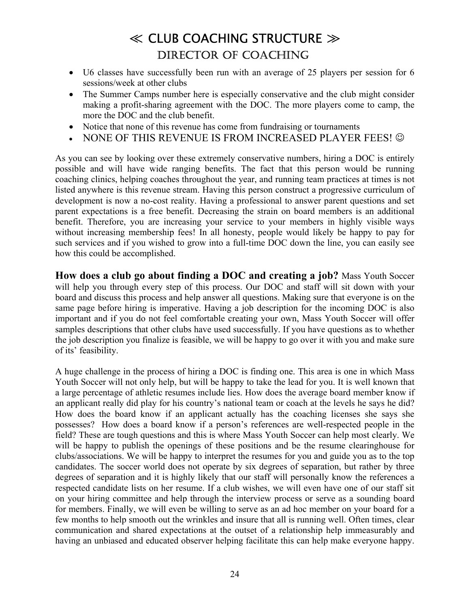- U6 classes have successfully been run with an average of 25 players per session for 6 sessions/week at other clubs
- The Summer Camps number here is especially conservative and the club might consider making a profit-sharing agreement with the DOC. The more players come to camp, the more the DOC and the club benefit.
- Notice that none of this revenue has come from fundraising or tournaments
- NONE OF THIS REVENUE IS FROM INCREASED PLAYER FEES!  $\odot$

As you can see by looking over these extremely conservative numbers, hiring a DOC is entirely possible and will have wide ranging benefits. The fact that this person would be running coaching clinics, helping coaches throughout the year, and running team practices at times is not listed anywhere is this revenue stream. Having this person construct a progressive curriculum of development is now a no-cost reality. Having a professional to answer parent questions and set parent expectations is a free benefit. Decreasing the strain on board members is an additional benefit. Therefore, you are increasing your service to your members in highly visible ways without increasing membership fees! In all honesty, people would likely be happy to pay for such services and if you wished to grow into a full-time DOC down the line, you can easily see how this could be accomplished.

**How does a club go about finding a DOC and creating a job?** Mass Youth Soccer will help you through every step of this process. Our DOC and staff will sit down with your board and discuss this process and help answer all questions. Making sure that everyone is on the same page before hiring is imperative. Having a job description for the incoming DOC is also important and if you do not feel comfortable creating your own, Mass Youth Soccer will offer samples descriptions that other clubs have used successfully. If you have questions as to whether the job description you finalize is feasible, we will be happy to go over it with you and make sure of its' feasibility.

A huge challenge in the process of hiring a DOC is finding one. This area is one in which Mass Youth Soccer will not only help, but will be happy to take the lead for you. It is well known that a large percentage of athletic resumes include lies. How does the average board member know if an applicant really did play for his country's national team or coach at the levels he says he did? How does the board know if an applicant actually has the coaching licenses she says she possesses? How does a board know if a person's references are well-respected people in the field? These are tough questions and this is where Mass Youth Soccer can help most clearly. We will be happy to publish the openings of these positions and be the resume clearinghouse for clubs/associations. We will be happy to interpret the resumes for you and guide you as to the top candidates. The soccer world does not operate by six degrees of separation, but rather by three degrees of separation and it is highly likely that our staff will personally know the references a respected candidate lists on her resume. If a club wishes, we will even have one of our staff sit on your hiring committee and help through the interview process or serve as a sounding board for members. Finally, we will even be willing to serve as an ad hoc member on your board for a few months to help smooth out the wrinkles and insure that all is running well. Often times, clear communication and shared expectations at the outset of a relationship help immeasurably and having an unbiased and educated observer helping facilitate this can help make everyone happy.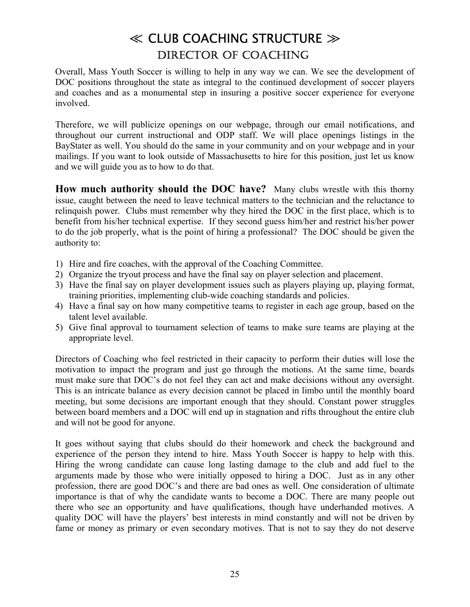Overall, Mass Youth Soccer is willing to help in any way we can. We see the development of DOC positions throughout the state as integral to the continued development of soccer players and coaches and as a monumental step in insuring a positive soccer experience for everyone involved.

Therefore, we will publicize openings on our webpage, through our email notifications, and throughout our current instructional and ODP staff. We will place openings listings in the BayStater as well. You should do the same in your community and on your webpage and in your mailings. If you want to look outside of Massachusetts to hire for this position, just let us know and we will guide you as to how to do that.

**How much authority should the DOC have?** Many clubs wrestle with this thorny issue, caught between the need to leave technical matters to the technician and the reluctance to relinquish power. Clubs must remember why they hired the DOC in the first place, which is to benefit from his/her technical expertise. If they second guess him/her and restrict his/her power to do the job properly, what is the point of hiring a professional? The DOC should be given the authority to:

- 1) Hire and fire coaches, with the approval of the Coaching Committee.
- 2) Organize the tryout process and have the final say on player selection and placement.
- 3) Have the final say on player development issues such as players playing up, playing format, training priorities, implementing club-wide coaching standards and policies.
- 4) Have a final say on how many competitive teams to register in each age group, based on the talent level available.
- 5) Give final approval to tournament selection of teams to make sure teams are playing at the appropriate level.

Directors of Coaching who feel restricted in their capacity to perform their duties will lose the motivation to impact the program and just go through the motions. At the same time, boards must make sure that DOC's do not feel they can act and make decisions without any oversight. This is an intricate balance as every decision cannot be placed in limbo until the monthly board meeting, but some decisions are important enough that they should. Constant power struggles between board members and a DOC will end up in stagnation and rifts throughout the entire club and will not be good for anyone.

It goes without saying that clubs should do their homework and check the background and experience of the person they intend to hire. Mass Youth Soccer is happy to help with this. Hiring the wrong candidate can cause long lasting damage to the club and add fuel to the arguments made by those who were initially opposed to hiring a DOC. Just as in any other profession, there are good DOC's and there are bad ones as well. One consideration of ultimate importance is that of why the candidate wants to become a DOC. There are many people out there who see an opportunity and have qualifications, though have underhanded motives. A quality DOC will have the players' best interests in mind constantly and will not be driven by fame or money as primary or even secondary motives. That is not to say they do not deserve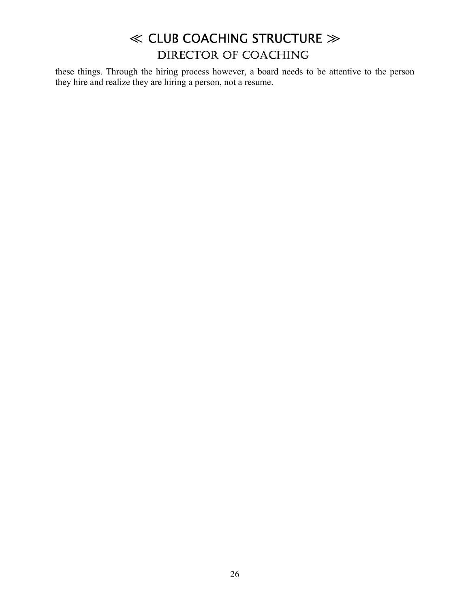these things. Through the hiring process however, a board needs to be attentive to the person they hire and realize they are hiring a person, not a resume.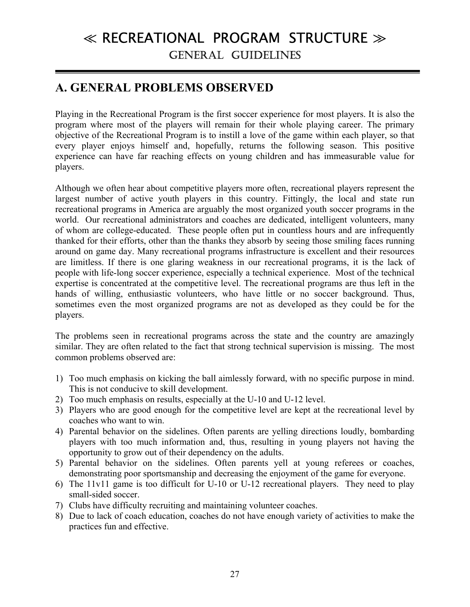### **A. GENERAL PROBLEMS OBSERVED**

Playing in the Recreational Program is the first soccer experience for most players. It is also the program where most of the players will remain for their whole playing career. The primary objective of the Recreational Program is to instill a love of the game within each player, so that every player enjoys himself and, hopefully, returns the following season. This positive experience can have far reaching effects on young children and has immeasurable value for players.

Although we often hear about competitive players more often, recreational players represent the largest number of active youth players in this country. Fittingly, the local and state run recreational programs in America are arguably the most organized youth soccer programs in the world. Our recreational administrators and coaches are dedicated, intelligent volunteers, many of whom are college-educated. These people often put in countless hours and are infrequently thanked for their efforts, other than the thanks they absorb by seeing those smiling faces running around on game day. Many recreational programs infrastructure is excellent and their resources are limitless. If there is one glaring weakness in our recreational programs, it is the lack of people with life-long soccer experience, especially a technical experience. Most of the technical expertise is concentrated at the competitive level. The recreational programs are thus left in the hands of willing, enthusiastic volunteers, who have little or no soccer background. Thus, sometimes even the most organized programs are not as developed as they could be for the players.

The problems seen in recreational programs across the state and the country are amazingly similar. They are often related to the fact that strong technical supervision is missing. The most common problems observed are:

- 1) Too much emphasis on kicking the ball aimlessly forward, with no specific purpose in mind. This is not conducive to skill development.
- 2) Too much emphasis on results, especially at the U-10 and U-12 level.
- 3) Players who are good enough for the competitive level are kept at the recreational level by coaches who want to win.
- 4) Parental behavior on the sidelines. Often parents are yelling directions loudly, bombarding players with too much information and, thus, resulting in young players not having the opportunity to grow out of their dependency on the adults.
- 5) Parental behavior on the sidelines. Often parents yell at young referees or coaches, demonstrating poor sportsmanship and decreasing the enjoyment of the game for everyone.
- 6) The 11v11 game is too difficult for U-10 or U-12 recreational players. They need to play small-sided soccer.
- 7) Clubs have difficulty recruiting and maintaining volunteer coaches.
- 8) Due to lack of coach education, coaches do not have enough variety of activities to make the practices fun and effective.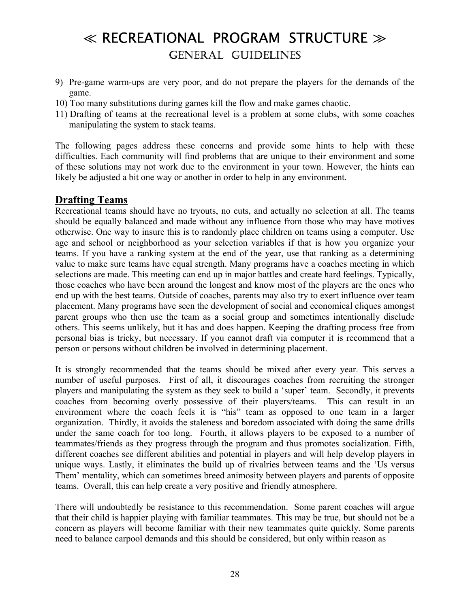- 9) Pre-game warm-ups are very poor, and do not prepare the players for the demands of the game.
- 10) Too many substitutions during games kill the flow and make games chaotic.
- 11) Drafting of teams at the recreational level is a problem at some clubs, with some coaches manipulating the system to stack teams.

The following pages address these concerns and provide some hints to help with these difficulties. Each community will find problems that are unique to their environment and some of these solutions may not work due to the environment in your town. However, the hints can likely be adjusted a bit one way or another in order to help in any environment.

#### **Drafting Teams**

Recreational teams should have no tryouts, no cuts, and actually no selection at all. The teams should be equally balanced and made without any influence from those who may have motives otherwise. One way to insure this is to randomly place children on teams using a computer. Use age and school or neighborhood as your selection variables if that is how you organize your teams. If you have a ranking system at the end of the year, use that ranking as a determining value to make sure teams have equal strength. Many programs have a coaches meeting in which selections are made. This meeting can end up in major battles and create hard feelings. Typically, those coaches who have been around the longest and know most of the players are the ones who end up with the best teams. Outside of coaches, parents may also try to exert influence over team placement. Many programs have seen the development of social and economical cliques amongst parent groups who then use the team as a social group and sometimes intentionally disclude others. This seems unlikely, but it has and does happen. Keeping the drafting process free from personal bias is tricky, but necessary. If you cannot draft via computer it is recommend that a person or persons without children be involved in determining placement.

It is strongly recommended that the teams should be mixed after every year. This serves a number of useful purposes. First of all, it discourages coaches from recruiting the stronger players and manipulating the system as they seek to build a 'super' team. Secondly, it prevents coaches from becoming overly possessive of their players/teams. This can result in an environment where the coach feels it is "his" team as opposed to one team in a larger organization. Thirdly, it avoids the staleness and boredom associated with doing the same drills under the same coach for too long. Fourth, it allows players to be exposed to a number of teammates/friends as they progress through the program and thus promotes socialization. Fifth, different coaches see different abilities and potential in players and will help develop players in unique ways. Lastly, it eliminates the build up of rivalries between teams and the ëUs versus Them' mentality, which can sometimes breed animosity between players and parents of opposite teams. Overall, this can help create a very positive and friendly atmosphere.

There will undoubtedly be resistance to this recommendation. Some parent coaches will argue that their child is happier playing with familiar teammates. This may be true, but should not be a concern as players will become familiar with their new teammates quite quickly. Some parents need to balance carpool demands and this should be considered, but only within reason as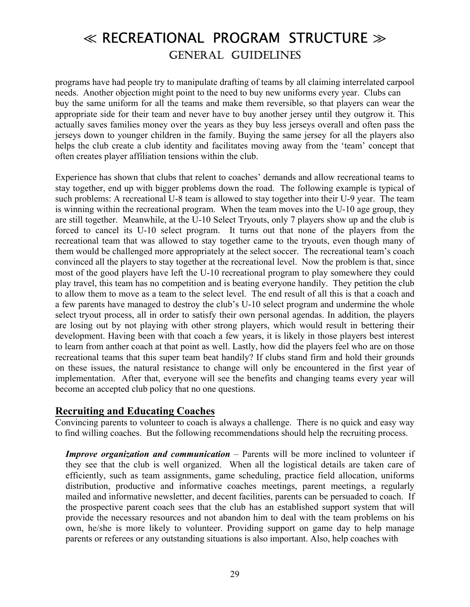programs have had people try to manipulate drafting of teams by all claiming interrelated carpool needs. Another objection might point to the need to buy new uniforms every year. Clubs can buy the same uniform for all the teams and make them reversible, so that players can wear the appropriate side for their team and never have to buy another jersey until they outgrow it. This actually saves families money over the years as they buy less jerseys overall and often pass the jerseys down to younger children in the family. Buying the same jersey for all the players also helps the club create a club identity and facilitates moving away from the 'team' concept that often creates player affiliation tensions within the club.

Experience has shown that clubs that relent to coaches' demands and allow recreational teams to stay together, end up with bigger problems down the road. The following example is typical of such problems: A recreational U-8 team is allowed to stay together into their U-9 year. The team is winning within the recreational program. When the team moves into the U-10 age group, they are still together. Meanwhile, at the U-10 Select Tryouts, only 7 players show up and the club is forced to cancel its U-10 select program. It turns out that none of the players from the recreational team that was allowed to stay together came to the tryouts, even though many of them would be challenged more appropriately at the select soccer. The recreational team's coach convinced all the players to stay together at the recreational level. Now the problem is that, since most of the good players have left the U-10 recreational program to play somewhere they could play travel, this team has no competition and is beating everyone handily. They petition the club to allow them to move as a team to the select level. The end result of all this is that a coach and a few parents have managed to destroy the club's U-10 select program and undermine the whole select tryout process, all in order to satisfy their own personal agendas. In addition, the players are losing out by not playing with other strong players, which would result in bettering their development. Having been with that coach a few years, it is likely in those players best interest to learn from anther coach at that point as well. Lastly, how did the players feel who are on those recreational teams that this super team beat handily? If clubs stand firm and hold their grounds on these issues, the natural resistance to change will only be encountered in the first year of implementation. After that, everyone will see the benefits and changing teams every year will become an accepted club policy that no one questions.

#### **Recruiting and Educating Coaches**

Convincing parents to volunteer to coach is always a challenge. There is no quick and easy way to find willing coaches. But the following recommendations should help the recruiting process.

*Improve organization and communication* – Parents will be more inclined to volunteer if they see that the club is well organized. When all the logistical details are taken care of efficiently, such as team assignments, game scheduling, practice field allocation, uniforms distribution, productive and informative coaches meetings, parent meetings, a regularly mailed and informative newsletter, and decent facilities, parents can be persuaded to coach. If the prospective parent coach sees that the club has an established support system that will provide the necessary resources and not abandon him to deal with the team problems on his own, he/she is more likely to volunteer. Providing support on game day to help manage parents or referees or any outstanding situations is also important. Also, help coaches with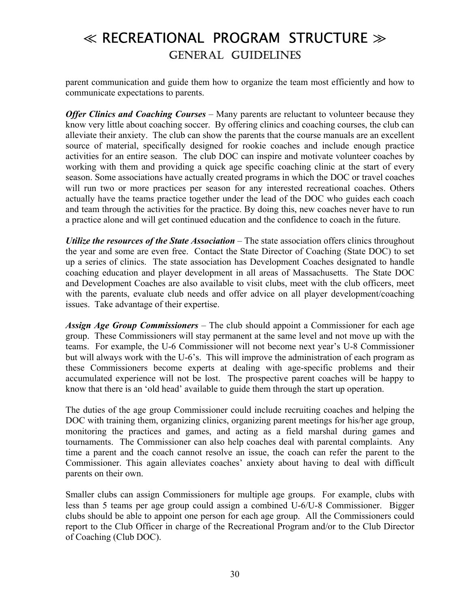parent communication and guide them how to organize the team most efficiently and how to communicate expectations to parents.

*Offer Clinics and Coaching Courses* – Many parents are reluctant to volunteer because they know very little about coaching soccer. By offering clinics and coaching courses, the club can alleviate their anxiety. The club can show the parents that the course manuals are an excellent source of material, specifically designed for rookie coaches and include enough practice activities for an entire season. The club DOC can inspire and motivate volunteer coaches by working with them and providing a quick age specific coaching clinic at the start of every season. Some associations have actually created programs in which the DOC or travel coaches will run two or more practices per season for any interested recreational coaches. Others actually have the teams practice together under the lead of the DOC who guides each coach and team through the activities for the practice. By doing this, new coaches never have to run a practice alone and will get continued education and the confidence to coach in the future.

*Utilize the resources of the State Association* – The state association offers clinics throughout the year and some are even free. Contact the State Director of Coaching (State DOC) to set up a series of clinics. The state association has Development Coaches designated to handle coaching education and player development in all areas of Massachusetts. The State DOC and Development Coaches are also available to visit clubs, meet with the club officers, meet with the parents, evaluate club needs and offer advice on all player development/coaching issues. Take advantage of their expertise.

*Assign Age Group Commissioners* – The club should appoint a Commissioner for each age group. These Commissioners will stay permanent at the same level and not move up with the teams. For example, the U-6 Commissioner will not become next year's U-8 Commissioner but will always work with the U-6's. This will improve the administration of each program as these Commissioners become experts at dealing with age-specific problems and their accumulated experience will not be lost. The prospective parent coaches will be happy to know that there is an 'old head' available to guide them through the start up operation.

The duties of the age group Commissioner could include recruiting coaches and helping the DOC with training them, organizing clinics, organizing parent meetings for his/her age group, monitoring the practices and games, and acting as a field marshal during games and tournaments. The Commissioner can also help coaches deal with parental complaints. Any time a parent and the coach cannot resolve an issue, the coach can refer the parent to the Commissioner. This again alleviates coaches' anxiety about having to deal with difficult parents on their own.

Smaller clubs can assign Commissioners for multiple age groups. For example, clubs with less than 5 teams per age group could assign a combined U-6/U-8 Commissioner. Bigger clubs should be able to appoint one person for each age group. All the Commissioners could report to the Club Officer in charge of the Recreational Program and/or to the Club Director of Coaching (Club DOC).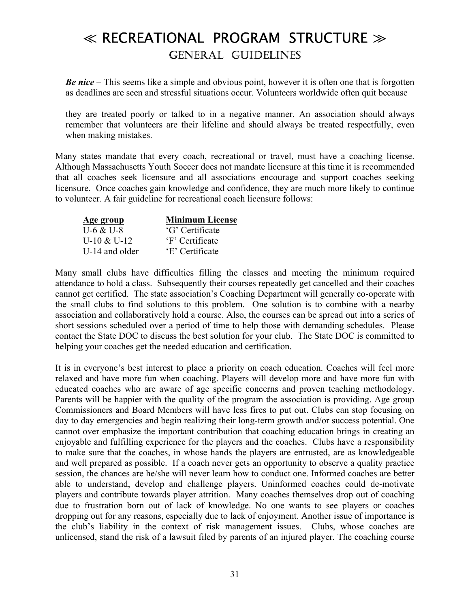*Be nice* – This seems like a simple and obvious point, however it is often one that is forgotten as deadlines are seen and stressful situations occur. Volunteers worldwide often quit because

they are treated poorly or talked to in a negative manner. An association should always remember that volunteers are their lifeline and should always be treated respectfully, even when making mistakes.

Many states mandate that every coach, recreational or travel, must have a coaching license. Although Massachusetts Youth Soccer does not mandate licensure at this time it is recommended that all coaches seek licensure and all associations encourage and support coaches seeking licensure. Once coaches gain knowledge and confidence, they are much more likely to continue to volunteer. A fair guideline for recreational coach licensure follows:

| Age group      | <b>Minimum License</b> |
|----------------|------------------------|
| U-6 & U-8      | 'G' Certificate        |
| $U-10 & U-12$  | 'F' Certificate        |
| U-14 and older | 'E' Certificate        |

Many small clubs have difficulties filling the classes and meeting the minimum required attendance to hold a class. Subsequently their courses repeatedly get cancelled and their coaches cannot get certified. The state association's Coaching Department will generally co-operate with the small clubs to find solutions to this problem. One solution is to combine with a nearby association and collaboratively hold a course. Also, the courses can be spread out into a series of short sessions scheduled over a period of time to help those with demanding schedules. Please contact the State DOC to discuss the best solution for your club. The State DOC is committed to helping your coaches get the needed education and certification.

It is in everyone's best interest to place a priority on coach education. Coaches will feel more relaxed and have more fun when coaching. Players will develop more and have more fun with educated coaches who are aware of age specific concerns and proven teaching methodology. Parents will be happier with the quality of the program the association is providing. Age group Commissioners and Board Members will have less fires to put out. Clubs can stop focusing on day to day emergencies and begin realizing their long-term growth and/or success potential. One cannot over emphasize the important contribution that coaching education brings in creating an enjoyable and fulfilling experience for the players and the coaches. Clubs have a responsibility to make sure that the coaches, in whose hands the players are entrusted, are as knowledgeable and well prepared as possible. If a coach never gets an opportunity to observe a quality practice session, the chances are he/she will never learn how to conduct one. Informed coaches are better able to understand, develop and challenge players. Uninformed coaches could de-motivate players and contribute towards player attrition. Many coaches themselves drop out of coaching due to frustration born out of lack of knowledge. No one wants to see players or coaches dropping out for any reasons, especially due to lack of enjoyment. Another issue of importance is the club's liability in the context of risk management issues. Clubs, whose coaches are unlicensed, stand the risk of a lawsuit filed by parents of an injured player. The coaching course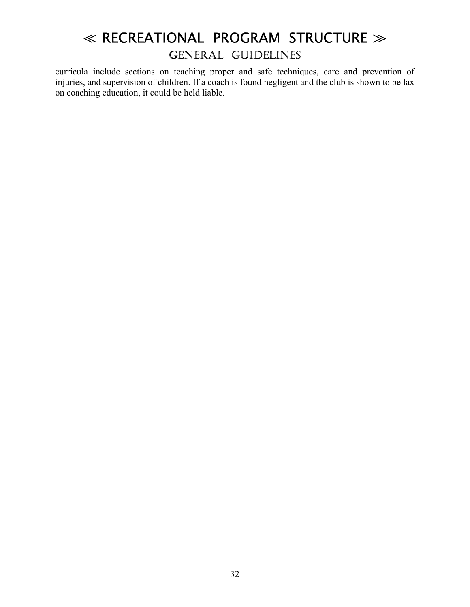curricula include sections on teaching proper and safe techniques, care and prevention of injuries, and supervision of children. If a coach is found negligent and the club is shown to be lax on coaching education, it could be held liable.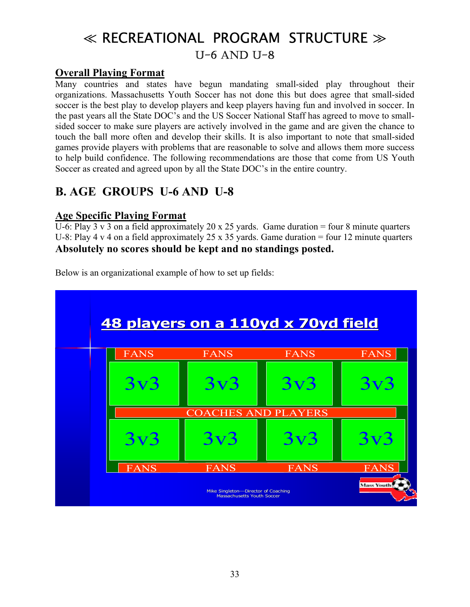## ≪ RECREATIONAL PROGRAM STRUCTURE ≫ U-6 AND U-8

#### **Overall Playing Format**

Many countries and states have begun mandating small-sided play throughout their organizations. Massachusetts Youth Soccer has not done this but does agree that small-sided soccer is the best play to develop players and keep players having fun and involved in soccer. In the past years all the State DOC's and the US Soccer National Staff has agreed to move to smallsided soccer to make sure players are actively involved in the game and are given the chance to touch the ball more often and develop their skills. It is also important to note that small-sided games provide players with problems that are reasonable to solve and allows them more success to help build confidence. The following recommendations are those that come from US Youth Soccer as created and agreed upon by all the State DOC's in the entire country.

### **B. AGE GROUPS U-6 AND U-8**

#### **Age Specific Playing Format**

U-6: Play 3 v 3 on a field approximately 20 x 25 yards. Game duration = four 8 minute quarters U-8: Play 4 v 4 on a field approximately 25 x 35 yards. Game duration = four 12 minute quarters **Absolutely no scores should be kept and no standings posted.** 



Below is an organizational example of how to set up fields: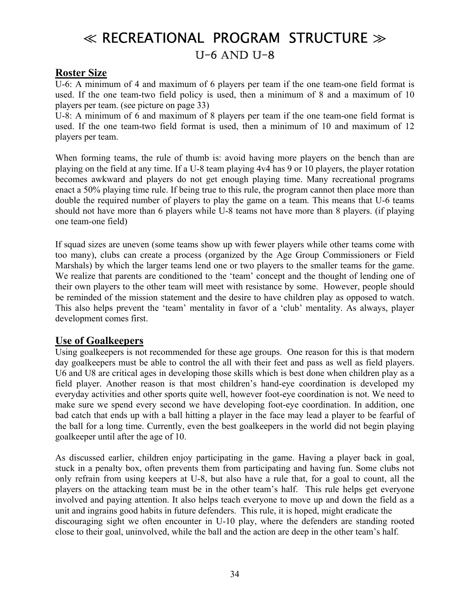## ≪ RECREATIONAL PROGRAM STRUCTURE ≫ U-6 AND U-8

#### **Roster Size**

U-6: A minimum of 4 and maximum of 6 players per team if the one team-one field format is used. If the one team-two field policy is used, then a minimum of 8 and a maximum of 10 players per team. (see picture on page 33)

U-8: A minimum of 6 and maximum of 8 players per team if the one team-one field format is used. If the one team-two field format is used, then a minimum of 10 and maximum of 12 players per team.

When forming teams, the rule of thumb is: avoid having more players on the bench than are playing on the field at any time. If a U-8 team playing 4v4 has 9 or 10 players, the player rotation becomes awkward and players do not get enough playing time. Many recreational programs enact a 50% playing time rule. If being true to this rule, the program cannot then place more than double the required number of players to play the game on a team. This means that U-6 teams should not have more than 6 players while U-8 teams not have more than 8 players. (if playing one team-one field)

If squad sizes are uneven (some teams show up with fewer players while other teams come with too many), clubs can create a process (organized by the Age Group Commissioners or Field Marshals) by which the larger teams lend one or two players to the smaller teams for the game. We realize that parents are conditioned to the 'team' concept and the thought of lending one of their own players to the other team will meet with resistance by some. However, people should be reminded of the mission statement and the desire to have children play as opposed to watch. This also helps prevent the 'team' mentality in favor of a 'club' mentality. As always, player development comes first.

#### **Use of Goalkeepers**

Using goalkeepers is not recommended for these age groups. One reason for this is that modern day goalkeepers must be able to control the all with their feet and pass as well as field players. U6 and U8 are critical ages in developing those skills which is best done when children play as a field player. Another reason is that most children's hand-eye coordination is developed my everyday activities and other sports quite well, however foot-eye coordination is not. We need to make sure we spend every second we have developing foot-eye coordination. In addition, one bad catch that ends up with a ball hitting a player in the face may lead a player to be fearful of the ball for a long time. Currently, even the best goalkeepers in the world did not begin playing goalkeeper until after the age of 10.

As discussed earlier, children enjoy participating in the game. Having a player back in goal, stuck in a penalty box, often prevents them from participating and having fun. Some clubs not only refrain from using keepers at U-8, but also have a rule that, for a goal to count, all the players on the attacking team must be in the other team's half. This rule helps get everyone involved and paying attention. It also helps teach everyone to move up and down the field as a unit and ingrains good habits in future defenders. This rule, it is hoped, might eradicate the discouraging sight we often encounter in U-10 play, where the defenders are standing rooted close to their goal, uninvolved, while the ball and the action are deep in the other team's half.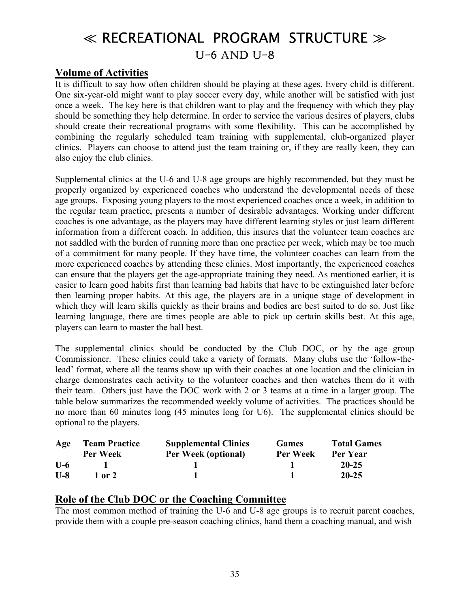## ≪ RECREATIONAL PROGRAM STRUCTURE ≫ U-6 AND U-8

#### **Volume of Activities**

It is difficult to say how often children should be playing at these ages. Every child is different. One six-year-old might want to play soccer every day, while another will be satisfied with just once a week. The key here is that children want to play and the frequency with which they play should be something they help determine. In order to service the various desires of players, clubs should create their recreational programs with some flexibility. This can be accomplished by combining the regularly scheduled team training with supplemental, club-organized player clinics. Players can choose to attend just the team training or, if they are really keen, they can also enjoy the club clinics.

Supplemental clinics at the U-6 and U-8 age groups are highly recommended, but they must be properly organized by experienced coaches who understand the developmental needs of these age groups. Exposing young players to the most experienced coaches once a week, in addition to the regular team practice, presents a number of desirable advantages. Working under different coaches is one advantage, as the players may have different learning styles or just learn different information from a different coach. In addition, this insures that the volunteer team coaches are not saddled with the burden of running more than one practice per week, which may be too much of a commitment for many people. If they have time, the volunteer coaches can learn from the more experienced coaches by attending these clinics. Most importantly, the experienced coaches can ensure that the players get the age-appropriate training they need. As mentioned earlier, it is easier to learn good habits first than learning bad habits that have to be extinguished later before then learning proper habits. At this age, the players are in a unique stage of development in which they will learn skills quickly as their brains and bodies are best suited to do so. Just like learning language, there are times people are able to pick up certain skills best. At this age, players can learn to master the ball best.

The supplemental clinics should be conducted by the Club DOC, or by the age group Commissioner. These clinics could take a variety of formats. Many clubs use the 'follow-thelead' format, where all the teams show up with their coaches at one location and the clinician in charge demonstrates each activity to the volunteer coaches and then watches them do it with their team. Others just have the DOC work with 2 or 3 teams at a time in a larger group. The table below summarizes the recommended weekly volume of activities. The practices should be no more than 60 minutes long (45 minutes long for U6). The supplemental clinics should be optional to the players.

| Age   | <b>Team Practice</b> | <b>Supplemental Clinics</b> | <b>Games</b>    | <b>Total Games</b> |
|-------|----------------------|-----------------------------|-----------------|--------------------|
|       | <b>Per Week</b>      | <b>Per Week (optional)</b>  | <b>Per Week</b> | Per Year           |
| $U-6$ |                      |                             |                 | $20 - 25$          |
| $U-A$ | 1 or 2               |                             |                 | $20 - 25$          |

#### **Role of the Club DOC or the Coaching Committee**

The most common method of training the U-6 and U-8 age groups is to recruit parent coaches, provide them with a couple pre-season coaching clinics, hand them a coaching manual, and wish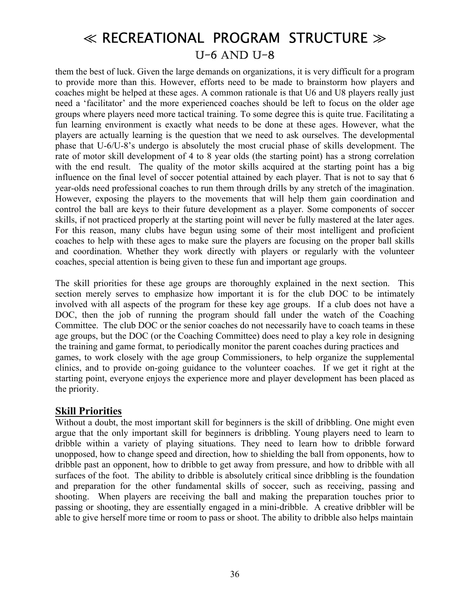them the best of luck. Given the large demands on organizations, it is very difficult for a program to provide more than this. However, efforts need to be made to brainstorm how players and coaches might be helped at these ages. A common rationale is that U6 and U8 players really just need a 'facilitator' and the more experienced coaches should be left to focus on the older age groups where players need more tactical training. To some degree this is quite true. Facilitating a fun learning environment is exactly what needs to be done at these ages. However, what the players are actually learning is the question that we need to ask ourselves. The developmental phase that U-6/U-8ís undergo is absolutely the most crucial phase of skills development. The rate of motor skill development of 4 to 8 year olds (the starting point) has a strong correlation with the end result. The quality of the motor skills acquired at the starting point has a big influence on the final level of soccer potential attained by each player. That is not to say that 6 year-olds need professional coaches to run them through drills by any stretch of the imagination. However, exposing the players to the movements that will help them gain coordination and control the ball are keys to their future development as a player. Some components of soccer skills, if not practiced properly at the starting point will never be fully mastered at the later ages. For this reason, many clubs have begun using some of their most intelligent and proficient coaches to help with these ages to make sure the players are focusing on the proper ball skills and coordination. Whether they work directly with players or regularly with the volunteer coaches, special attention is being given to these fun and important age groups.

The skill priorities for these age groups are thoroughly explained in the next section. This section merely serves to emphasize how important it is for the club DOC to be intimately involved with all aspects of the program for these key age groups. If a club does not have a DOC, then the job of running the program should fall under the watch of the Coaching Committee. The club DOC or the senior coaches do not necessarily have to coach teams in these age groups, but the DOC (or the Coaching Committee) does need to play a key role in designing the training and game format, to periodically monitor the parent coaches during practices and games, to work closely with the age group Commissioners, to help organize the supplemental clinics, and to provide on-going guidance to the volunteer coaches. If we get it right at the starting point, everyone enjoys the experience more and player development has been placed as the priority.

#### **Skill Priorities**

Without a doubt, the most important skill for beginners is the skill of dribbling. One might even argue that the only important skill for beginners is dribbling. Young players need to learn to dribble within a variety of playing situations. They need to learn how to dribble forward unopposed, how to change speed and direction, how to shielding the ball from opponents, how to dribble past an opponent, how to dribble to get away from pressure, and how to dribble with all surfaces of the foot. The ability to dribble is absolutely critical since dribbling is the foundation and preparation for the other fundamental skills of soccer, such as receiving, passing and shooting. When players are receiving the ball and making the preparation touches prior to passing or shooting, they are essentially engaged in a mini-dribble. A creative dribbler will be able to give herself more time or room to pass or shoot. The ability to dribble also helps maintain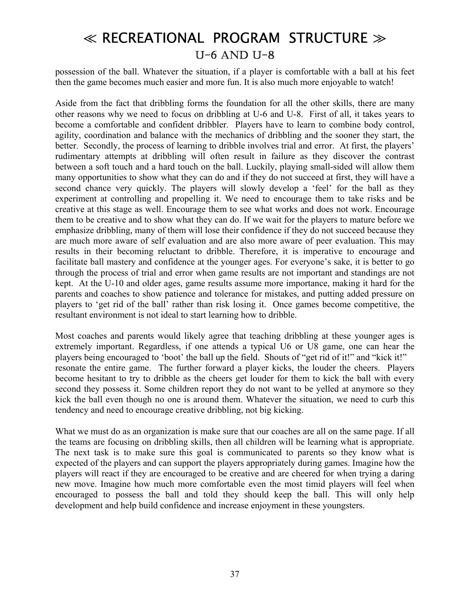possession of the ball. Whatever the situation, if a player is comfortable with a ball at his feet then the game becomes much easier and more fun. It is also much more enjoyable to watch!

Aside from the fact that dribbling forms the foundation for all the other skills, there are many other reasons why we need to focus on dribbling at U-6 and U-8. First of all, it takes years to become a comfortable and confident dribbler. Players have to learn to combine body control, agility, coordination and balance with the mechanics of dribbling and the sooner they start, the better. Secondly, the process of learning to dribble involves trial and error. At first, the players' rudimentary attempts at dribbling will often result in failure as they discover the contrast between a soft touch and a hard touch on the ball. Luckily, playing small-sided will allow them many opportunities to show what they can do and if they do not succeed at first, they will have a second chance very quickly. The players will slowly develop a 'feel' for the ball as they experiment at controlling and propelling it. We need to encourage them to take risks and be creative at this stage as well. Encourage them to see what works and does not work. Encourage them to be creative and to show what they can do. If we wait for the players to mature before we emphasize dribbling, many of them will lose their confidence if they do not succeed because they are much more aware of self evaluation and are also more aware of peer evaluation. This may results in their becoming reluctant to dribble. Therefore, it is imperative to encourage and facilitate ball mastery and confidence at the younger ages. For everyone's sake, it is better to go through the process of trial and error when game results are not important and standings are not kept. At the U-10 and older ages, game results assume more importance, making it hard for the parents and coaches to show patience and tolerance for mistakes, and putting added pressure on players to 'get rid of the ball' rather than risk losing it. Once games become competitive, the resultant environment is not ideal to start learning how to dribble.

Most coaches and parents would likely agree that teaching dribbling at these younger ages is extremely important. Regardless, if one attends a typical U6 or U8 game, one can hear the players being encouraged to 'boot' the ball up the field. Shouts of "get rid of it!" and "kick it!" resonate the entire game. The further forward a player kicks, the louder the cheers. Players become hesitant to try to dribble as the cheers get louder for them to kick the ball with every second they possess it. Some children report they do not want to be yelled at anymore so they kick the ball even though no one is around them. Whatever the situation, we need to curb this tendency and need to encourage creative dribbling, not big kicking.

What we must do as an organization is make sure that our coaches are all on the same page. If all the teams are focusing on dribbling skills, then all children will be learning what is appropriate. The next task is to make sure this goal is communicated to parents so they know what is expected of the players and can support the players appropriately during games. Imagine how the players will react if they are encouraged to be creative and are cheered for when trying a daring new move. Imagine how much more comfortable even the most timid players will feel when encouraged to possess the ball and told they should keep the ball. This will only help development and help build confidence and increase enjoyment in these youngsters.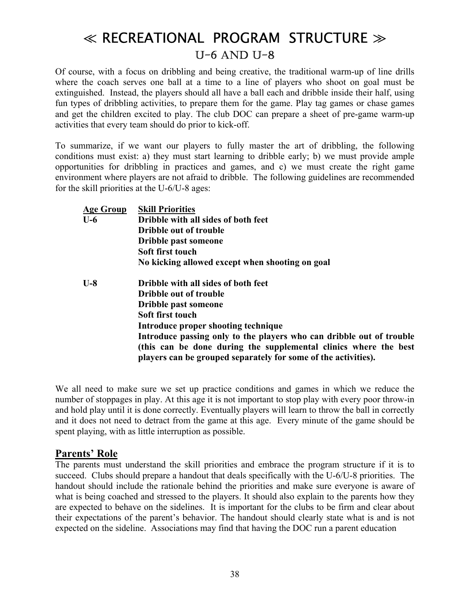Of course, with a focus on dribbling and being creative, the traditional warm-up of line drills where the coach serves one ball at a time to a line of players who shoot on goal must be extinguished. Instead, the players should all have a ball each and dribble inside their half, using fun types of dribbling activities, to prepare them for the game. Play tag games or chase games and get the children excited to play. The club DOC can prepare a sheet of pre-game warm-up activities that every team should do prior to kick-off.

To summarize, if we want our players to fully master the art of dribbling, the following conditions must exist: a) they must start learning to dribble early; b) we must provide ample opportunities for dribbling in practices and games, and c) we must create the right game environment where players are not afraid to dribble. The following guidelines are recommended for the skill priorities at the U-6/U-8 ages:

| <b>Age Group</b> | <b>Skill Priorities</b>                                              |  |  |
|------------------|----------------------------------------------------------------------|--|--|
| $U-6$            | Dribble with all sides of both feet                                  |  |  |
|                  | <b>Dribble out of trouble</b>                                        |  |  |
|                  | Dribble past someone                                                 |  |  |
|                  | Soft first touch                                                     |  |  |
|                  | No kicking allowed except when shooting on goal                      |  |  |
| $U-8$            | Dribble with all sides of both feet                                  |  |  |
|                  | <b>Dribble out of trouble</b>                                        |  |  |
|                  | Dribble past someone                                                 |  |  |
|                  | Soft first touch                                                     |  |  |
|                  | Introduce proper shooting technique                                  |  |  |
|                  | Introduce passing only to the players who can dribble out of trouble |  |  |
|                  | (this can be done during the supplemental clinics where the best     |  |  |
|                  | players can be grouped separately for some of the activities).       |  |  |
|                  |                                                                      |  |  |

We all need to make sure we set up practice conditions and games in which we reduce the number of stoppages in play. At this age it is not important to stop play with every poor throw-in and hold play until it is done correctly. Eventually players will learn to throw the ball in correctly and it does not need to detract from the game at this age. Every minute of the game should be spent playing, with as little interruption as possible.

#### Parents' Role

The parents must understand the skill priorities and embrace the program structure if it is to succeed. Clubs should prepare a handout that deals specifically with the U-6/U-8 priorities. The handout should include the rationale behind the priorities and make sure everyone is aware of what is being coached and stressed to the players. It should also explain to the parents how they are expected to behave on the sidelines. It is important for the clubs to be firm and clear about their expectations of the parent's behavior. The handout should clearly state what is and is not expected on the sideline. Associations may find that having the DOC run a parent education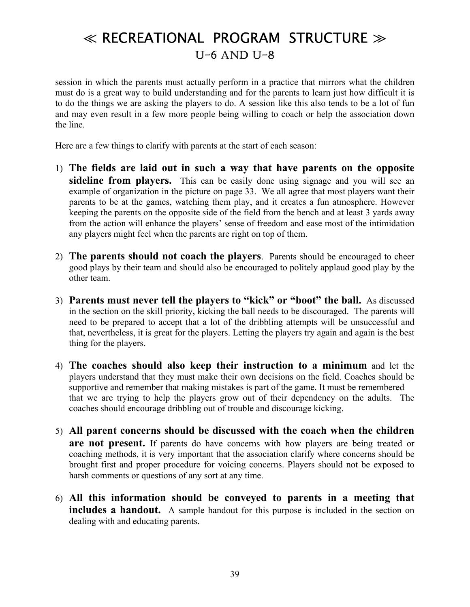session in which the parents must actually perform in a practice that mirrors what the children must do is a great way to build understanding and for the parents to learn just how difficult it is to do the things we are asking the players to do. A session like this also tends to be a lot of fun and may even result in a few more people being willing to coach or help the association down the line.

Here are a few things to clarify with parents at the start of each season:

- 1) **The fields are laid out in such a way that have parents on the opposite**  sideline from players. This can be easily done using signage and you will see an example of organization in the picture on page 33. We all agree that most players want their parents to be at the games, watching them play, and it creates a fun atmosphere. However keeping the parents on the opposite side of the field from the bench and at least 3 yards away from the action will enhance the players' sense of freedom and ease most of the intimidation any players might feel when the parents are right on top of them.
- 2) **The parents should not coach the players**. Parents should be encouraged to cheer good plays by their team and should also be encouraged to politely applaud good play by the other team.
- 3) **Parents must never tell the players to "kick" or "boot" the ball.** As discussed in the section on the skill priority, kicking the ball needs to be discouraged. The parents will need to be prepared to accept that a lot of the dribbling attempts will be unsuccessful and that, nevertheless, it is great for the players. Letting the players try again and again is the best thing for the players.
- 4) **The coaches should also keep their instruction to a minimum** and let the players understand that they must make their own decisions on the field. Coaches should be supportive and remember that making mistakes is part of the game. It must be remembered that we are trying to help the players grow out of their dependency on the adults. The coaches should encourage dribbling out of trouble and discourage kicking.
- 5) **All parent concerns should be discussed with the coach when the children are not present.** If parents do have concerns with how players are being treated or coaching methods, it is very important that the association clarify where concerns should be brought first and proper procedure for voicing concerns. Players should not be exposed to harsh comments or questions of any sort at any time.
- 6) **All this information should be conveyed to parents in a meeting that includes a handout.** A sample handout for this purpose is included in the section on dealing with and educating parents.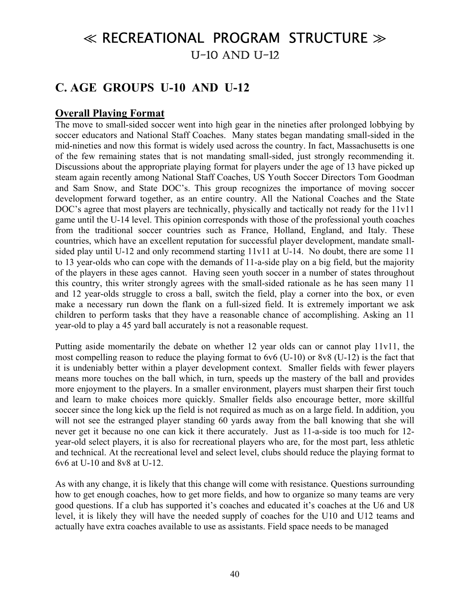### **C. AGE GROUPS U-10 AND U-12**

### **Overall Playing Format**

The move to small-sided soccer went into high gear in the nineties after prolonged lobbying by soccer educators and National Staff Coaches. Many states began mandating small-sided in the mid-nineties and now this format is widely used across the country. In fact, Massachusetts is one of the few remaining states that is not mandating small-sided, just strongly recommending it. Discussions about the appropriate playing format for players under the age of 13 have picked up steam again recently among National Staff Coaches, US Youth Soccer Directors Tom Goodman and Sam Snow, and State DOC's. This group recognizes the importance of moving soccer development forward together, as an entire country. All the National Coaches and the State DOC's agree that most players are technically, physically and tactically not ready for the 11v11 game until the U-14 level. This opinion corresponds with those of the professional youth coaches from the traditional soccer countries such as France, Holland, England, and Italy. These countries, which have an excellent reputation for successful player development, mandate smallsided play until U-12 and only recommend starting 11v11 at U-14. No doubt, there are some 11 to 13 year-olds who can cope with the demands of 11-a-side play on a big field, but the majority of the players in these ages cannot. Having seen youth soccer in a number of states throughout this country, this writer strongly agrees with the small-sided rationale as he has seen many 11 and 12 year-olds struggle to cross a ball, switch the field, play a corner into the box, or even make a necessary run down the flank on a full-sized field. It is extremely important we ask children to perform tasks that they have a reasonable chance of accomplishing. Asking an 11 year-old to play a 45 yard ball accurately is not a reasonable request.

Putting aside momentarily the debate on whether 12 year olds can or cannot play 11v11, the most compelling reason to reduce the playing format to 6v6 (U-10) or 8v8 (U-12) is the fact that it is undeniably better within a player development context. Smaller fields with fewer players means more touches on the ball which, in turn, speeds up the mastery of the ball and provides more enjoyment to the players. In a smaller environment, players must sharpen their first touch and learn to make choices more quickly. Smaller fields also encourage better, more skillful soccer since the long kick up the field is not required as much as on a large field. In addition, you will not see the estranged player standing 60 yards away from the ball knowing that she will never get it because no one can kick it there accurately. Just as 11-a-side is too much for 12 year-old select players, it is also for recreational players who are, for the most part, less athletic and technical. At the recreational level and select level, clubs should reduce the playing format to 6v6 at U-10 and 8v8 at U-12.

As with any change, it is likely that this change will come with resistance. Questions surrounding how to get enough coaches, how to get more fields, and how to organize so many teams are very good questions. If a club has supported it's coaches and educated it's coaches at the U6 and U8 level, it is likely they will have the needed supply of coaches for the U10 and U12 teams and actually have extra coaches available to use as assistants. Field space needs to be managed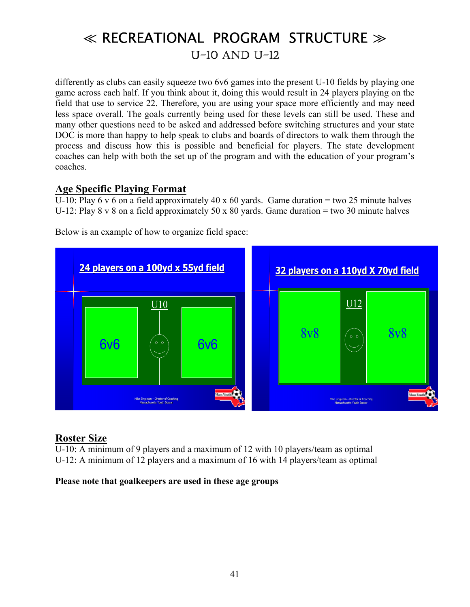differently as clubs can easily squeeze two 6v6 games into the present U-10 fields by playing one game across each half. If you think about it, doing this would result in 24 players playing on the field that use to service 22. Therefore, you are using your space more efficiently and may need less space overall. The goals currently being used for these levels can still be used. These and many other questions need to be asked and addressed before switching structures and your state DOC is more than happy to help speak to clubs and boards of directors to walk them through the process and discuss how this is possible and beneficial for players. The state development coaches can help with both the set up of the program and with the education of your program's coaches.

#### **Age Specific Playing Format**

U-10: Play 6 v 6 on a field approximately 40 x 60 yards. Game duration = two 25 minute halves U-12: Play 8 v 8 on a field approximately 50 x 80 yards. Game duration = two 30 minute halves



Below is an example of how to organize field space:

#### **Roster Size**

U-10: A minimum of 9 players and a maximum of 12 with 10 players/team as optimal U-12: A minimum of 12 players and a maximum of 16 with 14 players/team as optimal

#### **Please note that goalkeepers are used in these age groups**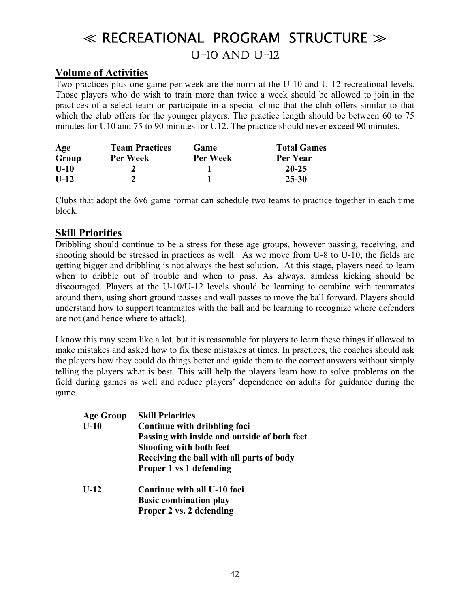#### **Volume of Activities**

Two practices plus one game per week are the norm at the U-10 and U-12 recreational levels. Those players who do wish to train more than twice a week should be allowed to join in the practices of a select team or participate in a special clinic that the club offers similar to that which the club offers for the younger players. The practice length should be between 60 to 75 minutes for U10 and 75 to 90 minutes for U12. The practice should never exceed 90 minutes.

| Age    | <b>Team Practices</b> | Game            | <b>Total Games</b> |
|--------|-----------------------|-----------------|--------------------|
| Group  | Per Week              | <b>Per Week</b> | Per Year           |
| $U-10$ |                       |                 | $20 - 25$          |
| $U-12$ |                       |                 | 25-30              |

Clubs that adopt the 6v6 game format can schedule two teams to practice together in each time block.

#### **Skill Priorities**

Dribbling should continue to be a stress for these age groups, however passing, receiving, and shooting should be stressed in practices as well. As we move from U-8 to U-10, the fields are getting bigger and dribbling is not always the best solution. At this stage, players need to learn when to dribble out of trouble and when to pass. As always, aimless kicking should be discouraged. Players at the U-10/U-12 levels should be learning to combine with teammates around them, using short ground passes and wall passes to move the ball forward. Players should understand how to support teammates with the ball and be learning to recognize where defenders are not (and hence where to attack).

I know this may seem like a lot, but it is reasonable for players to learn these things if allowed to make mistakes and asked how to fix those mistakes at times. In practices, the coaches should ask the players how they could do things better and guide them to the correct answers without simply telling the players what is best. This will help the players learn how to solve problems on the field during games as well and reduce players' dependence on adults for guidance during the game.

| <b>Age Group</b> | <b>Skill Priorities</b>                      |
|------------------|----------------------------------------------|
| $U-10$           | Continue with dribbling foci                 |
|                  | Passing with inside and outside of both feet |
|                  | Shooting with both feet                      |
|                  | Receiving the ball with all parts of body    |
|                  | Proper 1 vs 1 defending                      |
| $U-12$           | Continue with all U-10 foci                  |
|                  | <b>Basic combination play</b>                |
|                  | Proper 2 vs. 2 defending                     |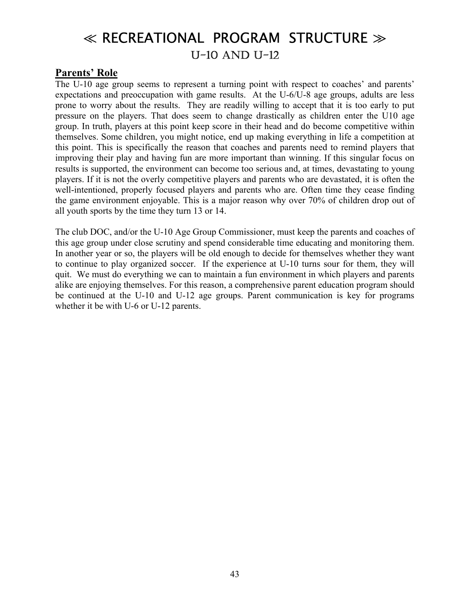#### **Parents' Role**

The U-10 age group seems to represent a turning point with respect to coaches' and parents' expectations and preoccupation with game results. At the U-6/U-8 age groups, adults are less prone to worry about the results. They are readily willing to accept that it is too early to put pressure on the players. That does seem to change drastically as children enter the U10 age group. In truth, players at this point keep score in their head and do become competitive within themselves. Some children, you might notice, end up making everything in life a competition at this point. This is specifically the reason that coaches and parents need to remind players that improving their play and having fun are more important than winning. If this singular focus on results is supported, the environment can become too serious and, at times, devastating to young players. If it is not the overly competitive players and parents who are devastated, it is often the well-intentioned, properly focused players and parents who are. Often time they cease finding the game environment enjoyable. This is a major reason why over 70% of children drop out of all youth sports by the time they turn 13 or 14.

The club DOC, and/or the U-10 Age Group Commissioner, must keep the parents and coaches of this age group under close scrutiny and spend considerable time educating and monitoring them. In another year or so, the players will be old enough to decide for themselves whether they want to continue to play organized soccer. If the experience at U-10 turns sour for them, they will quit. We must do everything we can to maintain a fun environment in which players and parents alike are enjoying themselves. For this reason, a comprehensive parent education program should be continued at the U-10 and U-12 age groups. Parent communication is key for programs whether it be with U-6 or U-12 parents.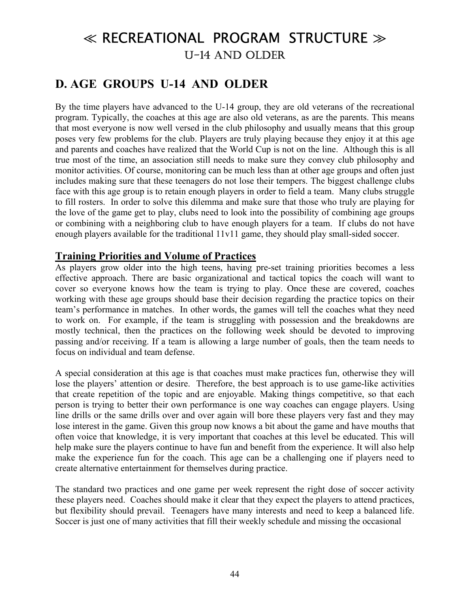### **D. AGE GROUPS U-14 AND OLDER**

By the time players have advanced to the U-14 group, they are old veterans of the recreational program. Typically, the coaches at this age are also old veterans, as are the parents. This means that most everyone is now well versed in the club philosophy and usually means that this group poses very few problems for the club. Players are truly playing because they enjoy it at this age and parents and coaches have realized that the World Cup is not on the line. Although this is all true most of the time, an association still needs to make sure they convey club philosophy and monitor activities. Of course, monitoring can be much less than at other age groups and often just includes making sure that these teenagers do not lose their tempers. The biggest challenge clubs face with this age group is to retain enough players in order to field a team. Many clubs struggle to fill rosters. In order to solve this dilemma and make sure that those who truly are playing for the love of the game get to play, clubs need to look into the possibility of combining age groups or combining with a neighboring club to have enough players for a team. If clubs do not have enough players available for the traditional 11v11 game, they should play small-sided soccer.

#### **Training Priorities and Volume of Practices**

As players grow older into the high teens, having pre-set training priorities becomes a less effective approach. There are basic organizational and tactical topics the coach will want to cover so everyone knows how the team is trying to play. Once these are covered, coaches working with these age groups should base their decision regarding the practice topics on their teamís performance in matches. In other words, the games will tell the coaches what they need to work on. For example, if the team is struggling with possession and the breakdowns are mostly technical, then the practices on the following week should be devoted to improving passing and/or receiving. If a team is allowing a large number of goals, then the team needs to focus on individual and team defense.

A special consideration at this age is that coaches must make practices fun, otherwise they will lose the players' attention or desire. Therefore, the best approach is to use game-like activities that create repetition of the topic and are enjoyable. Making things competitive, so that each person is trying to better their own performance is one way coaches can engage players. Using line drills or the same drills over and over again will bore these players very fast and they may lose interest in the game. Given this group now knows a bit about the game and have mouths that often voice that knowledge, it is very important that coaches at this level be educated. This will help make sure the players continue to have fun and benefit from the experience. It will also help make the experience fun for the coach. This age can be a challenging one if players need to create alternative entertainment for themselves during practice.

The standard two practices and one game per week represent the right dose of soccer activity these players need. Coaches should make it clear that they expect the players to attend practices, but flexibility should prevail. Teenagers have many interests and need to keep a balanced life. Soccer is just one of many activities that fill their weekly schedule and missing the occasional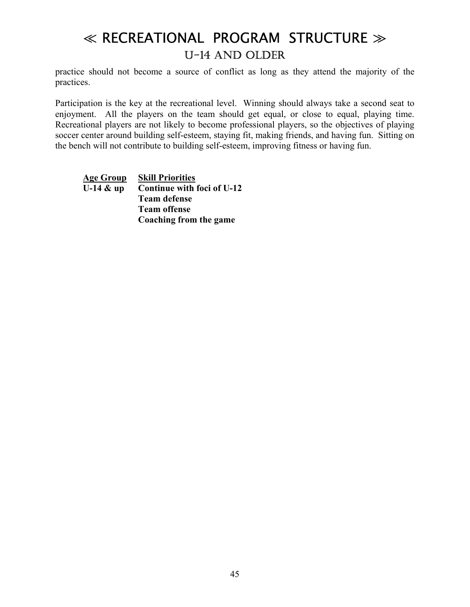practice should not become a source of conflict as long as they attend the majority of the practices.

Participation is the key at the recreational level. Winning should always take a second seat to enjoyment. All the players on the team should get equal, or close to equal, playing time. Recreational players are not likely to become professional players, so the objectives of playing soccer center around building self-esteem, staying fit, making friends, and having fun. Sitting on the bench will not contribute to building self-esteem, improving fitness or having fun.

**Age Group Skill Priorities U-14 & up Continue with foci of U-12 Team defense Team offense Coaching from the game**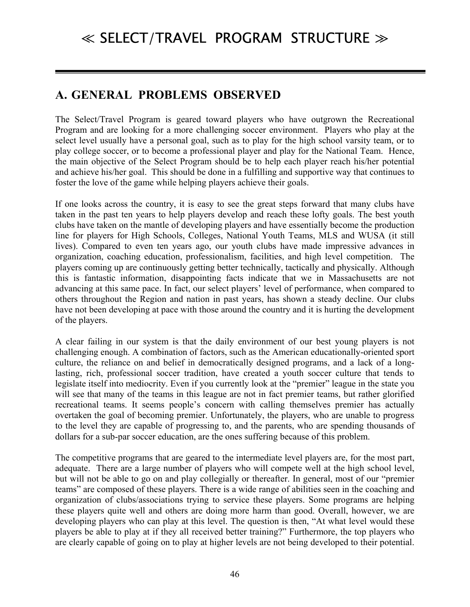### **A. GENERAL PROBLEMS OBSERVED**

The Select/Travel Program is geared toward players who have outgrown the Recreational Program and are looking for a more challenging soccer environment. Players who play at the select level usually have a personal goal, such as to play for the high school varsity team, or to play college soccer, or to become a professional player and play for the National Team. Hence, the main objective of the Select Program should be to help each player reach his/her potential and achieve his/her goal. This should be done in a fulfilling and supportive way that continues to foster the love of the game while helping players achieve their goals.

If one looks across the country, it is easy to see the great steps forward that many clubs have taken in the past ten years to help players develop and reach these lofty goals. The best youth clubs have taken on the mantle of developing players and have essentially become the production line for players for High Schools, Colleges, National Youth Teams, MLS and WUSA (it still lives). Compared to even ten years ago, our youth clubs have made impressive advances in organization, coaching education, professionalism, facilities, and high level competition. The players coming up are continuously getting better technically, tactically and physically. Although this is fantastic information, disappointing facts indicate that we in Massachusetts are not advancing at this same pace. In fact, our select players' level of performance, when compared to others throughout the Region and nation in past years, has shown a steady decline. Our clubs have not been developing at pace with those around the country and it is hurting the development of the players.

A clear failing in our system is that the daily environment of our best young players is not challenging enough. A combination of factors, such as the American educationally-oriented sport culture, the reliance on and belief in democratically designed programs, and a lack of a longlasting, rich, professional soccer tradition, have created a youth soccer culture that tends to legislate itself into mediocrity. Even if you currently look at the "premier" league in the state you will see that many of the teams in this league are not in fact premier teams, but rather glorified recreational teams. It seems people's concern with calling themselves premier has actually overtaken the goal of becoming premier. Unfortunately, the players, who are unable to progress to the level they are capable of progressing to, and the parents, who are spending thousands of dollars for a sub-par soccer education, are the ones suffering because of this problem.

The competitive programs that are geared to the intermediate level players are, for the most part, adequate. There are a large number of players who will compete well at the high school level, but will not be able to go on and play collegially or thereafter. In general, most of our "premier teamsî are composed of these players. There is a wide range of abilities seen in the coaching and organization of clubs/associations trying to service these players. Some programs are helping these players quite well and others are doing more harm than good. Overall, however, we are developing players who can play at this level. The question is then, "At what level would these players be able to play at if they all received better training?î Furthermore, the top players who are clearly capable of going on to play at higher levels are not being developed to their potential.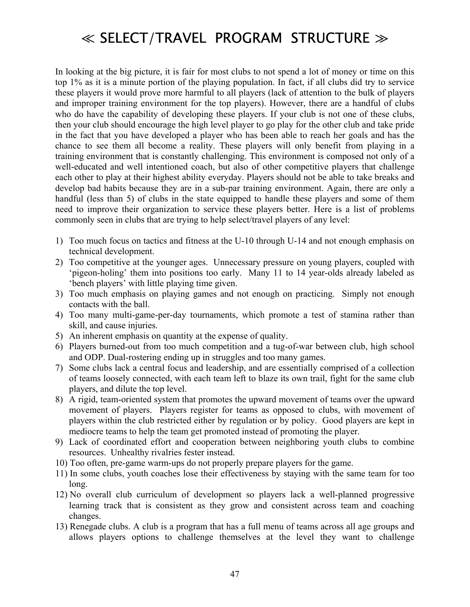In looking at the big picture, it is fair for most clubs to not spend a lot of money or time on this top 1% as it is a minute portion of the playing population. In fact, if all clubs did try to service these players it would prove more harmful to all players (lack of attention to the bulk of players and improper training environment for the top players). However, there are a handful of clubs who do have the capability of developing these players. If your club is not one of these clubs, then your club should encourage the high level player to go play for the other club and take pride in the fact that you have developed a player who has been able to reach her goals and has the chance to see them all become a reality. These players will only benefit from playing in a training environment that is constantly challenging. This environment is composed not only of a well-educated and well intentioned coach, but also of other competitive players that challenge each other to play at their highest ability everyday. Players should not be able to take breaks and develop bad habits because they are in a sub-par training environment. Again, there are only a handful (less than 5) of clubs in the state equipped to handle these players and some of them need to improve their organization to service these players better. Here is a list of problems commonly seen in clubs that are trying to help select/travel players of any level:

- 1) Too much focus on tactics and fitness at the U-10 through U-14 and not enough emphasis on technical development.
- 2) Too competitive at the younger ages. Unnecessary pressure on young players, coupled with 'pigeon-holing' them into positions too early. Many 11 to 14 year-olds already labeled as the players' with little playing time given.
- 3) Too much emphasis on playing games and not enough on practicing. Simply not enough contacts with the ball.
- 4) Too many multi-game-per-day tournaments, which promote a test of stamina rather than skill, and cause injuries.
- 5) An inherent emphasis on quantity at the expense of quality.
- 6) Players burned-out from too much competition and a tug-of-war between club, high school and ODP. Dual-rostering ending up in struggles and too many games.
- 7) Some clubs lack a central focus and leadership, and are essentially comprised of a collection of teams loosely connected, with each team left to blaze its own trail, fight for the same club players, and dilute the top level.
- 8) A rigid, team-oriented system that promotes the upward movement of teams over the upward movement of players. Players register for teams as opposed to clubs, with movement of players within the club restricted either by regulation or by policy. Good players are kept in mediocre teams to help the team get promoted instead of promoting the player.
- 9) Lack of coordinated effort and cooperation between neighboring youth clubs to combine resources. Unhealthy rivalries fester instead.
- 10) Too often, pre-game warm-ups do not properly prepare players for the game.
- 11) In some clubs, youth coaches lose their effectiveness by staying with the same team for too long.
- 12) No overall club curriculum of development so players lack a well-planned progressive learning track that is consistent as they grow and consistent across team and coaching changes.
- 13) Renegade clubs. A club is a program that has a full menu of teams across all age groups and allows players options to challenge themselves at the level they want to challenge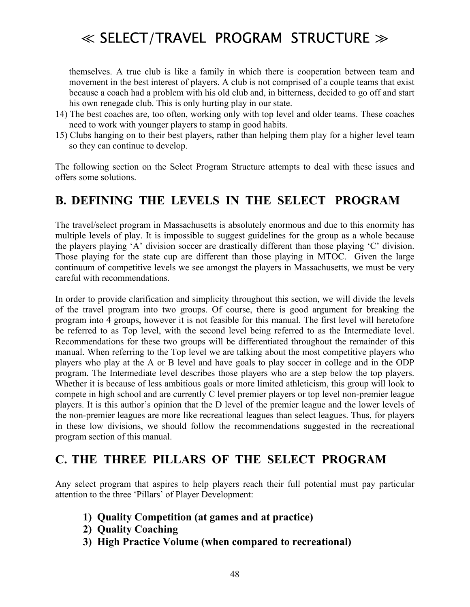themselves. A true club is like a family in which there is cooperation between team and movement in the best interest of players. A club is not comprised of a couple teams that exist because a coach had a problem with his old club and, in bitterness, decided to go off and start his own renegade club. This is only hurting play in our state.

- 14) The best coaches are, too often, working only with top level and older teams. These coaches need to work with younger players to stamp in good habits.
- 15) Clubs hanging on to their best players, rather than helping them play for a higher level team so they can continue to develop.

The following section on the Select Program Structure attempts to deal with these issues and offers some solutions.

### **B. DEFINING THE LEVELS IN THE SELECT PROGRAM**

The travel/select program in Massachusetts is absolutely enormous and due to this enormity has multiple levels of play. It is impossible to suggest guidelines for the group as a whole because the players playing  $A'$  division soccer are drastically different than those playing  $C'$  division. Those playing for the state cup are different than those playing in MTOC. Given the large continuum of competitive levels we see amongst the players in Massachusetts, we must be very careful with recommendations.

In order to provide clarification and simplicity throughout this section, we will divide the levels of the travel program into two groups. Of course, there is good argument for breaking the program into 4 groups, however it is not feasible for this manual. The first level will heretofore be referred to as Top level, with the second level being referred to as the Intermediate level. Recommendations for these two groups will be differentiated throughout the remainder of this manual. When referring to the Top level we are talking about the most competitive players who players who play at the A or B level and have goals to play soccer in college and in the ODP program. The Intermediate level describes those players who are a step below the top players. Whether it is because of less ambitious goals or more limited athleticism, this group will look to compete in high school and are currently C level premier players or top level non-premier league players. It is this author's opinion that the D level of the premier league and the lower levels of the non-premier leagues are more like recreational leagues than select leagues. Thus, for players in these low divisions, we should follow the recommendations suggested in the recreational program section of this manual.

### **C. THE THREE PILLARS OF THE SELECT PROGRAM**

Any select program that aspires to help players reach their full potential must pay particular attention to the three 'Pillars' of Player Development:

- **1) Quality Competition (at games and at practice)**
- **2) Quality Coaching**
- **3) High Practice Volume (when compared to recreational)**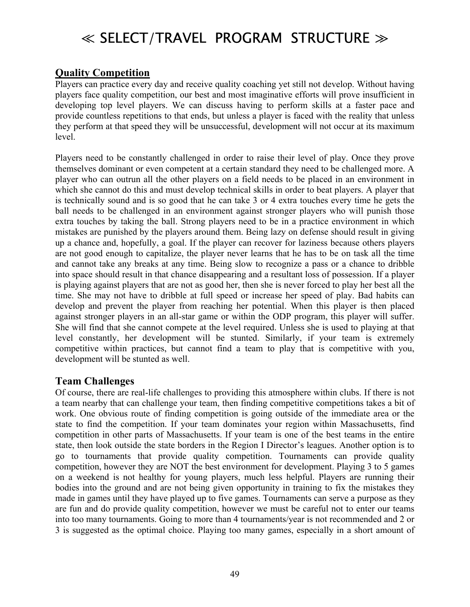### **Quality Competition**

Players can practice every day and receive quality coaching yet still not develop. Without having players face quality competition, our best and most imaginative efforts will prove insufficient in developing top level players. We can discuss having to perform skills at a faster pace and provide countless repetitions to that ends, but unless a player is faced with the reality that unless they perform at that speed they will be unsuccessful, development will not occur at its maximum level.

Players need to be constantly challenged in order to raise their level of play. Once they prove themselves dominant or even competent at a certain standard they need to be challenged more. A player who can outrun all the other players on a field needs to be placed in an environment in which she cannot do this and must develop technical skills in order to beat players. A player that is technically sound and is so good that he can take 3 or 4 extra touches every time he gets the ball needs to be challenged in an environment against stronger players who will punish those extra touches by taking the ball. Strong players need to be in a practice environment in which mistakes are punished by the players around them. Being lazy on defense should result in giving up a chance and, hopefully, a goal. If the player can recover for laziness because others players are not good enough to capitalize, the player never learns that he has to be on task all the time and cannot take any breaks at any time. Being slow to recognize a pass or a chance to dribble into space should result in that chance disappearing and a resultant loss of possession. If a player is playing against players that are not as good her, then she is never forced to play her best all the time. She may not have to dribble at full speed or increase her speed of play. Bad habits can develop and prevent the player from reaching her potential. When this player is then placed against stronger players in an all-star game or within the ODP program, this player will suffer. She will find that she cannot compete at the level required. Unless she is used to playing at that level constantly, her development will be stunted. Similarly, if your team is extremely competitive within practices, but cannot find a team to play that is competitive with you, development will be stunted as well.

#### **Team Challenges**

Of course, there are real-life challenges to providing this atmosphere within clubs. If there is not a team nearby that can challenge your team, then finding competitive competitions takes a bit of work. One obvious route of finding competition is going outside of the immediate area or the state to find the competition. If your team dominates your region within Massachusetts, find competition in other parts of Massachusetts. If your team is one of the best teams in the entire state, then look outside the state borders in the Region I Director's leagues. Another option is to go to tournaments that provide quality competition. Tournaments can provide quality competition, however they are NOT the best environment for development. Playing 3 to 5 games on a weekend is not healthy for young players, much less helpful. Players are running their bodies into the ground and are not being given opportunity in training to fix the mistakes they made in games until they have played up to five games. Tournaments can serve a purpose as they are fun and do provide quality competition, however we must be careful not to enter our teams into too many tournaments. Going to more than 4 tournaments/year is not recommended and 2 or 3 is suggested as the optimal choice. Playing too many games, especially in a short amount of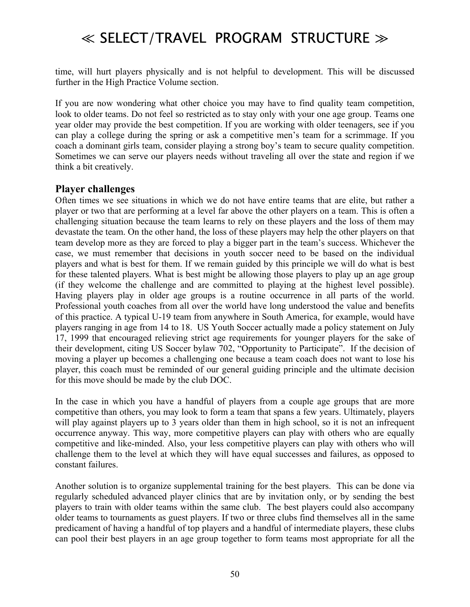time, will hurt players physically and is not helpful to development. This will be discussed further in the High Practice Volume section.

If you are now wondering what other choice you may have to find quality team competition, look to older teams. Do not feel so restricted as to stay only with your one age group. Teams one year older may provide the best competition. If you are working with older teenagers, see if you can play a college during the spring or ask a competitive men's team for a scrimmage. If you coach a dominant girls team, consider playing a strong boy's team to secure quality competition. Sometimes we can serve our players needs without traveling all over the state and region if we think a bit creatively.

#### **Player challenges**

Often times we see situations in which we do not have entire teams that are elite, but rather a player or two that are performing at a level far above the other players on a team. This is often a challenging situation because the team learns to rely on these players and the loss of them may devastate the team. On the other hand, the loss of these players may help the other players on that team develop more as they are forced to play a bigger part in the team's success. Whichever the case, we must remember that decisions in youth soccer need to be based on the individual players and what is best for them. If we remain guided by this principle we will do what is best for these talented players. What is best might be allowing those players to play up an age group (if they welcome the challenge and are committed to playing at the highest level possible). Having players play in older age groups is a routine occurrence in all parts of the world. Professional youth coaches from all over the world have long understood the value and benefits of this practice. A typical U-19 team from anywhere in South America, for example, would have players ranging in age from 14 to 18. US Youth Soccer actually made a policy statement on July 17, 1999 that encouraged relieving strict age requirements for younger players for the sake of their development, citing US Soccer bylaw 702, "Opportunity to Participate". If the decision of moving a player up becomes a challenging one because a team coach does not want to lose his player, this coach must be reminded of our general guiding principle and the ultimate decision for this move should be made by the club DOC.

In the case in which you have a handful of players from a couple age groups that are more competitive than others, you may look to form a team that spans a few years. Ultimately, players will play against players up to 3 years older than them in high school, so it is not an infrequent occurrence anyway. This way, more competitive players can play with others who are equally competitive and like-minded. Also, your less competitive players can play with others who will challenge them to the level at which they will have equal successes and failures, as opposed to constant failures.

Another solution is to organize supplemental training for the best players. This can be done via regularly scheduled advanced player clinics that are by invitation only, or by sending the best players to train with older teams within the same club. The best players could also accompany older teams to tournaments as guest players. If two or three clubs find themselves all in the same predicament of having a handful of top players and a handful of intermediate players, these clubs can pool their best players in an age group together to form teams most appropriate for all the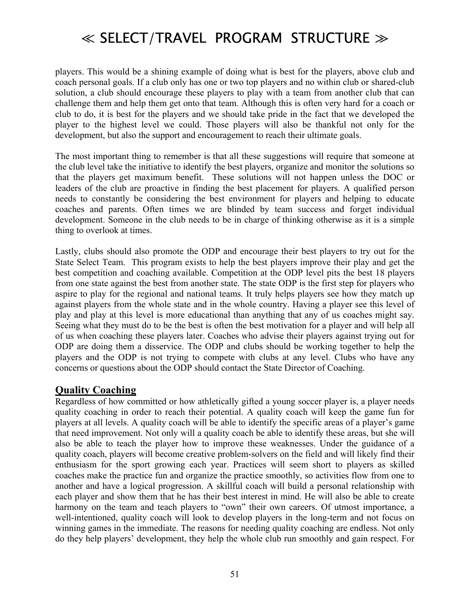players. This would be a shining example of doing what is best for the players, above club and coach personal goals. If a club only has one or two top players and no within club or shared-club solution, a club should encourage these players to play with a team from another club that can challenge them and help them get onto that team. Although this is often very hard for a coach or club to do, it is best for the players and we should take pride in the fact that we developed the player to the highest level we could. Those players will also be thankful not only for the development, but also the support and encouragement to reach their ultimate goals.

The most important thing to remember is that all these suggestions will require that someone at the club level take the initiative to identify the best players, organize and monitor the solutions so that the players get maximum benefit. These solutions will not happen unless the DOC or leaders of the club are proactive in finding the best placement for players. A qualified person needs to constantly be considering the best environment for players and helping to educate coaches and parents. Often times we are blinded by team success and forget individual development. Someone in the club needs to be in charge of thinking otherwise as it is a simple thing to overlook at times.

Lastly, clubs should also promote the ODP and encourage their best players to try out for the State Select Team. This program exists to help the best players improve their play and get the best competition and coaching available. Competition at the ODP level pits the best 18 players from one state against the best from another state. The state ODP is the first step for players who aspire to play for the regional and national teams. It truly helps players see how they match up against players from the whole state and in the whole country. Having a player see this level of play and play at this level is more educational than anything that any of us coaches might say. Seeing what they must do to be the best is often the best motivation for a player and will help all of us when coaching these players later. Coaches who advise their players against trying out for ODP are doing them a disservice. The ODP and clubs should be working together to help the players and the ODP is not trying to compete with clubs at any level. Clubs who have any concerns or questions about the ODP should contact the State Director of Coaching.

#### **Quality Coaching**

Regardless of how committed or how athletically gifted a young soccer player is, a player needs quality coaching in order to reach their potential. A quality coach will keep the game fun for players at all levels. A quality coach will be able to identify the specific areas of a player's game that need improvement. Not only will a quality coach be able to identify these areas, but she will also be able to teach the player how to improve these weaknesses. Under the guidance of a quality coach, players will become creative problem-solvers on the field and will likely find their enthusiasm for the sport growing each year. Practices will seem short to players as skilled coaches make the practice fun and organize the practice smoothly, so activities flow from one to another and have a logical progression. A skillful coach will build a personal relationship with each player and show them that he has their best interest in mind. He will also be able to create harmony on the team and teach players to "own" their own careers. Of utmost importance, a well-intentioned, quality coach will look to develop players in the long-term and not focus on winning games in the immediate. The reasons for needing quality coaching are endless. Not only do they help players' development, they help the whole club run smoothly and gain respect. For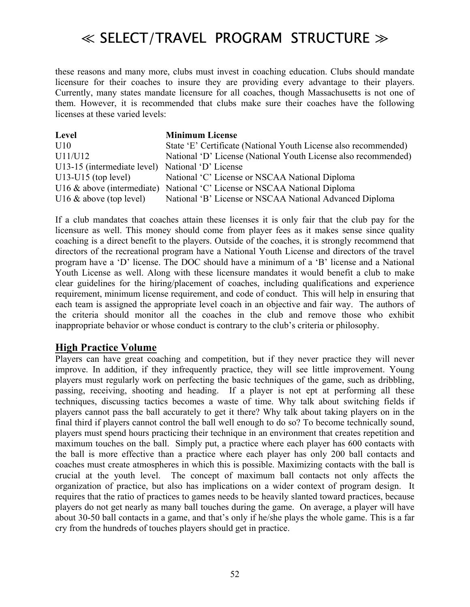these reasons and many more, clubs must invest in coaching education. Clubs should mandate licensure for their coaches to insure they are providing every advantage to their players. Currently, many states mandate licensure for all coaches, though Massachusetts is not one of them. However, it is recommended that clubs make sure their coaches have the following licenses at these varied levels:

| Level                                            | <b>Minimum License</b>                                                    |
|--------------------------------------------------|---------------------------------------------------------------------------|
| U10                                              | State 'E' Certificate (National Youth License also recommended)           |
| U11/U12                                          | National 'D' License (National Youth License also recommended)            |
| U13-15 (intermediate level) National 'D' License |                                                                           |
| $U13-U15$ (top level)                            | National 'C' License or NSCAA National Diploma                            |
|                                                  | U16 & above (intermediate) National 'C' License or NSCAA National Diploma |
| U16 $\&$ above (top level)                       | National 'B' License or NSCAA National Advanced Diploma                   |

If a club mandates that coaches attain these licenses it is only fair that the club pay for the licensure as well. This money should come from player fees as it makes sense since quality coaching is a direct benefit to the players. Outside of the coaches, it is strongly recommend that directors of the recreational program have a National Youth License and directors of the travel program have a 'D' license. The DOC should have a minimum of a 'B' license and a National Youth License as well. Along with these licensure mandates it would benefit a club to make clear guidelines for the hiring/placement of coaches, including qualifications and experience requirement, minimum license requirement, and code of conduct. This will help in ensuring that each team is assigned the appropriate level coach in an objective and fair way. The authors of the criteria should monitor all the coaches in the club and remove those who exhibit inappropriate behavior or whose conduct is contrary to the club's criteria or philosophy.

#### **High Practice Volume**

Players can have great coaching and competition, but if they never practice they will never improve. In addition, if they infrequently practice, they will see little improvement. Young players must regularly work on perfecting the basic techniques of the game, such as dribbling, passing, receiving, shooting and heading. If a player is not ept at performing all these techniques, discussing tactics becomes a waste of time. Why talk about switching fields if players cannot pass the ball accurately to get it there? Why talk about taking players on in the final third if players cannot control the ball well enough to do so? To become technically sound, players must spend hours practicing their technique in an environment that creates repetition and maximum touches on the ball. Simply put, a practice where each player has 600 contacts with the ball is more effective than a practice where each player has only 200 ball contacts and coaches must create atmospheres in which this is possible. Maximizing contacts with the ball is crucial at the youth level. The concept of maximum ball contacts not only affects the organization of practice, but also has implications on a wider context of program design. It requires that the ratio of practices to games needs to be heavily slanted toward practices, because players do not get nearly as many ball touches during the game. On average, a player will have about 30-50 ball contacts in a game, and that's only if he/she plays the whole game. This is a far cry from the hundreds of touches players should get in practice.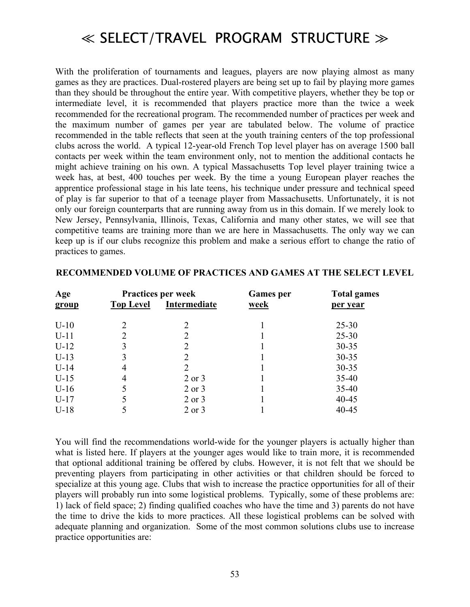With the proliferation of tournaments and leagues, players are now playing almost as many games as they are practices. Dual-rostered players are being set up to fail by playing more games than they should be throughout the entire year. With competitive players, whether they be top or intermediate level, it is recommended that players practice more than the twice a week recommended for the recreational program. The recommended number of practices per week and the maximum number of games per year are tabulated below. The volume of practice recommended in the table reflects that seen at the youth training centers of the top professional clubs across the world. A typical 12-year-old French Top level player has on average 1500 ball contacts per week within the team environment only, not to mention the additional contacts he might achieve training on his own. A typical Massachusetts Top level player training twice a week has, at best, 400 touches per week. By the time a young European player reaches the apprentice professional stage in his late teens, his technique under pressure and technical speed of play is far superior to that of a teenage player from Massachusetts. Unfortunately, it is not only our foreign counterparts that are running away from us in this domain. If we merely look to New Jersey, Pennsylvania, Illinois, Texas, California and many other states, we will see that competitive teams are training more than we are here in Massachusetts. The only way we can keep up is if our clubs recognize this problem and make a serious effort to change the ratio of practices to games.

|                  |              | <b>Games</b> per          | <b>Total games</b> |  |
|------------------|--------------|---------------------------|--------------------|--|
| <b>Top Level</b> | Intermediate | <u>week</u>               | per year           |  |
|                  | 2            |                           | $25 - 30$          |  |
|                  | 2            |                           | $25 - 30$          |  |
|                  | 2            |                           | $30 - 35$          |  |
| 3                | 2            |                           | $30 - 35$          |  |
| 4                | 2            |                           | $30 - 35$          |  |
| 4                | $2$ or $3$   |                           | $35 - 40$          |  |
|                  | 2 or 3       |                           | $35 - 40$          |  |
|                  | 2 or 3       |                           | $40 - 45$          |  |
|                  | $2$ or $3$   |                           | $40 - 45$          |  |
|                  |              | <b>Practices per week</b> |                    |  |

#### **RECOMMENDED VOLUME OF PRACTICES AND GAMES AT THE SELECT LEVEL**

You will find the recommendations world-wide for the younger players is actually higher than what is listed here. If players at the younger ages would like to train more, it is recommended that optional additional training be offered by clubs. However, it is not felt that we should be preventing players from participating in other activities or that children should be forced to specialize at this young age. Clubs that wish to increase the practice opportunities for all of their players will probably run into some logistical problems. Typically, some of these problems are: 1) lack of field space; 2) finding qualified coaches who have the time and 3) parents do not have the time to drive the kids to more practices. All these logistical problems can be solved with adequate planning and organization. Some of the most common solutions clubs use to increase practice opportunities are: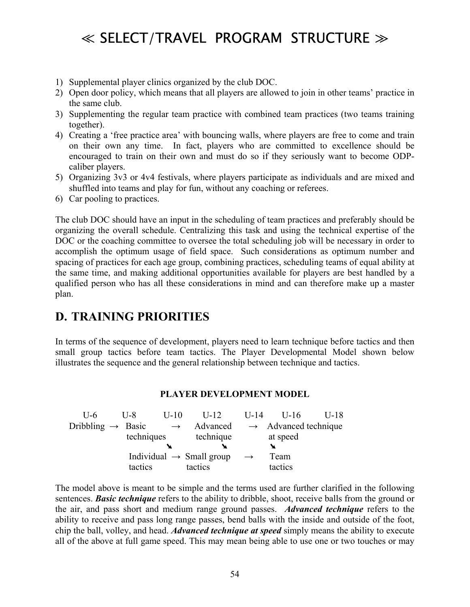- 1) Supplemental player clinics organized by the club DOC.
- 2) Open door policy, which means that all players are allowed to join in other teams' practice in the same club.
- 3) Supplementing the regular team practice with combined team practices (two teams training together).
- 4) Creating a 'free practice area' with bouncing walls, where players are free to come and train on their own any time. In fact, players who are committed to excellence should be encouraged to train on their own and must do so if they seriously want to become ODPcaliber players.
- 5) Organizing 3v3 or 4v4 festivals, where players participate as individuals and are mixed and shuffled into teams and play for fun, without any coaching or referees.
- 6) Car pooling to practices.

The club DOC should have an input in the scheduling of team practices and preferably should be organizing the overall schedule. Centralizing this task and using the technical expertise of the DOC or the coaching committee to oversee the total scheduling job will be necessary in order to accomplish the optimum usage of field space. Such considerations as optimum number and spacing of practices for each age group, combining practices, scheduling teams of equal ability at the same time, and making additional opportunities available for players are best handled by a qualified person who has all these considerations in mind and can therefore make up a master plan.

### **D. TRAINING PRIORITIES**

In terms of the sequence of development, players need to learn technique before tactics and then small group tactics before team tactics. The Player Developmental Model shown below illustrates the sequence and the general relationship between technique and tactics.

#### **PLAYER DEVELOPMENT MODEL**

| $II-6$                        | $U-10$<br>U-8 | $II-12$                              | $U-14$        | $U-16$                           | U-18 |
|-------------------------------|---------------|--------------------------------------|---------------|----------------------------------|------|
| Dribbling $\rightarrow$ Basic |               | Advanced<br>$\rightarrow$            |               | $\rightarrow$ Advanced technique |      |
|                               | techniques    | technique                            |               | at speed                         |      |
|                               |               |                                      |               |                                  |      |
|                               |               | Individual $\rightarrow$ Small group | $\rightarrow$ | Team                             |      |
|                               | tactics       | tactics                              |               | tactics                          |      |

The model above is meant to be simple and the terms used are further clarified in the following sentences. *Basic technique* refers to the ability to dribble, shoot, receive balls from the ground or the air, and pass short and medium range ground passes. *Advanced technique* refers to the ability to receive and pass long range passes, bend balls with the inside and outside of the foot, chip the ball, volley, and head. *Advanced technique at speed* simply means the ability to execute all of the above at full game speed. This may mean being able to use one or two touches or may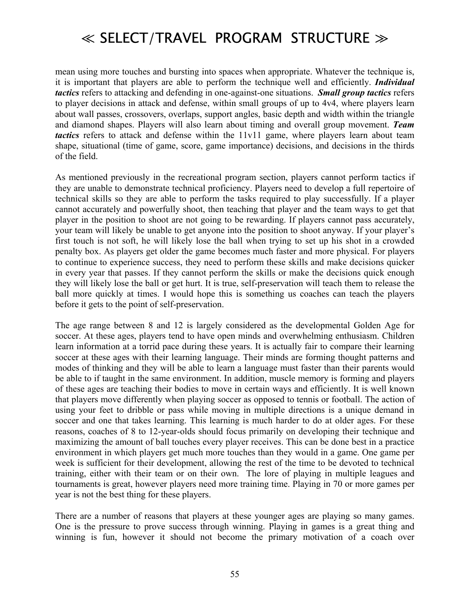mean using more touches and bursting into spaces when appropriate. Whatever the technique is, it is important that players are able to perform the technique well and efficiently. *Individual tactics* refers to attacking and defending in one-against-one situations. *Small group tactics* refers to player decisions in attack and defense, within small groups of up to 4v4, where players learn about wall passes, crossovers, overlaps, support angles, basic depth and width within the triangle and diamond shapes. Players will also learn about timing and overall group movement. *Team tactics* refers to attack and defense within the 11v11 game, where players learn about team shape, situational (time of game, score, game importance) decisions, and decisions in the thirds of the field.

As mentioned previously in the recreational program section, players cannot perform tactics if they are unable to demonstrate technical proficiency. Players need to develop a full repertoire of technical skills so they are able to perform the tasks required to play successfully. If a player cannot accurately and powerfully shoot, then teaching that player and the team ways to get that player in the position to shoot are not going to be rewarding. If players cannot pass accurately, your team will likely be unable to get anyone into the position to shoot anyway. If your player's first touch is not soft, he will likely lose the ball when trying to set up his shot in a crowded penalty box. As players get older the game becomes much faster and more physical. For players to continue to experience success, they need to perform these skills and make decisions quicker in every year that passes. If they cannot perform the skills or make the decisions quick enough they will likely lose the ball or get hurt. It is true, self-preservation will teach them to release the ball more quickly at times. I would hope this is something us coaches can teach the players before it gets to the point of self-preservation.

The age range between 8 and 12 is largely considered as the developmental Golden Age for soccer. At these ages, players tend to have open minds and overwhelming enthusiasm. Children learn information at a torrid pace during these years. It is actually fair to compare their learning soccer at these ages with their learning language. Their minds are forming thought patterns and modes of thinking and they will be able to learn a language must faster than their parents would be able to if taught in the same environment. In addition, muscle memory is forming and players of these ages are teaching their bodies to move in certain ways and efficiently. It is well known that players move differently when playing soccer as opposed to tennis or football. The action of using your feet to dribble or pass while moving in multiple directions is a unique demand in soccer and one that takes learning. This learning is much harder to do at older ages. For these reasons, coaches of 8 to 12-year-olds should focus primarily on developing their technique and maximizing the amount of ball touches every player receives. This can be done best in a practice environment in which players get much more touches than they would in a game. One game per week is sufficient for their development, allowing the rest of the time to be devoted to technical training, either with their team or on their own. The lore of playing in multiple leagues and tournaments is great, however players need more training time. Playing in 70 or more games per year is not the best thing for these players.

There are a number of reasons that players at these younger ages are playing so many games. One is the pressure to prove success through winning. Playing in games is a great thing and winning is fun, however it should not become the primary motivation of a coach over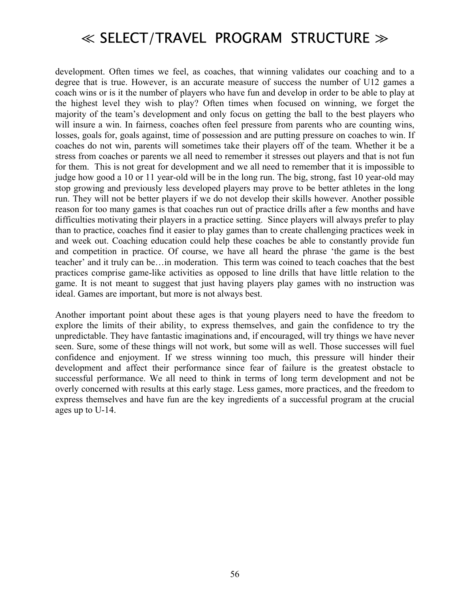development. Often times we feel, as coaches, that winning validates our coaching and to a degree that is true. However, is an accurate measure of success the number of U12 games a coach wins or is it the number of players who have fun and develop in order to be able to play at the highest level they wish to play? Often times when focused on winning, we forget the majority of the team's development and only focus on getting the ball to the best players who will insure a win. In fairness, coaches often feel pressure from parents who are counting wins, losses, goals for, goals against, time of possession and are putting pressure on coaches to win. If coaches do not win, parents will sometimes take their players off of the team. Whether it be a stress from coaches or parents we all need to remember it stresses out players and that is not fun for them. This is not great for development and we all need to remember that it is impossible to judge how good a 10 or 11 year-old will be in the long run. The big, strong, fast 10 year-old may stop growing and previously less developed players may prove to be better athletes in the long run. They will not be better players if we do not develop their skills however. Another possible reason for too many games is that coaches run out of practice drills after a few months and have difficulties motivating their players in a practice setting. Since players will always prefer to play than to practice, coaches find it easier to play games than to create challenging practices week in and week out. Coaching education could help these coaches be able to constantly provide fun and competition in practice. Of course, we have all heard the phrase 'the game is the best teacher' and it truly can be... in moderation. This term was coined to teach coaches that the best practices comprise game-like activities as opposed to line drills that have little relation to the game. It is not meant to suggest that just having players play games with no instruction was ideal. Games are important, but more is not always best.

Another important point about these ages is that young players need to have the freedom to explore the limits of their ability, to express themselves, and gain the confidence to try the unpredictable. They have fantastic imaginations and, if encouraged, will try things we have never seen. Sure, some of these things will not work, but some will as well. Those successes will fuel confidence and enjoyment. If we stress winning too much, this pressure will hinder their development and affect their performance since fear of failure is the greatest obstacle to successful performance. We all need to think in terms of long term development and not be overly concerned with results at this early stage. Less games, more practices, and the freedom to express themselves and have fun are the key ingredients of a successful program at the crucial ages up to U-14.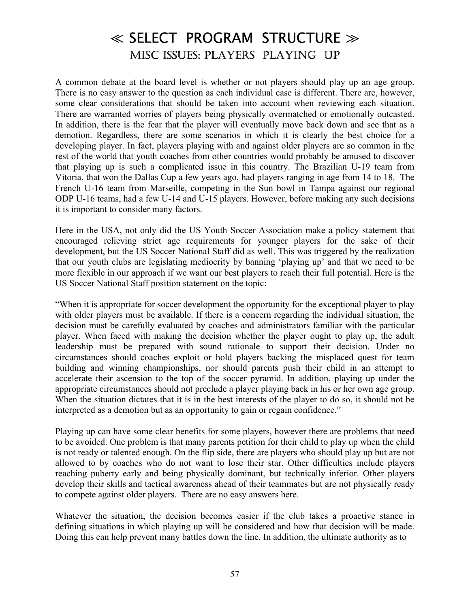### ≪ SELECT PROGRAM STRUCTURE ≫ MISC ISSUES: PLAYERS PLAYING UP

A common debate at the board level is whether or not players should play up an age group. There is no easy answer to the question as each individual case is different. There are, however, some clear considerations that should be taken into account when reviewing each situation. There are warranted worries of players being physically overmatched or emotionally outcasted. In addition, there is the fear that the player will eventually move back down and see that as a demotion. Regardless, there are some scenarios in which it is clearly the best choice for a developing player. In fact, players playing with and against older players are so common in the rest of the world that youth coaches from other countries would probably be amused to discover that playing up is such a complicated issue in this country. The Brazilian U-19 team from Vitoria, that won the Dallas Cup a few years ago, had players ranging in age from 14 to 18. The French U-16 team from Marseille, competing in the Sun bowl in Tampa against our regional ODP U-16 teams, had a few U-14 and U-15 players. However, before making any such decisions it is important to consider many factors.

Here in the USA, not only did the US Youth Soccer Association make a policy statement that encouraged relieving strict age requirements for younger players for the sake of their development, but the US Soccer National Staff did as well. This was triggered by the realization that our youth clubs are legislating mediocrity by banning 'playing up' and that we need to be more flexible in our approach if we want our best players to reach their full potential. Here is the US Soccer National Staff position statement on the topic:

ìWhen it is appropriate for soccer development the opportunity for the exceptional player to play with older players must be available. If there is a concern regarding the individual situation, the decision must be carefully evaluated by coaches and administrators familiar with the particular player. When faced with making the decision whether the player ought to play up, the adult leadership must be prepared with sound rationale to support their decision. Under no circumstances should coaches exploit or hold players backing the misplaced quest for team building and winning championships, nor should parents push their child in an attempt to accelerate their ascension to the top of the soccer pyramid. In addition, playing up under the appropriate circumstances should not preclude a player playing back in his or her own age group. When the situation dictates that it is in the best interests of the player to do so, it should not be interpreted as a demotion but as an opportunity to gain or regain confidence."

Playing up can have some clear benefits for some players, however there are problems that need to be avoided. One problem is that many parents petition for their child to play up when the child is not ready or talented enough. On the flip side, there are players who should play up but are not allowed to by coaches who do not want to lose their star. Other difficulties include players reaching puberty early and being physically dominant, but technically inferior. Other players develop their skills and tactical awareness ahead of their teammates but are not physically ready to compete against older players. There are no easy answers here.

Whatever the situation, the decision becomes easier if the club takes a proactive stance in defining situations in which playing up will be considered and how that decision will be made. Doing this can help prevent many battles down the line. In addition, the ultimate authority as to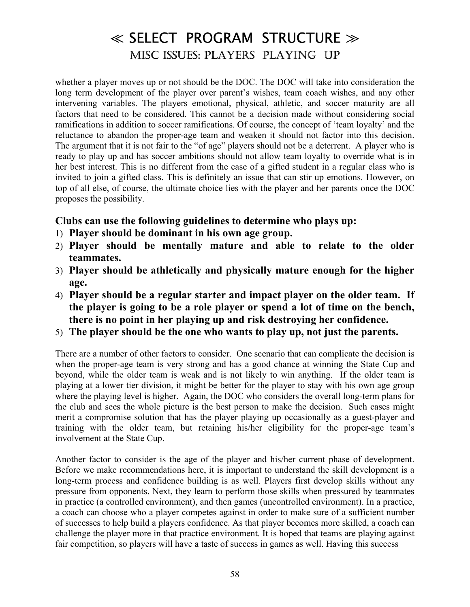## ≪ SELECT PROGRAM STRUCTURE ≫ MISC ISSUES: PLAYERS PLAYING UP

whether a player moves up or not should be the DOC. The DOC will take into consideration the long term development of the player over parent's wishes, team coach wishes, and any other intervening variables. The players emotional, physical, athletic, and soccer maturity are all factors that need to be considered. This cannot be a decision made without considering social ramifications in addition to soccer ramifications. Of course, the concept of 'team loyalty' and the reluctance to abandon the proper-age team and weaken it should not factor into this decision. The argument that it is not fair to the "of age" players should not be a deterrent. A player who is ready to play up and has soccer ambitions should not allow team loyalty to override what is in her best interest. This is no different from the case of a gifted student in a regular class who is invited to join a gifted class. This is definitely an issue that can stir up emotions. However, on top of all else, of course, the ultimate choice lies with the player and her parents once the DOC proposes the possibility.

#### **Clubs can use the following guidelines to determine who plays up:**

- 1) **Player should be dominant in his own age group.**
- 2) **Player should be mentally mature and able to relate to the older teammates.**
- 3) **Player should be athletically and physically mature enough for the higher age.**
- 4) **Player should be a regular starter and impact player on the older team. If the player is going to be a role player or spend a lot of time on the bench, there is no point in her playing up and risk destroying her confidence.**
- 5) **The player should be the one who wants to play up, not just the parents.**

There are a number of other factors to consider. One scenario that can complicate the decision is when the proper-age team is very strong and has a good chance at winning the State Cup and beyond, while the older team is weak and is not likely to win anything. If the older team is playing at a lower tier division, it might be better for the player to stay with his own age group where the playing level is higher. Again, the DOC who considers the overall long-term plans for the club and sees the whole picture is the best person to make the decision. Such cases might merit a compromise solution that has the player playing up occasionally as a guest-player and training with the older team, but retaining his/her eligibility for the proper-age team's involvement at the State Cup.

Another factor to consider is the age of the player and his/her current phase of development. Before we make recommendations here, it is important to understand the skill development is a long-term process and confidence building is as well. Players first develop skills without any pressure from opponents. Next, they learn to perform those skills when pressured by teammates in practice (a controlled environment), and then games (uncontrolled environment). In a practice, a coach can choose who a player competes against in order to make sure of a sufficient number of successes to help build a players confidence. As that player becomes more skilled, a coach can challenge the player more in that practice environment. It is hoped that teams are playing against fair competition, so players will have a taste of success in games as well. Having this success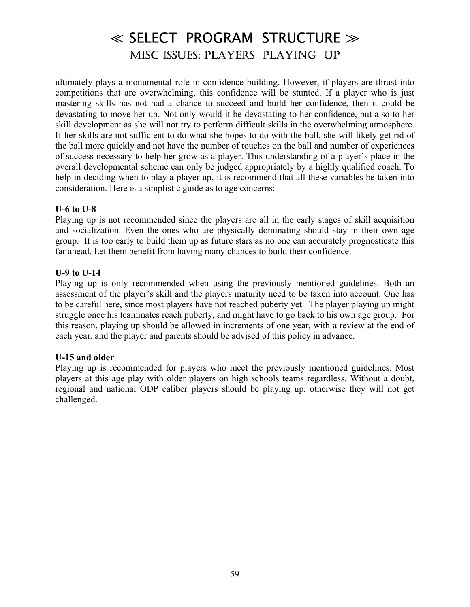## ≪ SELECT PROGRAM STRUCTURE ≫ MISC ISSUES: PLAYERS PLAYING UP

ultimately plays a monumental role in confidence building. However, if players are thrust into competitions that are overwhelming, this confidence will be stunted. If a player who is just mastering skills has not had a chance to succeed and build her confidence, then it could be devastating to move her up. Not only would it be devastating to her confidence, but also to her skill development as she will not try to perform difficult skills in the overwhelming atmosphere. If her skills are not sufficient to do what she hopes to do with the ball, she will likely get rid of the ball more quickly and not have the number of touches on the ball and number of experiences of success necessary to help her grow as a player. This understanding of a player's place in the overall developmental scheme can only be judged appropriately by a highly qualified coach. To help in deciding when to play a player up, it is recommend that all these variables be taken into consideration. Here is a simplistic guide as to age concerns:

#### **U-6 to U-8**

Playing up is not recommended since the players are all in the early stages of skill acquisition and socialization. Even the ones who are physically dominating should stay in their own age group. It is too early to build them up as future stars as no one can accurately prognosticate this far ahead. Let them benefit from having many chances to build their confidence.

#### **U-9 to U-14**

Playing up is only recommended when using the previously mentioned guidelines. Both an assessment of the player's skill and the players maturity need to be taken into account. One has to be careful here, since most players have not reached puberty yet. The player playing up might struggle once his teammates reach puberty, and might have to go back to his own age group. For this reason, playing up should be allowed in increments of one year, with a review at the end of each year, and the player and parents should be advised of this policy in advance.

#### **U-15 and older**

Playing up is recommended for players who meet the previously mentioned guidelines. Most players at this age play with older players on high schools teams regardless. Without a doubt, regional and national ODP caliber players should be playing up, otherwise they will not get challenged.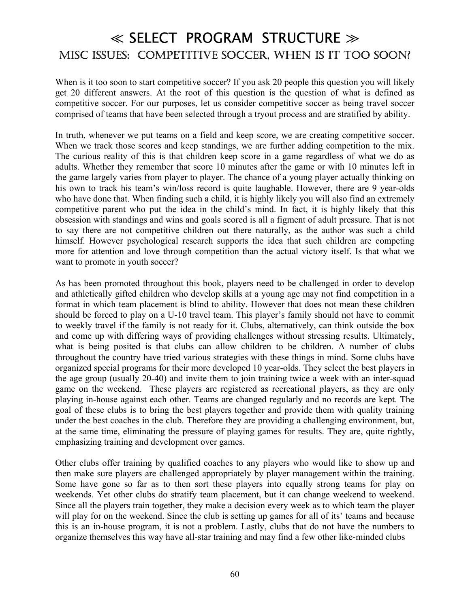### ≪ SELECT PROGRAM STRUCTURE ≫ MISC ISSUES: COMPETITIVE SOCCER, WHEN IS IT TOO SOON?

When is it too soon to start competitive soccer? If you ask 20 people this question you will likely get 20 different answers. At the root of this question is the question of what is defined as competitive soccer. For our purposes, let us consider competitive soccer as being travel soccer comprised of teams that have been selected through a tryout process and are stratified by ability.

In truth, whenever we put teams on a field and keep score, we are creating competitive soccer. When we track those scores and keep standings, we are further adding competition to the mix. The curious reality of this is that children keep score in a game regardless of what we do as adults. Whether they remember that score 10 minutes after the game or with 10 minutes left in the game largely varies from player to player. The chance of a young player actually thinking on his own to track his team's win/loss record is quite laughable. However, there are 9 year-olds who have done that. When finding such a child, it is highly likely you will also find an extremely competitive parent who put the idea in the child's mind. In fact, it is highly likely that this obsession with standings and wins and goals scored is all a figment of adult pressure. That is not to say there are not competitive children out there naturally, as the author was such a child himself. However psychological research supports the idea that such children are competing more for attention and love through competition than the actual victory itself. Is that what we want to promote in youth soccer?

As has been promoted throughout this book, players need to be challenged in order to develop and athletically gifted children who develop skills at a young age may not find competition in a format in which team placement is blind to ability. However that does not mean these children should be forced to play on a U-10 travel team. This player's family should not have to commit to weekly travel if the family is not ready for it. Clubs, alternatively, can think outside the box and come up with differing ways of providing challenges without stressing results. Ultimately, what is being posited is that clubs can allow children to be children. A number of clubs throughout the country have tried various strategies with these things in mind. Some clubs have organized special programs for their more developed 10 year-olds. They select the best players in the age group (usually 20-40) and invite them to join training twice a week with an inter-squad game on the weekend. These players are registered as recreational players, as they are only playing in-house against each other. Teams are changed regularly and no records are kept. The goal of these clubs is to bring the best players together and provide them with quality training under the best coaches in the club. Therefore they are providing a challenging environment, but, at the same time, eliminating the pressure of playing games for results. They are, quite rightly, emphasizing training and development over games.

Other clubs offer training by qualified coaches to any players who would like to show up and then make sure players are challenged appropriately by player management within the training. Some have gone so far as to then sort these players into equally strong teams for play on weekends. Yet other clubs do stratify team placement, but it can change weekend to weekend. Since all the players train together, they make a decision every week as to which team the player will play for on the weekend. Since the club is setting up games for all of its' teams and because this is an in-house program, it is not a problem. Lastly, clubs that do not have the numbers to organize themselves this way have all-star training and may find a few other like-minded clubs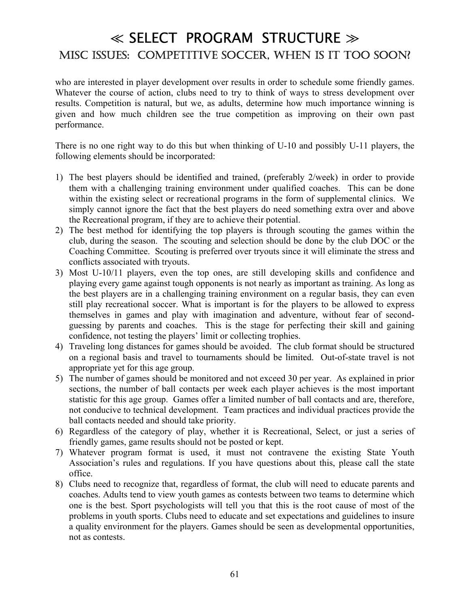### ≪ SELECT PROGRAM STRUCTURE ≫ MISC ISSUES: COMPETITIVE SOCCER, WHEN IS IT TOO SOON?

who are interested in player development over results in order to schedule some friendly games. Whatever the course of action, clubs need to try to think of ways to stress development over results. Competition is natural, but we, as adults, determine how much importance winning is given and how much children see the true competition as improving on their own past performance.

There is no one right way to do this but when thinking of U-10 and possibly U-11 players, the following elements should be incorporated:

- 1) The best players should be identified and trained, (preferably 2/week) in order to provide them with a challenging training environment under qualified coaches. This can be done within the existing select or recreational programs in the form of supplemental clinics. We simply cannot ignore the fact that the best players do need something extra over and above the Recreational program, if they are to achieve their potential.
- 2) The best method for identifying the top players is through scouting the games within the club, during the season. The scouting and selection should be done by the club DOC or the Coaching Committee. Scouting is preferred over tryouts since it will eliminate the stress and conflicts associated with tryouts.
- 3) Most U-10/11 players, even the top ones, are still developing skills and confidence and playing every game against tough opponents is not nearly as important as training. As long as the best players are in a challenging training environment on a regular basis, they can even still play recreational soccer. What is important is for the players to be allowed to express themselves in games and play with imagination and adventure, without fear of secondguessing by parents and coaches. This is the stage for perfecting their skill and gaining confidence, not testing the players' limit or collecting trophies.
- 4) Traveling long distances for games should be avoided. The club format should be structured on a regional basis and travel to tournaments should be limited. Out-of-state travel is not appropriate yet for this age group.
- 5) The number of games should be monitored and not exceed 30 per year. As explained in prior sections, the number of ball contacts per week each player achieves is the most important statistic for this age group. Games offer a limited number of ball contacts and are, therefore, not conducive to technical development. Team practices and individual practices provide the ball contacts needed and should take priority.
- 6) Regardless of the category of play, whether it is Recreational, Select, or just a series of friendly games, game results should not be posted or kept.
- 7) Whatever program format is used, it must not contravene the existing State Youth Association's rules and regulations. If you have questions about this, please call the state office.
- 8) Clubs need to recognize that, regardless of format, the club will need to educate parents and coaches. Adults tend to view youth games as contests between two teams to determine which one is the best. Sport psychologists will tell you that this is the root cause of most of the problems in youth sports. Clubs need to educate and set expectations and guidelines to insure a quality environment for the players. Games should be seen as developmental opportunities, not as contests.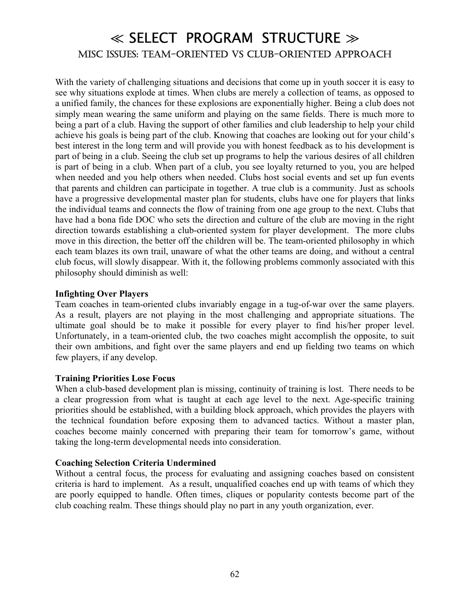### ≪ SELECT PROGRAM STRUCTURE ≫ MISC ISSUES: TEAM-ORIENTED VS CLUB-ORIENTED APPROACH

With the variety of challenging situations and decisions that come up in youth soccer it is easy to see why situations explode at times. When clubs are merely a collection of teams, as opposed to a unified family, the chances for these explosions are exponentially higher. Being a club does not simply mean wearing the same uniform and playing on the same fields. There is much more to being a part of a club. Having the support of other families and club leadership to help your child achieve his goals is being part of the club. Knowing that coaches are looking out for your child's best interest in the long term and will provide you with honest feedback as to his development is part of being in a club. Seeing the club set up programs to help the various desires of all children is part of being in a club. When part of a club, you see loyalty returned to you, you are helped when needed and you help others when needed. Clubs host social events and set up fun events that parents and children can participate in together. A true club is a community. Just as schools have a progressive developmental master plan for students, clubs have one for players that links the individual teams and connects the flow of training from one age group to the next. Clubs that have had a bona fide DOC who sets the direction and culture of the club are moving in the right direction towards establishing a club-oriented system for player development. The more clubs move in this direction, the better off the children will be. The team-oriented philosophy in which each team blazes its own trail, unaware of what the other teams are doing, and without a central club focus, will slowly disappear. With it, the following problems commonly associated with this philosophy should diminish as well:

#### **Infighting Over Players**

Team coaches in team-oriented clubs invariably engage in a tug-of-war over the same players. As a result, players are not playing in the most challenging and appropriate situations. The ultimate goal should be to make it possible for every player to find his/her proper level. Unfortunately, in a team-oriented club, the two coaches might accomplish the opposite, to suit their own ambitions, and fight over the same players and end up fielding two teams on which few players, if any develop.

#### **Training Priorities Lose Focus**

When a club-based development plan is missing, continuity of training is lost. There needs to be a clear progression from what is taught at each age level to the next. Age-specific training priorities should be established, with a building block approach, which provides the players with the technical foundation before exposing them to advanced tactics. Without a master plan, coaches become mainly concerned with preparing their team for tomorrow's game, without taking the long-term developmental needs into consideration.

#### **Coaching Selection Criteria Undermined**

Without a central focus, the process for evaluating and assigning coaches based on consistent criteria is hard to implement. As a result, unqualified coaches end up with teams of which they are poorly equipped to handle. Often times, cliques or popularity contests become part of the club coaching realm. These things should play no part in any youth organization, ever.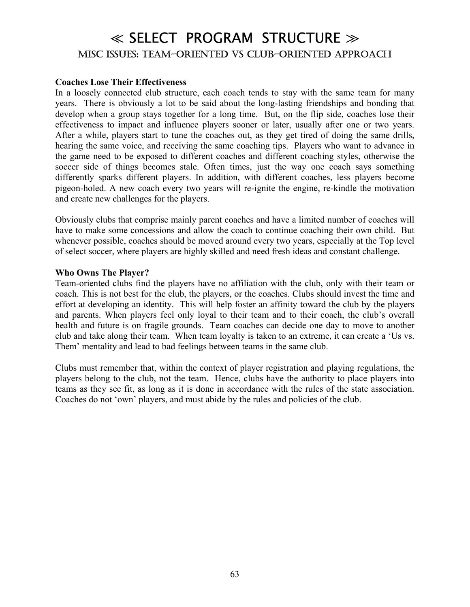### ≪ SELECT PROGRAM STRUCTURE ≫ MISC ISSUES: TEAM-ORIENTED VS CLUB-ORIENTED APPROACH

#### **Coaches Lose Their Effectiveness**

In a loosely connected club structure, each coach tends to stay with the same team for many years. There is obviously a lot to be said about the long-lasting friendships and bonding that develop when a group stays together for a long time. But, on the flip side, coaches lose their effectiveness to impact and influence players sooner or later, usually after one or two years. After a while, players start to tune the coaches out, as they get tired of doing the same drills, hearing the same voice, and receiving the same coaching tips. Players who want to advance in the game need to be exposed to different coaches and different coaching styles, otherwise the soccer side of things becomes stale. Often times, just the way one coach says something differently sparks different players. In addition, with different coaches, less players become pigeon-holed. A new coach every two years will re-ignite the engine, re-kindle the motivation and create new challenges for the players.

Obviously clubs that comprise mainly parent coaches and have a limited number of coaches will have to make some concessions and allow the coach to continue coaching their own child. But whenever possible, coaches should be moved around every two years, especially at the Top level of select soccer, where players are highly skilled and need fresh ideas and constant challenge.

#### **Who Owns The Player?**

Team-oriented clubs find the players have no affiliation with the club, only with their team or coach. This is not best for the club, the players, or the coaches. Clubs should invest the time and effort at developing an identity. This will help foster an affinity toward the club by the players and parents. When players feel only loyal to their team and to their coach, the club's overall health and future is on fragile grounds. Team coaches can decide one day to move to another club and take along their team. When team loyalty is taken to an extreme, it can create a 'Us vs. Them' mentality and lead to bad feelings between teams in the same club.

Clubs must remember that, within the context of player registration and playing regulations, the players belong to the club, not the team. Hence, clubs have the authority to place players into teams as they see fit, as long as it is done in accordance with the rules of the state association. Coaches do not 'own' players, and must abide by the rules and policies of the club.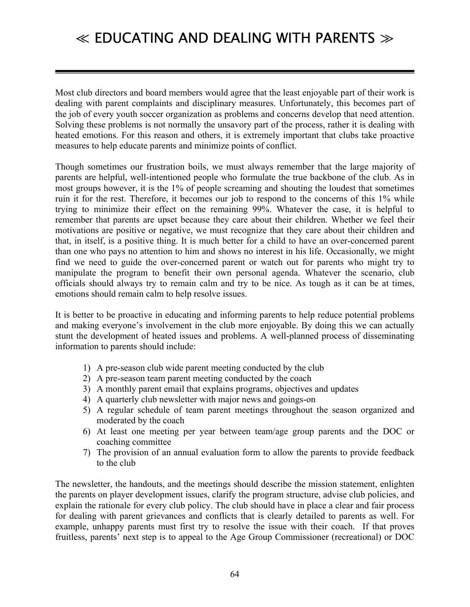Most club directors and board members would agree that the least enjoyable part of their work is dealing with parent complaints and disciplinary measures. Unfortunately, this becomes part of the job of every youth soccer organization as problems and concerns develop that need attention. Solving these problems is not normally the unsavory part of the process, rather it is dealing with heated emotions. For this reason and others, it is extremely important that clubs take proactive measures to help educate parents and minimize points of conflict.

Though sometimes our frustration boils, we must always remember that the large majority of parents are helpful, well-intentioned people who formulate the true backbone of the club. As in most groups however, it is the 1% of people screaming and shouting the loudest that sometimes ruin it for the rest. Therefore, it becomes our job to respond to the concerns of this 1% while trying to minimize their effect on the remaining 99%. Whatever the case, it is helpful to remember that parents are upset because they care about their children. Whether we feel their motivations are positive or negative, we must recognize that they care about their children and that, in itself, is a positive thing. It is much better for a child to have an over-concerned parent than one who pays no attention to him and shows no interest in his life. Occasionally, we might find we need to guide the over-concerned parent or watch out for parents who might try to manipulate the program to benefit their own personal agenda. Whatever the scenario, club officials should always try to remain calm and try to be nice. As tough as it can be at times, emotions should remain calm to help resolve issues.

It is better to be proactive in educating and informing parents to help reduce potential problems and making everyone's involvement in the club more enjoyable. By doing this we can actually stunt the development of heated issues and problems. A well-planned process of disseminating information to parents should include:

- 1) A pre-season club wide parent meeting conducted by the club
- 2) A pre-season team parent meeting conducted by the coach
- 3) A monthly parent email that explains programs, objectives and updates
- 4) A quarterly club newsletter with major news and goings-on
- 5) A regular schedule of team parent meetings throughout the season organized and moderated by the coach
- 6) At least one meeting per year between team/age group parents and the DOC or coaching committee
- 7) The provision of an annual evaluation form to allow the parents to provide feedback to the club

The newsletter, the handouts, and the meetings should describe the mission statement, enlighten the parents on player development issues, clarify the program structure, advise club policies, and explain the rationale for every club policy. The club should have in place a clear and fair process for dealing with parent grievances and conflicts that is clearly detailed to parents as well. For example, unhappy parents must first try to resolve the issue with their coach. If that proves fruitless, parents' next step is to appeal to the Age Group Commissioner (recreational) or DOC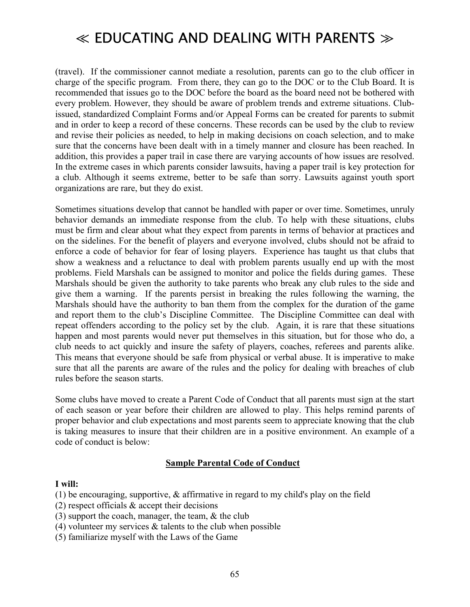(travel). If the commissioner cannot mediate a resolution, parents can go to the club officer in charge of the specific program. From there, they can go to the DOC or to the Club Board. It is recommended that issues go to the DOC before the board as the board need not be bothered with every problem. However, they should be aware of problem trends and extreme situations. Clubissued, standardized Complaint Forms and/or Appeal Forms can be created for parents to submit and in order to keep a record of these concerns. These records can be used by the club to review and revise their policies as needed, to help in making decisions on coach selection, and to make sure that the concerns have been dealt with in a timely manner and closure has been reached. In addition, this provides a paper trail in case there are varying accounts of how issues are resolved. In the extreme cases in which parents consider lawsuits, having a paper trail is key protection for a club. Although it seems extreme, better to be safe than sorry. Lawsuits against youth sport organizations are rare, but they do exist.

Sometimes situations develop that cannot be handled with paper or over time. Sometimes, unruly behavior demands an immediate response from the club. To help with these situations, clubs must be firm and clear about what they expect from parents in terms of behavior at practices and on the sidelines. For the benefit of players and everyone involved, clubs should not be afraid to enforce a code of behavior for fear of losing players. Experience has taught us that clubs that show a weakness and a reluctance to deal with problem parents usually end up with the most problems. Field Marshals can be assigned to monitor and police the fields during games. These Marshals should be given the authority to take parents who break any club rules to the side and give them a warning. If the parents persist in breaking the rules following the warning, the Marshals should have the authority to ban them from the complex for the duration of the game and report them to the club's Discipline Committee. The Discipline Committee can deal with repeat offenders according to the policy set by the club. Again, it is rare that these situations happen and most parents would never put themselves in this situation, but for those who do, a club needs to act quickly and insure the safety of players, coaches, referees and parents alike. This means that everyone should be safe from physical or verbal abuse. It is imperative to make sure that all the parents are aware of the rules and the policy for dealing with breaches of club rules before the season starts.

Some clubs have moved to create a Parent Code of Conduct that all parents must sign at the start of each season or year before their children are allowed to play. This helps remind parents of proper behavior and club expectations and most parents seem to appreciate knowing that the club is taking measures to insure that their children are in a positive environment. An example of a code of conduct is below:

#### **Sample Parental Code of Conduct**

#### **I will:**

(1) be encouraging, supportive, & affirmative in regard to my child's play on the field

- (2) respect officials & accept their decisions
- (3) support the coach, manager, the team,  $\&$  the club
- (4) volunteer my services  $\&$  talents to the club when possible
- (5) familiarize myself with the Laws of the Game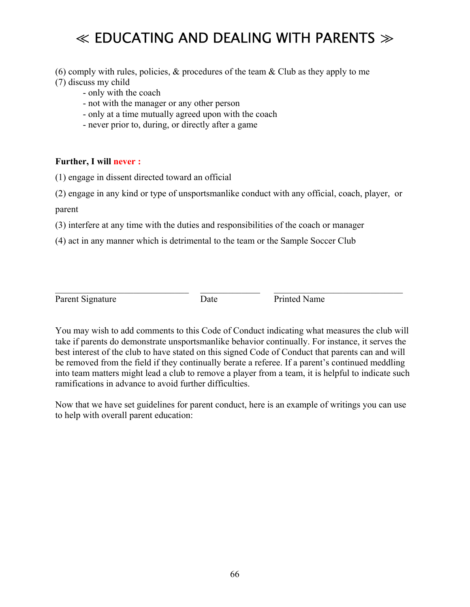(6) comply with rules, policies,  $\&$  procedures of the team  $\&$  Club as they apply to me (7) discuss my child

- only with the coach
- not with the manager or any other person
- only at a time mutually agreed upon with the coach
- never prior to, during, or directly after a game

#### **Further, I will never :**

- (1) engage in dissent directed toward an official
- (2) engage in any kind or type of unsportsmanlike conduct with any official, coach, player, or parent
- (3) interfere at any time with the duties and responsibilities of the coach or manager
- (4) act in any manner which is detrimental to the team or the Sample Soccer Club

Parent Signature Date Date Printed Name

You may wish to add comments to this Code of Conduct indicating what measures the club will take if parents do demonstrate unsportsmanlike behavior continually. For instance, it serves the best interest of the club to have stated on this signed Code of Conduct that parents can and will be removed from the field if they continually berate a referee. If a parent's continued meddling into team matters might lead a club to remove a player from a team, it is helpful to indicate such ramifications in advance to avoid further difficulties.

 $\_$  , and the set of the set of the set of the set of the set of the set of the set of the set of the set of the set of the set of the set of the set of the set of the set of the set of the set of the set of the set of th

Now that we have set guidelines for parent conduct, here is an example of writings you can use to help with overall parent education: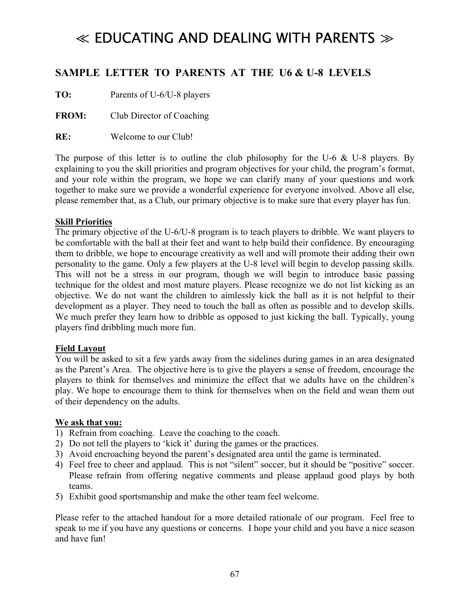### **SAMPLE LETTER TO PARENTS AT THE U6 & U-8 LEVELS**

**TO:** Parents of U-6/U-8 players

**FROM:** Club Director of Coaching

**RE:** Welcome to our Club!

The purpose of this letter is to outline the club philosophy for the U-6  $&$  U-8 players. By explaining to you the skill priorities and program objectives for your child, the program's format, and your role within the program, we hope we can clarify many of your questions and work together to make sure we provide a wonderful experience for everyone involved. Above all else, please remember that, as a Club, our primary objective is to make sure that every player has fun.

#### **Skill Priorities**

The primary objective of the U-6/U-8 program is to teach players to dribble. We want players to be comfortable with the ball at their feet and want to help build their confidence. By encouraging them to dribble, we hope to encourage creativity as well and will promote their adding their own personality to the game. Only a few players at the U-8 level will begin to develop passing skills. This will not be a stress in our program, though we will begin to introduce basic passing technique for the oldest and most mature players. Please recognize we do not list kicking as an objective. We do not want the children to aimlessly kick the ball as it is not helpful to their development as a player. They need to touch the ball as often as possible and to develop skills. We much prefer they learn how to dribble as opposed to just kicking the ball. Typically, young players find dribbling much more fun.

#### **Field Layout**

You will be asked to sit a few yards away from the sidelines during games in an area designated as the Parent's Area. The objective here is to give the players a sense of freedom, encourage the players to think for themselves and minimize the effect that we adults have on the children's play. We hope to encourage them to think for themselves when on the field and wean them out of their dependency on the adults.

#### **We ask that you:**

- 1) Refrain from coaching. Leave the coaching to the coach.
- 2) Do not tell the players to 'kick it' during the games or the practices.
- 3) Avoid encroaching beyond the parent's designated area until the game is terminated.
- 4) Feel free to cheer and applaud. This is not "silent" soccer, but it should be "positive" soccer. Please refrain from offering negative comments and please applaud good plays by both teams.
- 5) Exhibit good sportsmanship and make the other team feel welcome.

Please refer to the attached handout for a more detailed rationale of our program. Feel free to speak to me if you have any questions or concerns. I hope your child and you have a nice season and have fun!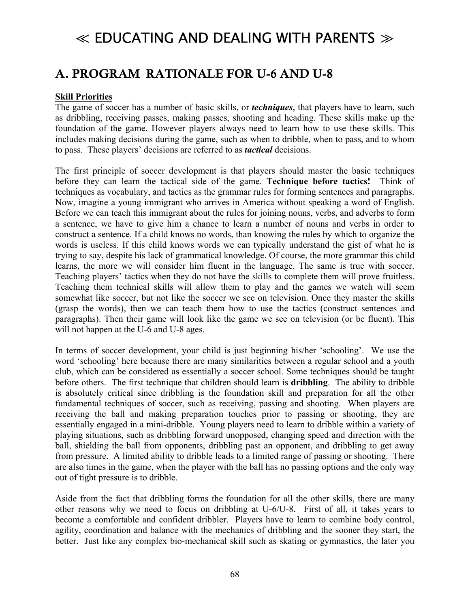### A. PROGRAM RATIONALE FOR U-6 AND U-8

#### **Skill Priorities**

The game of soccer has a number of basic skills, or *techniques*, that players have to learn, such as dribbling, receiving passes, making passes, shooting and heading. These skills make up the foundation of the game. However players always need to learn how to use these skills. This includes making decisions during the game, such as when to dribble, when to pass, and to whom to pass. These players' decisions are referred to as *tactical* decisions.

The first principle of soccer development is that players should master the basic techniques before they can learn the tactical side of the game. **Technique before tactics!** Think of techniques as vocabulary, and tactics as the grammar rules for forming sentences and paragraphs. Now, imagine a young immigrant who arrives in America without speaking a word of English. Before we can teach this immigrant about the rules for joining nouns, verbs, and adverbs to form a sentence, we have to give him a chance to learn a number of nouns and verbs in order to construct a sentence. If a child knows no words, than knowing the rules by which to organize the words is useless. If this child knows words we can typically understand the gist of what he is trying to say, despite his lack of grammatical knowledge. Of course, the more grammar this child learns, the more we will consider him fluent in the language. The same is true with soccer. Teaching players' tactics when they do not have the skills to complete them will prove fruitless. Teaching them technical skills will allow them to play and the games we watch will seem somewhat like soccer, but not like the soccer we see on television. Once they master the skills (grasp the words), then we can teach them how to use the tactics (construct sentences and paragraphs). Then their game will look like the game we see on television (or be fluent). This will not happen at the U-6 and U-8 ages.

In terms of soccer development, your child is just beginning his/her 'schooling'. We use the word 'schooling' here because there are many similarities between a regular school and a youth club, which can be considered as essentially a soccer school. Some techniques should be taught before others. The first technique that children should learn is **dribbling**. The ability to dribble is absolutely critical since dribbling is the foundation skill and preparation for all the other fundamental techniques of soccer, such as receiving, passing and shooting. When players are receiving the ball and making preparation touches prior to passing or shooting, they are essentially engaged in a mini-dribble. Young players need to learn to dribble within a variety of playing situations, such as dribbling forward unopposed, changing speed and direction with the ball, shielding the ball from opponents, dribbling past an opponent, and dribbling to get away from pressure. A limited ability to dribble leads to a limited range of passing or shooting. There are also times in the game, when the player with the ball has no passing options and the only way out of tight pressure is to dribble.

Aside from the fact that dribbling forms the foundation for all the other skills, there are many other reasons why we need to focus on dribbling at U-6/U-8. First of all, it takes years to become a comfortable and confident dribbler. Players have to learn to combine body control, agility, coordination and balance with the mechanics of dribbling and the sooner they start, the better. Just like any complex bio-mechanical skill such as skating or gymnastics, the later you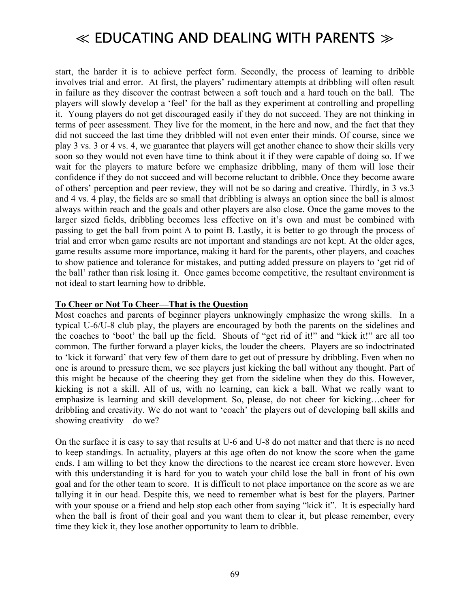start, the harder it is to achieve perfect form. Secondly, the process of learning to dribble involves trial and error. At first, the players' rudimentary attempts at dribbling will often result in failure as they discover the contrast between a soft touch and a hard touch on the ball. The players will slowly develop a 'feel' for the ball as they experiment at controlling and propelling it. Young players do not get discouraged easily if they do not succeed. They are not thinking in terms of peer assessment. They live for the moment, in the here and now, and the fact that they did not succeed the last time they dribbled will not even enter their minds. Of course, since we play 3 vs. 3 or 4 vs. 4, we guarantee that players will get another chance to show their skills very soon so they would not even have time to think about it if they were capable of doing so. If we wait for the players to mature before we emphasize dribbling, many of them will lose their confidence if they do not succeed and will become reluctant to dribble. Once they become aware of others' perception and peer review, they will not be so daring and creative. Thirdly, in 3 vs.3 and 4 vs. 4 play, the fields are so small that dribbling is always an option since the ball is almost always within reach and the goals and other players are also close. Once the game moves to the larger sized fields, dribbling becomes less effective on it's own and must be combined with passing to get the ball from point A to point B. Lastly, it is better to go through the process of trial and error when game results are not important and standings are not kept. At the older ages, game results assume more importance, making it hard for the parents, other players, and coaches to show patience and tolerance for mistakes, and putting added pressure on players to 'get rid of the ball' rather than risk losing it. Once games become competitive, the resultant environment is not ideal to start learning how to dribble.

#### **To Cheer or Not To Cheer—That is the Question**

Most coaches and parents of beginner players unknowingly emphasize the wrong skills. In a typical U-6/U-8 club play, the players are encouraged by both the parents on the sidelines and the coaches to 'boot' the ball up the field. Shouts of "get rid of it!" and "kick it!" are all too common. The further forward a player kicks, the louder the cheers. Players are so indoctrinated to 'kick it forward' that very few of them dare to get out of pressure by dribbling. Even when no one is around to pressure them, we see players just kicking the ball without any thought. Part of this might be because of the cheering they get from the sideline when they do this. However, kicking is not a skill. All of us, with no learning, can kick a ball. What we really want to emphasize is learning and skill development. So, please, do not cheer for kicking...cheer for dribbling and creativity. We do not want to 'coach' the players out of developing ball skills and showing creativity—do we?

On the surface it is easy to say that results at U-6 and U-8 do not matter and that there is no need to keep standings. In actuality, players at this age often do not know the score when the game ends. I am willing to bet they know the directions to the nearest ice cream store however. Even with this understanding it is hard for you to watch your child lose the ball in front of his own goal and for the other team to score. It is difficult to not place importance on the score as we are tallying it in our head. Despite this, we need to remember what is best for the players. Partner with your spouse or a friend and help stop each other from saying "kick it". It is especially hard when the ball is front of their goal and you want them to clear it, but please remember, every time they kick it, they lose another opportunity to learn to dribble.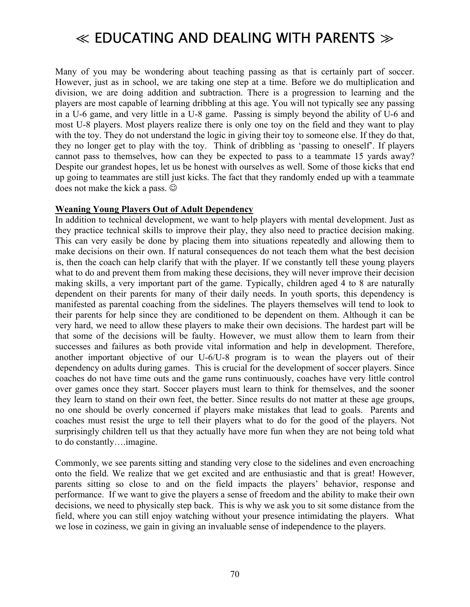Many of you may be wondering about teaching passing as that is certainly part of soccer. However, just as in school, we are taking one step at a time. Before we do multiplication and division, we are doing addition and subtraction. There is a progression to learning and the players are most capable of learning dribbling at this age. You will not typically see any passing in a U-6 game, and very little in a U-8 game. Passing is simply beyond the ability of U-6 and most U-8 players. Most players realize there is only one toy on the field and they want to play with the toy. They do not understand the logic in giving their toy to someone else. If they do that, they no longer get to play with the toy. Think of dribbling as 'passing to oneself'. If players cannot pass to themselves, how can they be expected to pass to a teammate 15 yards away? Despite our grandest hopes, let us be honest with ourselves as well. Some of those kicks that end up going to teammates are still just kicks. The fact that they randomly ended up with a teammate does not make the kick a pass.  $\odot$ 

#### **Weaning Young Players Out of Adult Dependency**

In addition to technical development, we want to help players with mental development. Just as they practice technical skills to improve their play, they also need to practice decision making. This can very easily be done by placing them into situations repeatedly and allowing them to make decisions on their own. If natural consequences do not teach them what the best decision is, then the coach can help clarify that with the player. If we constantly tell these young players what to do and prevent them from making these decisions, they will never improve their decision making skills, a very important part of the game. Typically, children aged 4 to 8 are naturally dependent on their parents for many of their daily needs. In youth sports, this dependency is manifested as parental coaching from the sidelines. The players themselves will tend to look to their parents for help since they are conditioned to be dependent on them. Although it can be very hard, we need to allow these players to make their own decisions. The hardest part will be that some of the decisions will be faulty. However, we must allow them to learn from their successes and failures as both provide vital information and help in development. Therefore, another important objective of our U-6/U-8 program is to wean the players out of their dependency on adults during games. This is crucial for the development of soccer players. Since coaches do not have time outs and the game runs continuously, coaches have very little control over games once they start. Soccer players must learn to think for themselves, and the sooner they learn to stand on their own feet, the better. Since results do not matter at these age groups, no one should be overly concerned if players make mistakes that lead to goals. Parents and coaches must resist the urge to tell their players what to do for the good of the players. Not surprisingly children tell us that they actually have more fun when they are not being told what to do constantly...imagine.

Commonly, we see parents sitting and standing very close to the sidelines and even encroaching onto the field. We realize that we get excited and are enthusiastic and that is great! However, parents sitting so close to and on the field impacts the players' behavior, response and performance. If we want to give the players a sense of freedom and the ability to make their own decisions, we need to physically step back. This is why we ask you to sit some distance from the field, where you can still enjoy watching without your presence intimidating the players. What we lose in coziness, we gain in giving an invaluable sense of independence to the players.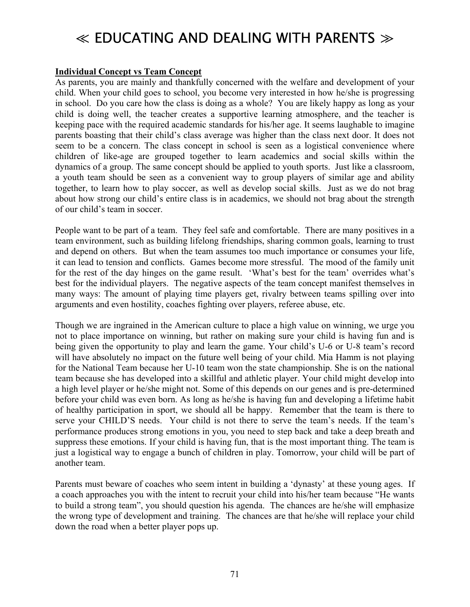#### **Individual Concept vs Team Concept**

As parents, you are mainly and thankfully concerned with the welfare and development of your child. When your child goes to school, you become very interested in how he/she is progressing in school. Do you care how the class is doing as a whole? You are likely happy as long as your child is doing well, the teacher creates a supportive learning atmosphere, and the teacher is keeping pace with the required academic standards for his/her age. It seems laughable to imagine parents boasting that their child's class average was higher than the class next door. It does not seem to be a concern. The class concept in school is seen as a logistical convenience where children of like-age are grouped together to learn academics and social skills within the dynamics of a group. The same concept should be applied to youth sports. Just like a classroom, a youth team should be seen as a convenient way to group players of similar age and ability together, to learn how to play soccer, as well as develop social skills. Just as we do not brag about how strong our child's entire class is in academics, we should not brag about the strength of our child's team in soccer.

People want to be part of a team. They feel safe and comfortable. There are many positives in a team environment, such as building lifelong friendships, sharing common goals, learning to trust and depend on others. But when the team assumes too much importance or consumes your life, it can lead to tension and conflicts. Games become more stressful. The mood of the family unit for the rest of the day hinges on the game result. 'What's best for the team' overrides what's best for the individual players. The negative aspects of the team concept manifest themselves in many ways: The amount of playing time players get, rivalry between teams spilling over into arguments and even hostility, coaches fighting over players, referee abuse, etc.

Though we are ingrained in the American culture to place a high value on winning, we urge you not to place importance on winning, but rather on making sure your child is having fun and is being given the opportunity to play and learn the game. Your child's U-6 or U-8 team's record will have absolutely no impact on the future well being of your child. Mia Hamm is not playing for the National Team because her U-10 team won the state championship. She is on the national team because she has developed into a skillful and athletic player. Your child might develop into a high level player or he/she might not. Some of this depends on our genes and is pre-determined before your child was even born. As long as he/she is having fun and developing a lifetime habit of healthy participation in sport, we should all be happy. Remember that the team is there to serve your CHILD'S needs. Your child is not there to serve the team's needs. If the team's performance produces strong emotions in you, you need to step back and take a deep breath and suppress these emotions. If your child is having fun, that is the most important thing. The team is just a logistical way to engage a bunch of children in play. Tomorrow, your child will be part of another team.

Parents must beware of coaches who seem intent in building a 'dynasty' at these young ages. If a coach approaches you with the intent to recruit your child into his/her team because "He wants" to build a strong team", you should question his agenda. The chances are he/she will emphasize the wrong type of development and training. The chances are that he/she will replace your child down the road when a better player pops up.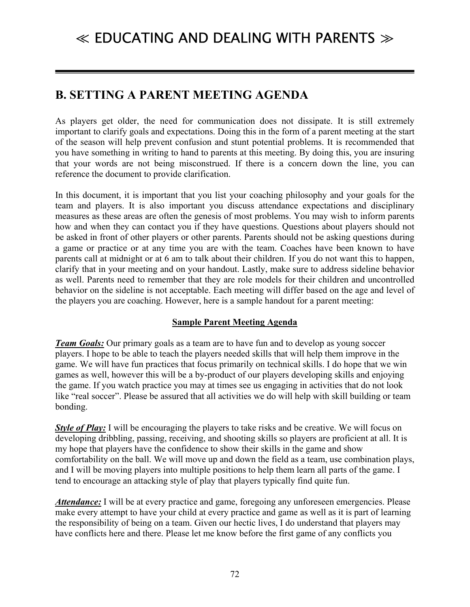### $\ll$  EDUCATING AND DEALING WITH PARENTS  $\gg$

### **B. SETTING A PARENT MEETING AGENDA**

As players get older, the need for communication does not dissipate. It is still extremely important to clarify goals and expectations. Doing this in the form of a parent meeting at the start of the season will help prevent confusion and stunt potential problems. It is recommended that you have something in writing to hand to parents at this meeting. By doing this, you are insuring that your words are not being misconstrued. If there is a concern down the line, you can reference the document to provide clarification.

In this document, it is important that you list your coaching philosophy and your goals for the team and players. It is also important you discuss attendance expectations and disciplinary measures as these areas are often the genesis of most problems. You may wish to inform parents how and when they can contact you if they have questions. Questions about players should not be asked in front of other players or other parents. Parents should not be asking questions during a game or practice or at any time you are with the team. Coaches have been known to have parents call at midnight or at 6 am to talk about their children. If you do not want this to happen, clarify that in your meeting and on your handout. Lastly, make sure to address sideline behavior as well. Parents need to remember that they are role models for their children and uncontrolled behavior on the sideline is not acceptable. Each meeting will differ based on the age and level of the players you are coaching. However, here is a sample handout for a parent meeting:

#### **Sample Parent Meeting Agenda**

*Team Goals:* Our primary goals as a team are to have fun and to develop as young soccer players. I hope to be able to teach the players needed skills that will help them improve in the game. We will have fun practices that focus primarily on technical skills. I do hope that we win games as well, however this will be a by-product of our players developing skills and enjoying the game. If you watch practice you may at times see us engaging in activities that do not look like "real soccer". Please be assured that all activities we do will help with skill building or team bonding.

*Style of Play:* I will be encouraging the players to take risks and be creative. We will focus on developing dribbling, passing, receiving, and shooting skills so players are proficient at all. It is my hope that players have the confidence to show their skills in the game and show comfortability on the ball. We will move up and down the field as a team, use combination plays, and I will be moving players into multiple positions to help them learn all parts of the game. I tend to encourage an attacking style of play that players typically find quite fun.

*Attendance:* I will be at every practice and game, foregoing any unforeseen emergencies. Please make every attempt to have your child at every practice and game as well as it is part of learning the responsibility of being on a team. Given our hectic lives, I do understand that players may have conflicts here and there. Please let me know before the first game of any conflicts you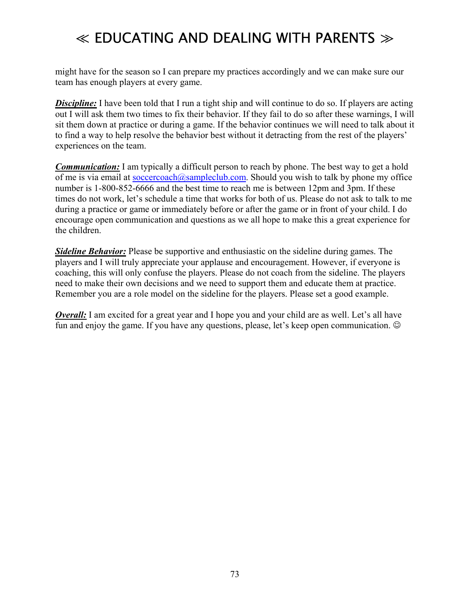# $\ll$  EDUCATING AND DEALING WITH PARENTS  $\gg$

might have for the season so I can prepare my practices accordingly and we can make sure our team has enough players at every game.

**Discipline:** I have been told that I run a tight ship and will continue to do so. If players are acting out I will ask them two times to fix their behavior. If they fail to do so after these warnings, I will sit them down at practice or during a game. If the behavior continues we will need to talk about it to find a way to help resolve the behavior best without it detracting from the rest of the players' experiences on the team.

*Communication:* I am typically a difficult person to reach by phone. The best way to get a hold of me is via email at soccercoach@sampleclub.com. Should you wish to talk by phone my office number is 1-800-852-6666 and the best time to reach me is between 12pm and 3pm. If these times do not work, let's schedule a time that works for both of us. Please do not ask to talk to me during a practice or game or immediately before or after the game or in front of your child. I do encourage open communication and questions as we all hope to make this a great experience for the children.

*Sideline Behavior:* Please be supportive and enthusiastic on the sideline during games. The players and I will truly appreciate your applause and encouragement. However, if everyone is coaching, this will only confuse the players. Please do not coach from the sideline. The players need to make their own decisions and we need to support them and educate them at practice. Remember you are a role model on the sideline for the players. Please set a good example.

*Overall:* I am excited for a great year and I hope you and your child are as well. Let's all have fun and enjoy the game. If you have any questions, please, let's keep open communication.  $\odot$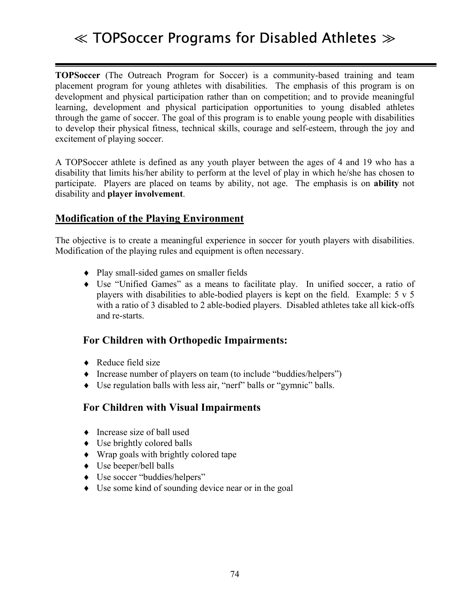# ≪ TOPSoccer Programs for Disabled Athletes ≫

**TOPSoccer** (The Outreach Program for Soccer) is a community-based training and team placement program for young athletes with disabilities. The emphasis of this program is on development and physical participation rather than on competition; and to provide meaningful learning, development and physical participation opportunities to young disabled athletes through the game of soccer. The goal of this program is to enable young people with disabilities to develop their physical fitness, technical skills, courage and self-esteem, through the joy and excitement of playing soccer.

A TOPSoccer athlete is defined as any youth player between the ages of 4 and 19 who has a disability that limits his/her ability to perform at the level of play in which he/she has chosen to participate. Players are placed on teams by ability, not age. The emphasis is on **ability** not disability and **player involvement**.

#### **Modification of the Playing Environment**

The objective is to create a meaningful experience in soccer for youth players with disabilities. Modification of the playing rules and equipment is often necessary.

- ♦ Play small-sided games on smaller fields
- Use "Unified Games" as a means to facilitate play. In unified soccer, a ratio of players with disabilities to able-bodied players is kept on the field. Example: 5 v 5 with a ratio of 3 disabled to 2 able-bodied players. Disabled athletes take all kick-offs and re-starts.

### **For Children with Orthopedic Impairments:**

- ◆ Reduce field size
- $\blacklozenge$  Increase number of players on team (to include "buddies/helpers")
- $\bullet$  Use regulation balls with less air, "nerf" balls or "gymnic" balls.

#### **For Children with Visual Impairments**

- ♦ Increase size of ball used
- $\bullet$  Use brightly colored balls
- ♦ Wrap goals with brightly colored tape
- ♦ Use beeper/bell balls
- $\triangleleft$  Use soccer "buddies/helpers"
- ♦ Use some kind of sounding device near or in the goal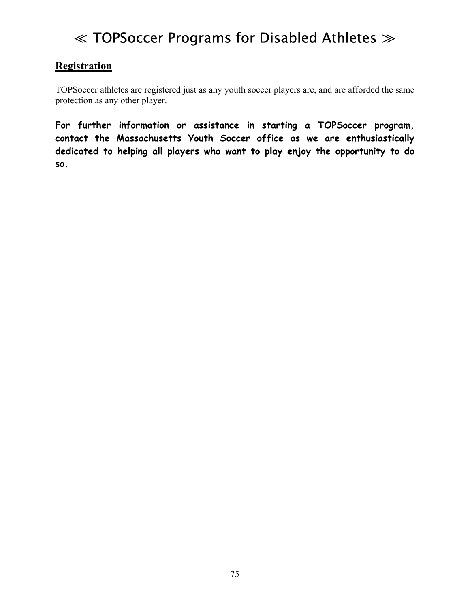# ≪ TOPSoccer Programs for Disabled Athletes ≫

### **Registration**

TOPSoccer athletes are registered just as any youth soccer players are, and are afforded the same protection as any other player.

**For further information or assistance in starting a TOPSoccer program, contact the Massachusetts Youth Soccer office as we are enthusiastically dedicated to helping all players who want to play enjoy the opportunity to do so.**